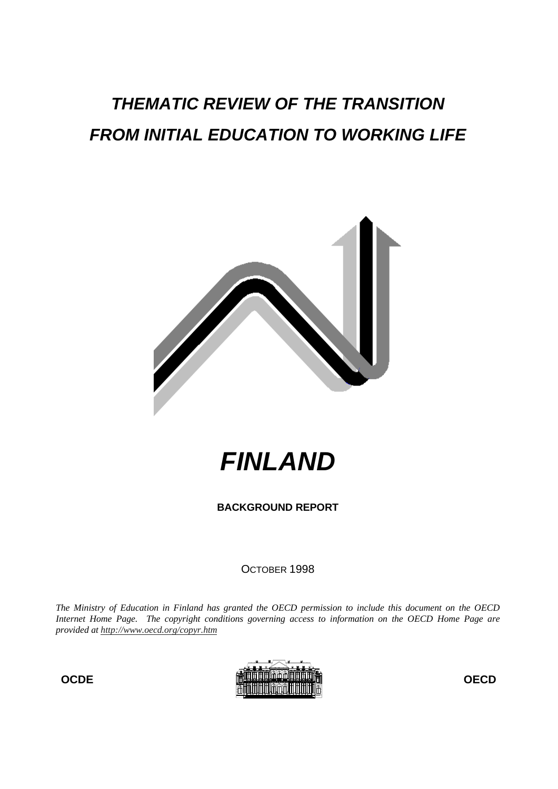# **THEMATIC REVIEW OF THE TRANSITION FROM INITIAL EDUCATION TO WORKING LIFE**



**FINLAND**

**BACKGROUND REPORT**

OCTOBER 1998

*The Ministry of Education in Finland has granted the OECD permission to include this document on the OECD Internet Home Page. The copyright conditions governing access to information on the OECD Home Page are provided at http://www.oecd.org/copyr.htm*

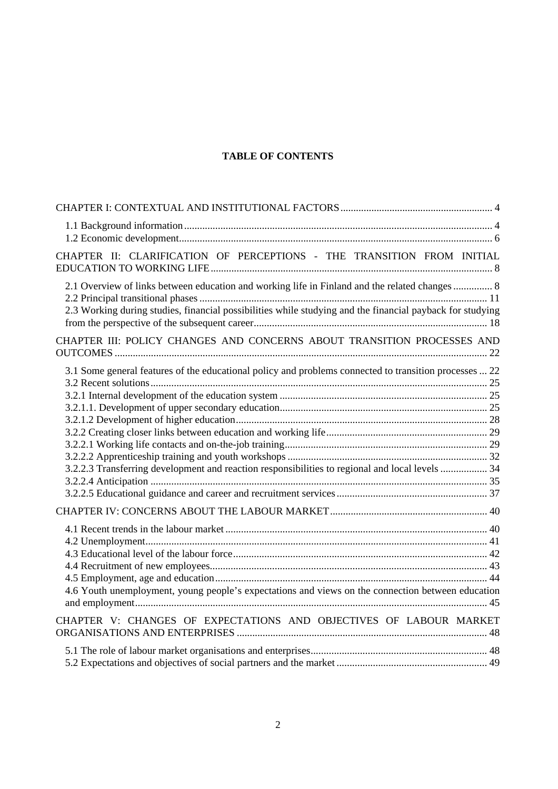# **TABLE OF CONTENTS**

| CHAPTER II: CLARIFICATION OF PERCEPTIONS - THE TRANSITION FROM INITIAL                                                                                                                                      |  |
|-------------------------------------------------------------------------------------------------------------------------------------------------------------------------------------------------------------|--|
| 2.1 Overview of links between education and working life in Finland and the related changes  8<br>2.3 Working during studies, financial possibilities while studying and the financial payback for studying |  |
| CHAPTER III: POLICY CHANGES AND CONCERNS ABOUT TRANSITION PROCESSES AND                                                                                                                                     |  |
| 3.1 Some general features of the educational policy and problems connected to transition processes  22<br>3.2.2.3 Transferring development and reaction responsibilities to regional and local levels  34   |  |
| 4.6 Youth unemployment, young people's expectations and views on the connection between education<br>CHAPTER V: CHANGES OF EXPECTATIONS AND OBJECTIVES OF LABOUR MARKET                                     |  |
|                                                                                                                                                                                                             |  |
|                                                                                                                                                                                                             |  |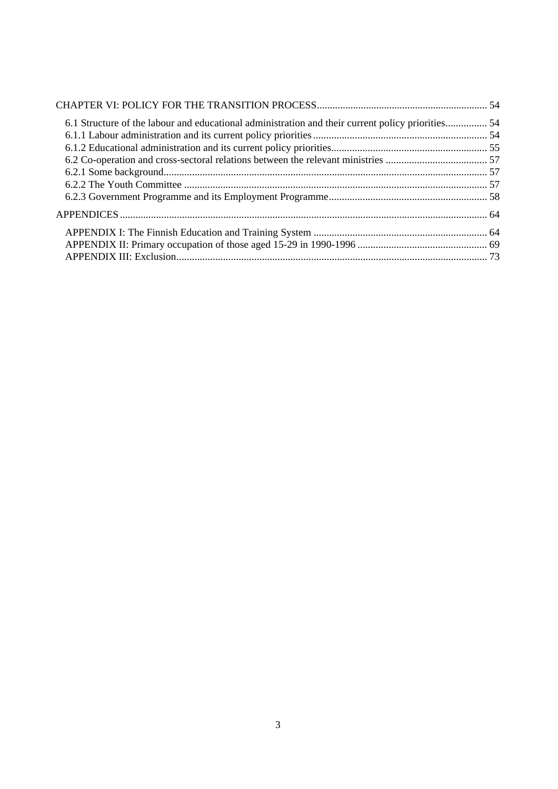| 6.1 Structure of the labour and educational administration and their current policy priorities 54 |  |
|---------------------------------------------------------------------------------------------------|--|
|                                                                                                   |  |
|                                                                                                   |  |
|                                                                                                   |  |
|                                                                                                   |  |
|                                                                                                   |  |
|                                                                                                   |  |
|                                                                                                   |  |
|                                                                                                   |  |
|                                                                                                   |  |
|                                                                                                   |  |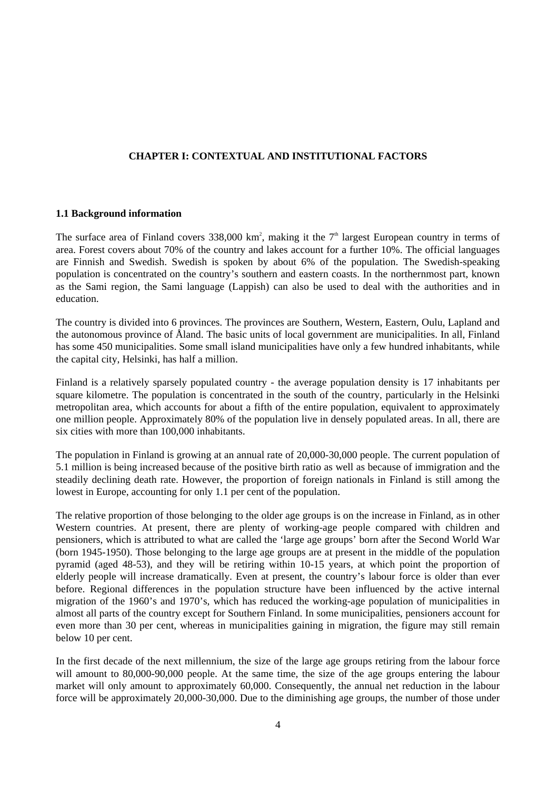## **CHAPTER I: CONTEXTUAL AND INSTITUTIONAL FACTORS**

### **1.1 Background information**

The surface area of Finland covers 338,000 km<sup>2</sup>, making it the  $7<sup>th</sup>$  largest European country in terms of area. Forest covers about 70% of the country and lakes account for a further 10%. The official languages are Finnish and Swedish. Swedish is spoken by about 6% of the population. The Swedish-speaking population is concentrated on the country's southern and eastern coasts. In the northernmost part, known as the Sami region, the Sami language (Lappish) can also be used to deal with the authorities and in education.

The country is divided into 6 provinces. The provinces are Southern, Western, Eastern, Oulu, Lapland and the autonomous province of Åland. The basic units of local government are municipalities. In all, Finland has some 450 municipalities. Some small island municipalities have only a few hundred inhabitants, while the capital city, Helsinki, has half a million.

Finland is a relatively sparsely populated country - the average population density is 17 inhabitants per square kilometre. The population is concentrated in the south of the country, particularly in the Helsinki metropolitan area, which accounts for about a fifth of the entire population, equivalent to approximately one million people. Approximately 80% of the population live in densely populated areas. In all, there are six cities with more than 100,000 inhabitants.

The population in Finland is growing at an annual rate of 20,000-30,000 people. The current population of 5.1 million is being increased because of the positive birth ratio as well as because of immigration and the steadily declining death rate. However, the proportion of foreign nationals in Finland is still among the lowest in Europe, accounting for only 1.1 per cent of the population.

The relative proportion of those belonging to the older age groups is on the increase in Finland, as in other Western countries. At present, there are plenty of working-age people compared with children and pensioners, which is attributed to what are called the 'large age groups' born after the Second World War (born 1945-1950). Those belonging to the large age groups are at present in the middle of the population pyramid (aged 48-53), and they will be retiring within 10-15 years, at which point the proportion of elderly people will increase dramatically. Even at present, the country's labour force is older than ever before. Regional differences in the population structure have been influenced by the active internal migration of the 1960's and 1970's, which has reduced the working-age population of municipalities in almost all parts of the country except for Southern Finland. In some municipalities, pensioners account for even more than 30 per cent, whereas in municipalities gaining in migration, the figure may still remain below 10 per cent.

In the first decade of the next millennium, the size of the large age groups retiring from the labour force will amount to 80,000-90,000 people. At the same time, the size of the age groups entering the labour market will only amount to approximately 60,000. Consequently, the annual net reduction in the labour force will be approximately 20,000-30,000. Due to the diminishing age groups, the number of those under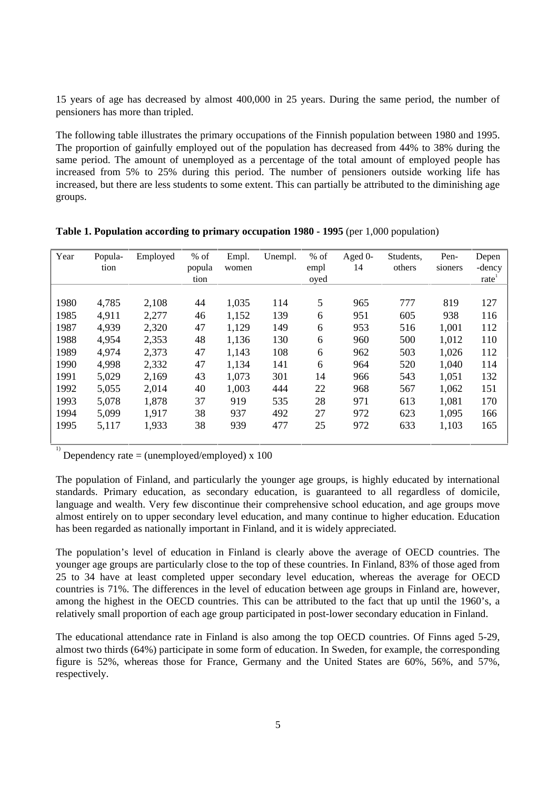15 years of age has decreased by almost 400,000 in 25 years. During the same period, the number of pensioners has more than tripled.

The following table illustrates the primary occupations of the Finnish population between 1980 and 1995. The proportion of gainfully employed out of the population has decreased from 44% to 38% during the same period. The amount of unemployed as a percentage of the total amount of employed people has increased from 5% to 25% during this period. The number of pensioners outside working life has increased, but there are less students to some extent. This can partially be attributed to the diminishing age groups.

| Year | Popula-<br>tion | Employed | $%$ of<br>popula | Empl.<br>women | Unempl. | $%$ of<br>empl | Aged 0-<br>14 | Students,<br>others | Pen-<br>sioners | Depen<br>-dency |
|------|-----------------|----------|------------------|----------------|---------|----------------|---------------|---------------------|-----------------|-----------------|
|      |                 |          | tion             |                |         | oyed           |               |                     |                 | rate            |
|      |                 |          |                  |                |         |                |               |                     |                 |                 |
| 1980 | 4,785           | 2,108    | 44               | 1,035          | 114     | 5              | 965           | 777                 | 819             | 127             |
| 1985 | 4,911           | 2,277    | 46               | 1,152          | 139     | 6              | 951           | 605                 | 938             | 116             |
| 1987 | 4,939           | 2,320    | 47               | 1,129          | 149     | 6              | 953           | 516                 | 1,001           | 112             |
| 1988 | 4,954           | 2,353    | 48               | 1,136          | 130     | 6              | 960           | 500                 | 1,012           | 110             |
| 1989 | 4,974           | 2,373    | 47               | 1,143          | 108     | 6              | 962           | 503                 | 1,026           | 112             |
| 1990 | 4,998           | 2,332    | 47               | 1,134          | 141     | 6              | 964           | 520                 | 1,040           | 114             |
| 1991 | 5,029           | 2,169    | 43               | 1,073          | 301     | 14             | 966           | 543                 | 1,051           | 132             |
| 1992 | 5,055           | 2,014    | 40               | 1,003          | 444     | 22             | 968           | 567                 | 1,062           | 151             |
| 1993 | 5,078           | 1,878    | 37               | 919            | 535     | 28             | 971           | 613                 | 1,081           | 170             |
| 1994 | 5,099           | 1,917    | 38               | 937            | 492     | 27             | 972           | 623                 | 1,095           | 166             |
| 1995 | 5,117           | 1,933    | 38               | 939            | 477     | 25             | 972           | 633                 | 1,103           | 165             |
|      |                 |          |                  |                |         |                |               |                     |                 |                 |

| Table 1. Population according to primary occupation 1980 - 1995 (per 1,000 population) |  |  |  |  |  |  |  |
|----------------------------------------------------------------------------------------|--|--|--|--|--|--|--|
|----------------------------------------------------------------------------------------|--|--|--|--|--|--|--|

<sup>1)</sup> Dependency rate = (unemployed/employed) x 100

The population of Finland, and particularly the younger age groups, is highly educated by international standards. Primary education, as secondary education, is guaranteed to all regardless of domicile, language and wealth. Very few discontinue their comprehensive school education, and age groups move almost entirely on to upper secondary level education, and many continue to higher education. Education has been regarded as nationally important in Finland, and it is widely appreciated.

The population's level of education in Finland is clearly above the average of OECD countries. The younger age groups are particularly close to the top of these countries. In Finland, 83% of those aged from 25 to 34 have at least completed upper secondary level education, whereas the average for OECD countries is 71%. The differences in the level of education between age groups in Finland are, however, among the highest in the OECD countries. This can be attributed to the fact that up until the 1960's, a relatively small proportion of each age group participated in post-lower secondary education in Finland.

The educational attendance rate in Finland is also among the top OECD countries. Of Finns aged 5-29, almost two thirds (64%) participate in some form of education. In Sweden, for example, the corresponding figure is 52%, whereas those for France, Germany and the United States are 60%, 56%, and 57%, respectively.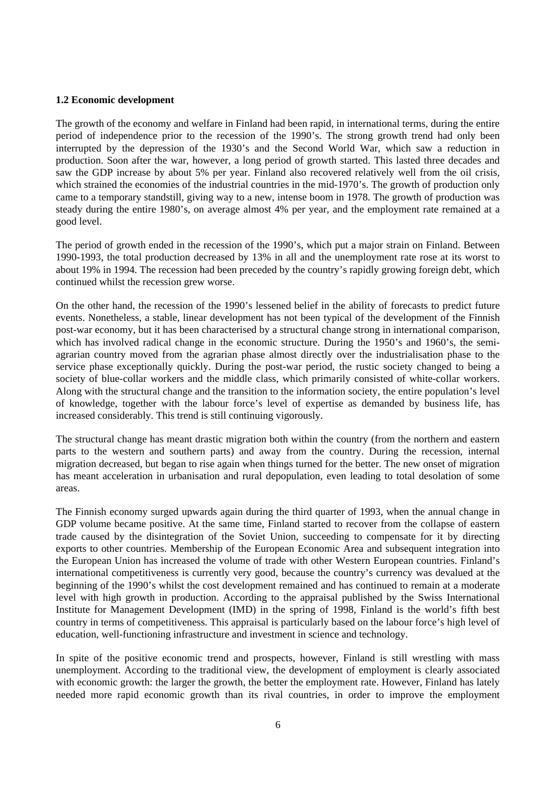#### **1.2 Economic development**

The growth of the economy and welfare in Finland had been rapid, in international terms, during the entire period of independence prior to the recession of the 1990's. The strong growth trend had only been interrupted by the depression of the 1930's and the Second World War, which saw a reduction in production. Soon after the war, however, a long period of growth started. This lasted three decades and saw the GDP increase by about 5% per year. Finland also recovered relatively well from the oil crisis, which strained the economies of the industrial countries in the mid-1970's. The growth of production only came to a temporary standstill, giving way to a new, intense boom in 1978. The growth of production was steady during the entire 1980's, on average almost 4% per year, and the employment rate remained at a good level.

The period of growth ended in the recession of the 1990's, which put a major strain on Finland. Between 1990-1993, the total production decreased by 13% in all and the unemployment rate rose at its worst to about 19% in 1994. The recession had been preceded by the country's rapidly growing foreign debt, which continued whilst the recession grew worse.

On the other hand, the recession of the 1990's lessened belief in the ability of forecasts to predict future events. Nonetheless, a stable, linear development has not been typical of the development of the Finnish post-war economy, but it has been characterised by a structural change strong in international comparison, which has involved radical change in the economic structure. During the 1950's and 1960's, the semiagrarian country moved from the agrarian phase almost directly over the industrialisation phase to the service phase exceptionally quickly. During the post-war period, the rustic society changed to being a society of blue-collar workers and the middle class, which primarily consisted of white-collar workers. Along with the structural change and the transition to the information society, the entire population's level of knowledge, together with the labour force's level of expertise as demanded by business life, has increased considerably. This trend is still continuing vigorously.

The structural change has meant drastic migration both within the country (from the northern and eastern parts to the western and southern parts) and away from the country. During the recession, internal migration decreased, but began to rise again when things turned for the better. The new onset of migration has meant acceleration in urbanisation and rural depopulation, even leading to total desolation of some areas.

The Finnish economy surged upwards again during the third quarter of 1993, when the annual change in GDP volume became positive. At the same time, Finland started to recover from the collapse of eastern trade caused by the disintegration of the Soviet Union, succeeding to compensate for it by directing exports to other countries. Membership of the European Economic Area and subsequent integration into the European Union has increased the volume of trade with other Western European countries. Finland's international competitiveness is currently very good, because the country's currency was devalued at the beginning of the 1990's whilst the cost development remained and has continued to remain at a moderate level with high growth in production. According to the appraisal published by the Swiss International Institute for Management Development (IMD) in the spring of 1998, Finland is the world's fifth best country in terms of competitiveness. This appraisal is particularly based on the labour force's high level of education, well-functioning infrastructure and investment in science and technology.

In spite of the positive economic trend and prospects, however, Finland is still wrestling with mass unemployment. According to the traditional view, the development of employment is clearly associated with economic growth: the larger the growth, the better the employment rate. However, Finland has lately needed more rapid economic growth than its rival countries, in order to improve the employment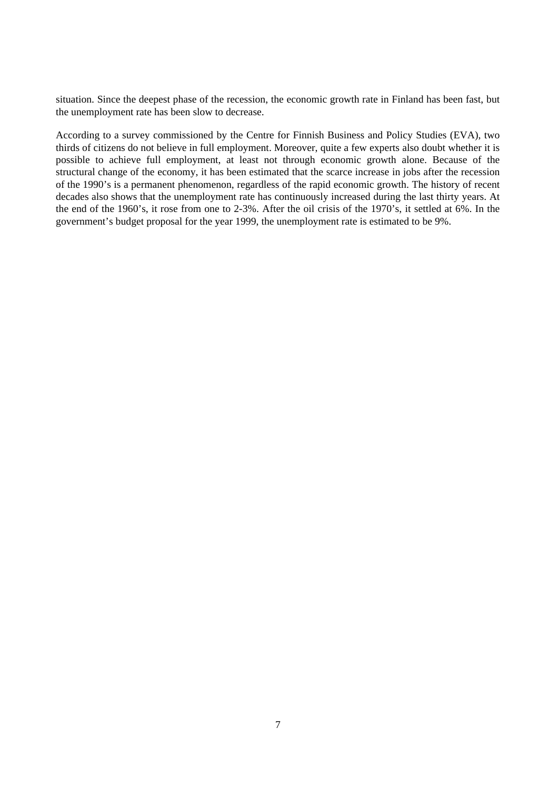situation. Since the deepest phase of the recession, the economic growth rate in Finland has been fast, but the unemployment rate has been slow to decrease.

According to a survey commissioned by the Centre for Finnish Business and Policy Studies (EVA), two thirds of citizens do not believe in full employment. Moreover, quite a few experts also doubt whether it is possible to achieve full employment, at least not through economic growth alone. Because of the structural change of the economy, it has been estimated that the scarce increase in jobs after the recession of the 1990's is a permanent phenomenon, regardless of the rapid economic growth. The history of recent decades also shows that the unemployment rate has continuously increased during the last thirty years. At the end of the 1960's, it rose from one to 2-3%. After the oil crisis of the 1970's, it settled at 6%. In the government's budget proposal for the year 1999, the unemployment rate is estimated to be 9%.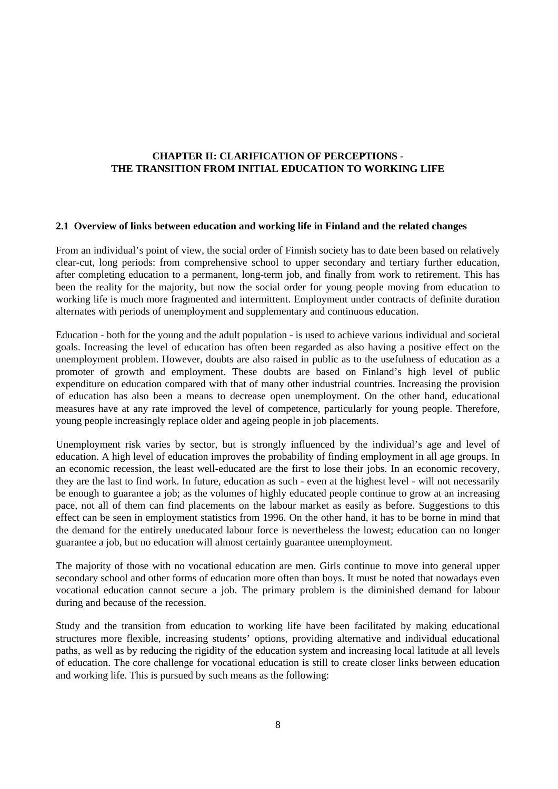# **CHAPTER II: CLARIFICATION OF PERCEPTIONS - THE TRANSITION FROM INITIAL EDUCATION TO WORKING LIFE**

#### **2.1 Overview of links between education and working life in Finland and the related changes**

From an individual's point of view, the social order of Finnish society has to date been based on relatively clear-cut, long periods: from comprehensive school to upper secondary and tertiary further education, after completing education to a permanent, long-term job, and finally from work to retirement. This has been the reality for the majority, but now the social order for young people moving from education to working life is much more fragmented and intermittent. Employment under contracts of definite duration alternates with periods of unemployment and supplementary and continuous education.

Education - both for the young and the adult population - is used to achieve various individual and societal goals. Increasing the level of education has often been regarded as also having a positive effect on the unemployment problem. However, doubts are also raised in public as to the usefulness of education as a promoter of growth and employment. These doubts are based on Finland's high level of public expenditure on education compared with that of many other industrial countries. Increasing the provision of education has also been a means to decrease open unemployment. On the other hand, educational measures have at any rate improved the level of competence, particularly for young people. Therefore, young people increasingly replace older and ageing people in job placements.

Unemployment risk varies by sector, but is strongly influenced by the individual's age and level of education. A high level of education improves the probability of finding employment in all age groups. In an economic recession, the least well-educated are the first to lose their jobs. In an economic recovery, they are the last to find work. In future, education as such - even at the highest level - will not necessarily be enough to guarantee a job; as the volumes of highly educated people continue to grow at an increasing pace, not all of them can find placements on the labour market as easily as before. Suggestions to this effect can be seen in employment statistics from 1996. On the other hand, it has to be borne in mind that the demand for the entirely uneducated labour force is nevertheless the lowest; education can no longer guarantee a job, but no education will almost certainly guarantee unemployment.

The majority of those with no vocational education are men. Girls continue to move into general upper secondary school and other forms of education more often than boys. It must be noted that nowadays even vocational education cannot secure a job. The primary problem is the diminished demand for labour during and because of the recession.

Study and the transition from education to working life have been facilitated by making educational structures more flexible, increasing students' options, providing alternative and individual educational paths, as well as by reducing the rigidity of the education system and increasing local latitude at all levels of education. The core challenge for vocational education is still to create closer links between education and working life. This is pursued by such means as the following: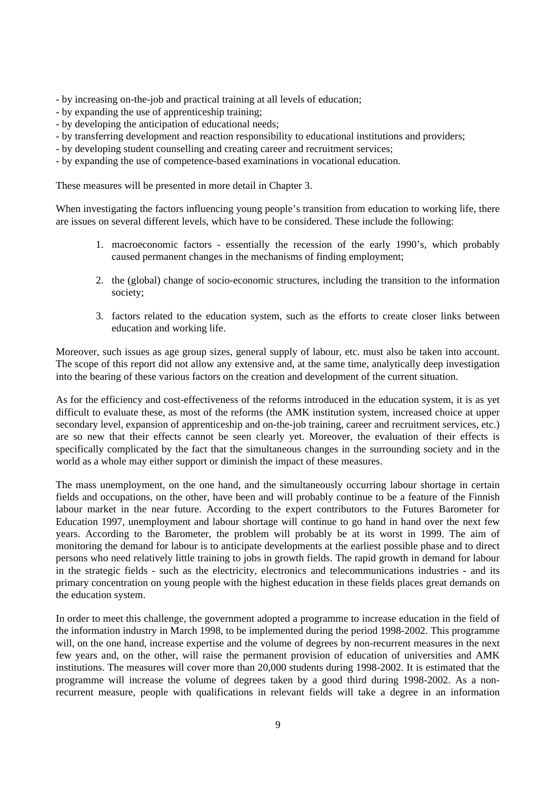- by increasing on-the-job and practical training at all levels of education;

- by expanding the use of apprenticeship training;
- by developing the anticipation of educational needs;
- by transferring development and reaction responsibility to educational institutions and providers;
- by developing student counselling and creating career and recruitment services;
- by expanding the use of competence-based examinations in vocational education.

These measures will be presented in more detail in Chapter 3.

When investigating the factors influencing young people's transition from education to working life, there are issues on several different levels, which have to be considered. These include the following:

- 1. macroeconomic factors essentially the recession of the early 1990's, which probably caused permanent changes in the mechanisms of finding employment;
- 2. the (global) change of socio-economic structures, including the transition to the information society;
- 3. factors related to the education system, such as the efforts to create closer links between education and working life.

Moreover, such issues as age group sizes, general supply of labour, etc. must also be taken into account. The scope of this report did not allow any extensive and, at the same time, analytically deep investigation into the bearing of these various factors on the creation and development of the current situation.

As for the efficiency and cost-effectiveness of the reforms introduced in the education system, it is as yet difficult to evaluate these, as most of the reforms (the AMK institution system, increased choice at upper secondary level, expansion of apprenticeship and on-the-job training, career and recruitment services, etc.) are so new that their effects cannot be seen clearly yet. Moreover, the evaluation of their effects is specifically complicated by the fact that the simultaneous changes in the surrounding society and in the world as a whole may either support or diminish the impact of these measures.

The mass unemployment, on the one hand, and the simultaneously occurring labour shortage in certain fields and occupations, on the other, have been and will probably continue to be a feature of the Finnish labour market in the near future. According to the expert contributors to the Futures Barometer for Education 1997, unemployment and labour shortage will continue to go hand in hand over the next few years. According to the Barometer, the problem will probably be at its worst in 1999. The aim of monitoring the demand for labour is to anticipate developments at the earliest possible phase and to direct persons who need relatively little training to jobs in growth fields. The rapid growth in demand for labour in the strategic fields - such as the electricity, electronics and telecommunications industries - and its primary concentration on young people with the highest education in these fields places great demands on the education system.

In order to meet this challenge, the government adopted a programme to increase education in the field of the information industry in March 1998, to be implemented during the period 1998-2002. This programme will, on the one hand, increase expertise and the volume of degrees by non-recurrent measures in the next few years and, on the other, will raise the permanent provision of education of universities and AMK institutions. The measures will cover more than 20,000 students during 1998-2002. It is estimated that the programme will increase the volume of degrees taken by a good third during 1998-2002. As a nonrecurrent measure, people with qualifications in relevant fields will take a degree in an information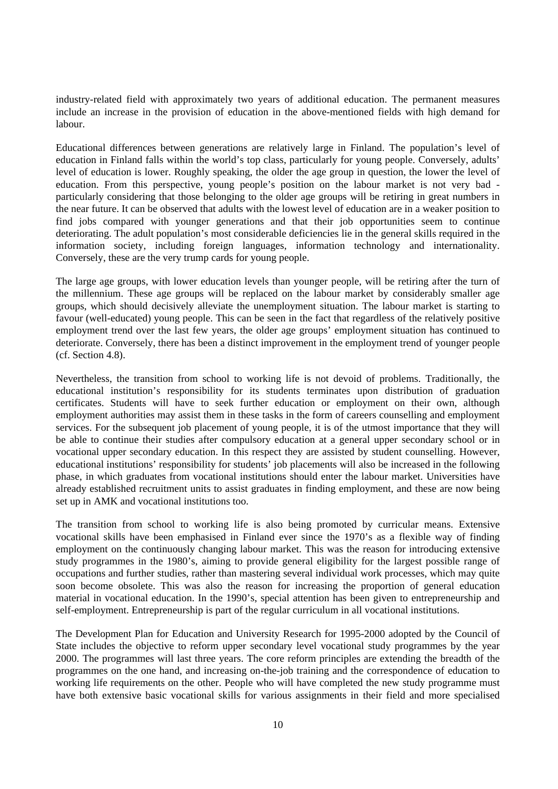industry-related field with approximately two years of additional education. The permanent measures include an increase in the provision of education in the above-mentioned fields with high demand for labour.

Educational differences between generations are relatively large in Finland. The population's level of education in Finland falls within the world's top class, particularly for young people. Conversely, adults' level of education is lower. Roughly speaking, the older the age group in question, the lower the level of education. From this perspective, young people's position on the labour market is not very bad particularly considering that those belonging to the older age groups will be retiring in great numbers in the near future. It can be observed that adults with the lowest level of education are in a weaker position to find jobs compared with younger generations and that their job opportunities seem to continue deteriorating. The adult population's most considerable deficiencies lie in the general skills required in the information society, including foreign languages, information technology and internationality. Conversely, these are the very trump cards for young people.

The large age groups, with lower education levels than younger people, will be retiring after the turn of the millennium. These age groups will be replaced on the labour market by considerably smaller age groups, which should decisively alleviate the unemployment situation. The labour market is starting to favour (well-educated) young people. This can be seen in the fact that regardless of the relatively positive employment trend over the last few years, the older age groups' employment situation has continued to deteriorate. Conversely, there has been a distinct improvement in the employment trend of younger people (cf. Section 4.8).

Nevertheless, the transition from school to working life is not devoid of problems. Traditionally, the educational institution's responsibility for its students terminates upon distribution of graduation certificates. Students will have to seek further education or employment on their own, although employment authorities may assist them in these tasks in the form of careers counselling and employment services. For the subsequent job placement of young people, it is of the utmost importance that they will be able to continue their studies after compulsory education at a general upper secondary school or in vocational upper secondary education. In this respect they are assisted by student counselling. However, educational institutions' responsibility for students' job placements will also be increased in the following phase, in which graduates from vocational institutions should enter the labour market. Universities have already established recruitment units to assist graduates in finding employment, and these are now being set up in AMK and vocational institutions too.

The transition from school to working life is also being promoted by curricular means. Extensive vocational skills have been emphasised in Finland ever since the 1970's as a flexible way of finding employment on the continuously changing labour market. This was the reason for introducing extensive study programmes in the 1980's, aiming to provide general eligibility for the largest possible range of occupations and further studies, rather than mastering several individual work processes, which may quite soon become obsolete. This was also the reason for increasing the proportion of general education material in vocational education. In the 1990's, special attention has been given to entrepreneurship and self-employment. Entrepreneurship is part of the regular curriculum in all vocational institutions.

The Development Plan for Education and University Research for 1995-2000 adopted by the Council of State includes the objective to reform upper secondary level vocational study programmes by the year 2000. The programmes will last three years. The core reform principles are extending the breadth of the programmes on the one hand, and increasing on-the-job training and the correspondence of education to working life requirements on the other. People who will have completed the new study programme must have both extensive basic vocational skills for various assignments in their field and more specialised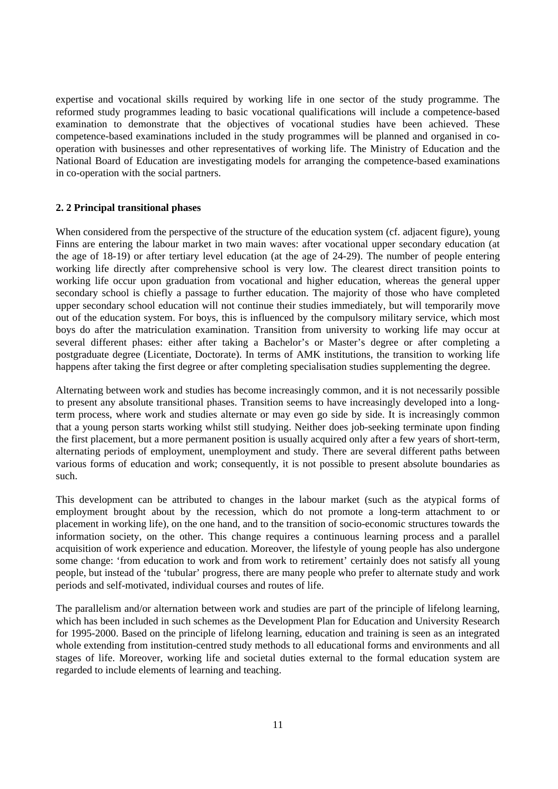expertise and vocational skills required by working life in one sector of the study programme. The reformed study programmes leading to basic vocational qualifications will include a competence-based examination to demonstrate that the objectives of vocational studies have been achieved. These competence-based examinations included in the study programmes will be planned and organised in cooperation with businesses and other representatives of working life. The Ministry of Education and the National Board of Education are investigating models for arranging the competence-based examinations in co-operation with the social partners.

#### **2. 2 Principal transitional phases**

When considered from the perspective of the structure of the education system (cf. adjacent figure), young Finns are entering the labour market in two main waves: after vocational upper secondary education (at the age of 18-19) or after tertiary level education (at the age of 24-29). The number of people entering working life directly after comprehensive school is very low. The clearest direct transition points to working life occur upon graduation from vocational and higher education, whereas the general upper secondary school is chiefly a passage to further education. The majority of those who have completed upper secondary school education will not continue their studies immediately, but will temporarily move out of the education system. For boys, this is influenced by the compulsory military service, which most boys do after the matriculation examination. Transition from university to working life may occur at several different phases: either after taking a Bachelor's or Master's degree or after completing a postgraduate degree (Licentiate, Doctorate). In terms of AMK institutions, the transition to working life happens after taking the first degree or after completing specialisation studies supplementing the degree.

Alternating between work and studies has become increasingly common, and it is not necessarily possible to present any absolute transitional phases. Transition seems to have increasingly developed into a longterm process, where work and studies alternate or may even go side by side. It is increasingly common that a young person starts working whilst still studying. Neither does job-seeking terminate upon finding the first placement, but a more permanent position is usually acquired only after a few years of short-term, alternating periods of employment, unemployment and study. There are several different paths between various forms of education and work; consequently, it is not possible to present absolute boundaries as such.

This development can be attributed to changes in the labour market (such as the atypical forms of employment brought about by the recession, which do not promote a long-term attachment to or placement in working life), on the one hand, and to the transition of socio-economic structures towards the information society, on the other. This change requires a continuous learning process and a parallel acquisition of work experience and education. Moreover, the lifestyle of young people has also undergone some change: 'from education to work and from work to retirement' certainly does not satisfy all young people, but instead of the 'tubular' progress, there are many people who prefer to alternate study and work periods and self-motivated, individual courses and routes of life.

The parallelism and/or alternation between work and studies are part of the principle of lifelong learning, which has been included in such schemes as the Development Plan for Education and University Research for 1995-2000. Based on the principle of lifelong learning, education and training is seen as an integrated whole extending from institution-centred study methods to all educational forms and environments and all stages of life. Moreover, working life and societal duties external to the formal education system are regarded to include elements of learning and teaching.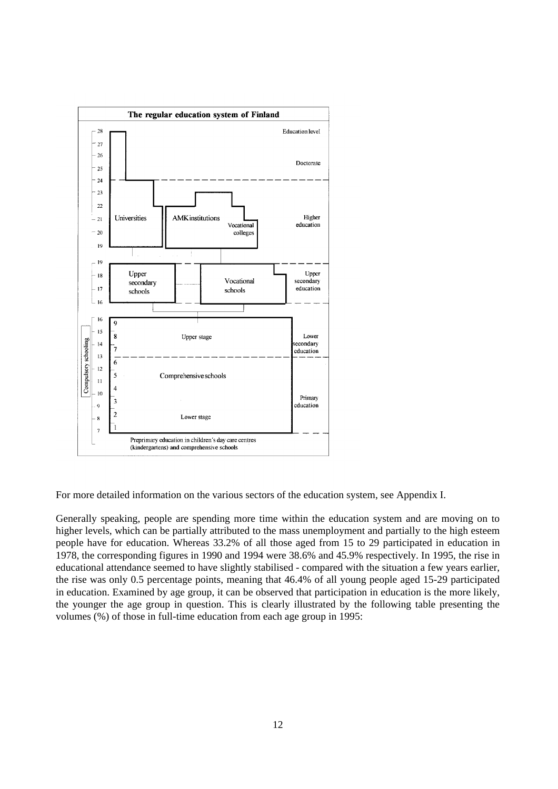

For more detailed information on the various sectors of the education system, see Appendix I.

Generally speaking, people are spending more time within the education system and are moving on to higher levels, which can be partially attributed to the mass unemployment and partially to the high esteem people have for education. Whereas 33.2% of all those aged from 15 to 29 participated in education in 1978, the corresponding figures in 1990 and 1994 were 38.6% and 45.9% respectively. In 1995, the rise in educational attendance seemed to have slightly stabilised - compared with the situation a few years earlier, the rise was only 0.5 percentage points, meaning that 46.4% of all young people aged 15-29 participated in education. Examined by age group, it can be observed that participation in education is the more likely, the younger the age group in question. This is clearly illustrated by the following table presenting the volumes (%) of those in full-time education from each age group in 1995: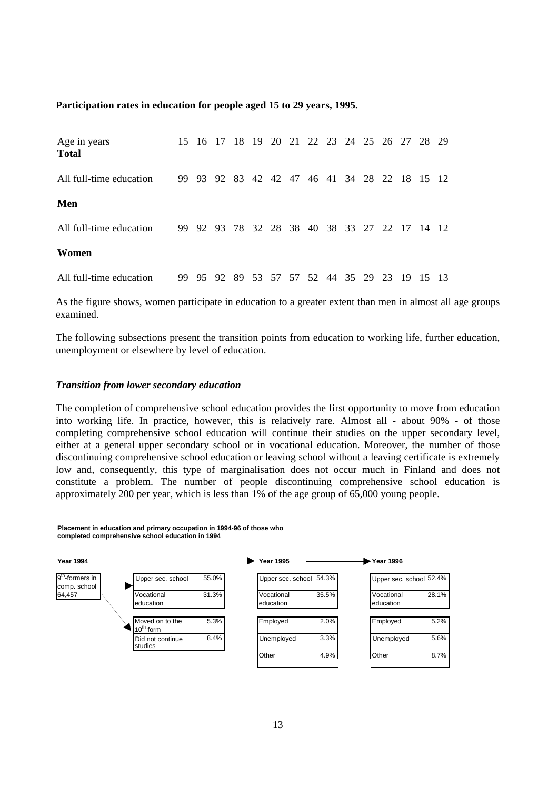#### **Participation rates in education for people aged 15 to 29 years, 1995.**

| Age in years<br><b>Total</b> | 15 16 17 |                                              |  |  |  |  |  | 18 19 20 21 22 23 24 25 26 27 28 29 |  |
|------------------------------|----------|----------------------------------------------|--|--|--|--|--|-------------------------------------|--|
| All full-time education      |          | 99 93 92 83 42 42 47 46 41 34 28 22 18 15 12 |  |  |  |  |  |                                     |  |
| Men                          |          |                                              |  |  |  |  |  |                                     |  |
| All full-time education      |          | 99 92 93 78 32 28 38 40 38 33 27 22 17 14 12 |  |  |  |  |  |                                     |  |
| Women                        |          |                                              |  |  |  |  |  |                                     |  |
| All full-time education      |          | 99 95 92 89 53 57 57 52 44 35 29 23          |  |  |  |  |  | 19 15 13                            |  |

As the figure shows, women participate in education to a greater extent than men in almost all age groups examined.

The following subsections present the transition points from education to working life, further education, unemployment or elsewhere by level of education.

#### *Transition from lower secondary education*

The completion of comprehensive school education provides the first opportunity to move from education into working life. In practice, however, this is relatively rare. Almost all - about 90% - of those completing comprehensive school education will continue their studies on the upper secondary level, either at a general upper secondary school or in vocational education. Moreover, the number of those discontinuing comprehensive school education or leaving school without a leaving certificate is extremely low and, consequently, this type of marginalisation does not occur much in Finland and does not constitute a problem. The number of people discontinuing comprehensive school education is approximately 200 per year, which is less than 1% of the age group of 65,000 young people.

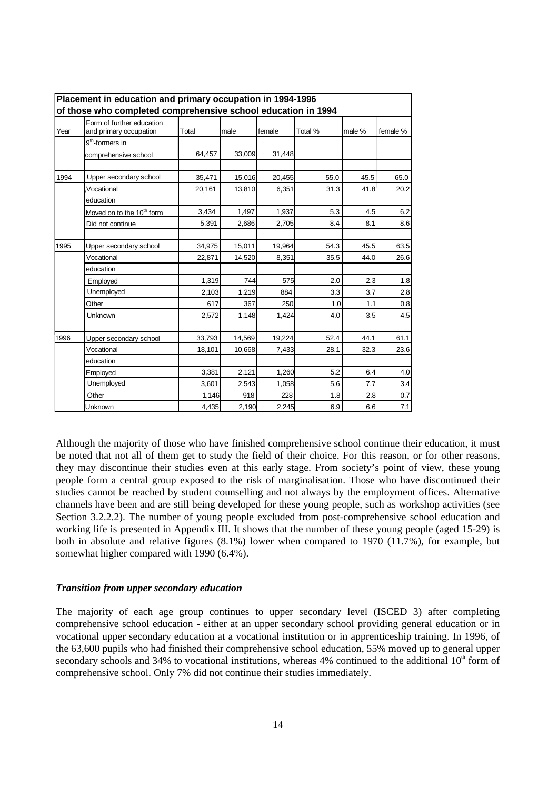|      | Placement in education and primary occupation in 1994-1996<br>of those who completed comprehensive school education in 1994 |        |        |        |         |        |          |  |  |
|------|-----------------------------------------------------------------------------------------------------------------------------|--------|--------|--------|---------|--------|----------|--|--|
| Year | Form of further education<br>and primary occupation                                                                         | Total  | male   | female | Total % | male % | female % |  |  |
|      | 9 <sup>th</sup> -formers in                                                                                                 |        |        |        |         |        |          |  |  |
|      | comprehensive school                                                                                                        | 64,457 | 33,009 | 31,448 |         |        |          |  |  |
| 1994 | Upper secondary school                                                                                                      | 35,471 | 15,016 | 20,455 | 55.0    | 45.5   | 65.0     |  |  |
|      | Vocational                                                                                                                  | 20,161 | 13,810 | 6,351  | 31.3    | 41.8   | 20.2     |  |  |
|      | education                                                                                                                   |        |        |        |         |        |          |  |  |
|      | Moved on to the 10 <sup>th</sup> form                                                                                       | 3,434  | 1,497  | 1,937  | 5.3     | 4.5    | 6.2      |  |  |
|      | Did not continue                                                                                                            | 5,391  | 2,686  | 2,705  | 8.4     | 8.1    | 8.6      |  |  |
| 1995 | Upper secondary school                                                                                                      | 34,975 | 15,011 | 19,964 | 54.3    | 45.5   | 63.5     |  |  |
|      | Vocational                                                                                                                  | 22,871 | 14,520 | 8,351  | 35.5    | 44.0   | 26.6     |  |  |
|      | education                                                                                                                   |        |        |        |         |        |          |  |  |
|      | Employed                                                                                                                    | 1,319  | 744    | 575    | 2.0     | 2.3    | 1.8      |  |  |
|      | Unemployed                                                                                                                  | 2,103  | 1,219  | 884    | 3.3     | 3.7    | 2.8      |  |  |
|      | Other                                                                                                                       | 617    | 367    | 250    | 1.0     | 1.1    | 0.8      |  |  |
|      | Unknown                                                                                                                     | 2,572  | 1,148  | 1,424  | 4.0     | 3.5    | 4.5      |  |  |
| 1996 | Upper secondary school                                                                                                      | 33,793 | 14,569 | 19,224 | 52.4    | 44.1   | 61.1     |  |  |
|      | Vocational                                                                                                                  | 18,101 | 10,668 | 7,433  | 28.1    | 32.3   | 23.6     |  |  |
|      | education                                                                                                                   |        |        |        |         |        |          |  |  |
|      | Employed                                                                                                                    | 3,381  | 2,121  | 1,260  | 5.2     | 6.4    | 4.0      |  |  |
|      | Unemployed                                                                                                                  | 3,601  | 2,543  | 1,058  | 5.6     | 7.7    | 3.4      |  |  |
|      | Other                                                                                                                       | 1,146  | 918    | 228    | 1.8     | 2.8    | 0.7      |  |  |
|      | Unknown                                                                                                                     | 4,435  | 2,190  | 2,245  | 6.9     | 6.6    | 7.1      |  |  |

Although the majority of those who have finished comprehensive school continue their education, it must be noted that not all of them get to study the field of their choice. For this reason, or for other reasons, they may discontinue their studies even at this early stage. From society's point of view, these young people form a central group exposed to the risk of marginalisation. Those who have discontinued their studies cannot be reached by student counselling and not always by the employment offices. Alternative channels have been and are still being developed for these young people, such as workshop activities (see Section 3.2.2.2). The number of young people excluded from post-comprehensive school education and working life is presented in Appendix III. It shows that the number of these young people (aged 15-29) is both in absolute and relative figures (8.1%) lower when compared to 1970 (11.7%), for example, but somewhat higher compared with 1990 (6.4%).

#### *Transition from upper secondary education*

The majority of each age group continues to upper secondary level (ISCED 3) after completing comprehensive school education - either at an upper secondary school providing general education or in vocational upper secondary education at a vocational institution or in apprenticeship training. In 1996, of the 63,600 pupils who had finished their comprehensive school education, 55% moved up to general upper secondary schools and 34% to vocational institutions, whereas 4% continued to the additional  $10<sup>th</sup>$  form of comprehensive school. Only 7% did not continue their studies immediately.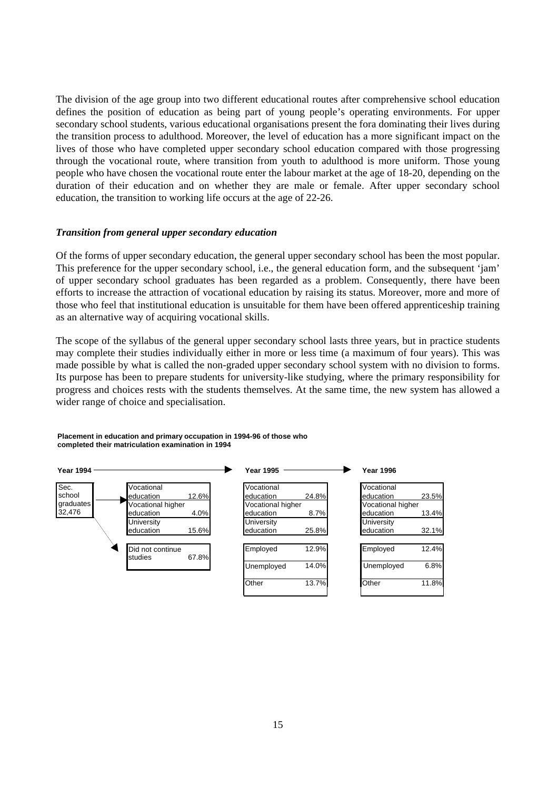The division of the age group into two different educational routes after comprehensive school education defines the position of education as being part of young people's operating environments. For upper secondary school students, various educational organisations present the fora dominating their lives during the transition process to adulthood. Moreover, the level of education has a more significant impact on the lives of those who have completed upper secondary school education compared with those progressing through the vocational route, where transition from youth to adulthood is more uniform. Those young people who have chosen the vocational route enter the labour market at the age of 18-20, depending on the duration of their education and on whether they are male or female. After upper secondary school education, the transition to working life occurs at the age of 22-26.

#### *Transition from general upper secondary education*

Of the forms of upper secondary education, the general upper secondary school has been the most popular. This preference for the upper secondary school, i.e., the general education form, and the subsequent 'jam' of upper secondary school graduates has been regarded as a problem. Consequently, there have been efforts to increase the attraction of vocational education by raising its status. Moreover, more and more of those who feel that institutional education is unsuitable for them have been offered apprenticeship training as an alternative way of acquiring vocational skills.

The scope of the syllabus of the general upper secondary school lasts three years, but in practice students may complete their studies individually either in more or less time (a maximum of four years). This was made possible by what is called the non-graded upper secondary school system with no division to forms. Its purpose has been to prepare students for university-like studying, where the primary responsibility for progress and choices rests with the students themselves. At the same time, the new system has allowed a wider range of choice and specialisation.

**Placement in education and primary occupation in 1994-96 of those who completed their matriculation examination in 1994**

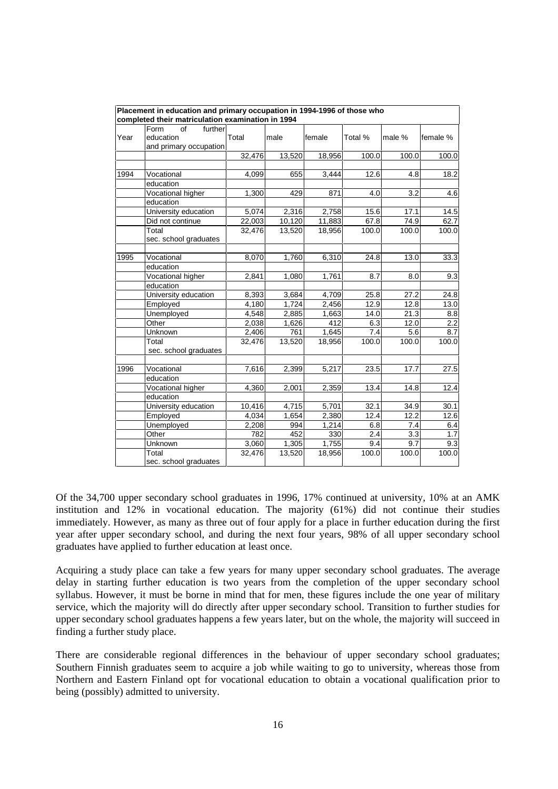|      | Placement in education and primary occupation in 1994-1996 of those who |        |        |        |         |        |          |
|------|-------------------------------------------------------------------------|--------|--------|--------|---------|--------|----------|
|      | completed their matriculation examination in 1994                       |        |        |        |         |        |          |
| Year | Form<br>further<br>of<br>education<br>and primary occupation            | Total  | male   | female | Total % | male % | female % |
|      |                                                                         | 32,476 | 13,520 | 18,956 | 100.0   | 100.0  | 100.0    |
|      |                                                                         |        |        |        |         |        |          |
| 1994 | Vocational                                                              | 4,099  | 655    | 3,444  | 12.6    | 4.8    | 18.2     |
|      | education                                                               |        |        |        |         |        |          |
|      | Vocational higher                                                       | 1,300  | 429    | 871    | 4.0     | 3.2    | 4.6      |
|      | education                                                               |        |        |        |         |        |          |
|      | University education                                                    | 5,074  | 2,316  | 2,758  | 15.6    | 17.1   | 14.5     |
|      | Did not continue                                                        | 22,003 | 10,120 | 11,883 | 67.8    | 74.9   | 62.7     |
|      | Total                                                                   | 32,476 | 13,520 | 18,956 | 100.0   | 100.0  | 100.0    |
|      | sec. school graduates                                                   |        |        |        |         |        |          |
| 1995 | Vocational                                                              | 8,070  | 1,760  | 6,310  | 24.8    | 13.0   | 33.3     |
|      | education                                                               |        |        |        |         |        |          |
|      | Vocational higher                                                       | 2,841  | 1,080  | 1,761  | 8.7     | 8.0    | 9.3      |
|      | education                                                               |        |        |        |         |        |          |
|      | University education                                                    | 8,393  | 3,684  | 4,709  | 25.8    | 27.2   | 24.8     |
|      | Employed                                                                | 4,180  | 1,724  | 2,456  | 12.9    | 12.8   | 13.0     |
|      | <b>Unemployed</b>                                                       | 4,548  | 2,885  | 1,663  | 14.0    | 21.3   | 8.8      |
|      | Other                                                                   | 2,038  | 1,626  | 412    | 6.3     | 12.0   | 2.2      |
|      | Unknown                                                                 | 2,406  | 761    | 1,645  | 7.4     | 5.6    | 8.7      |
|      | Total                                                                   | 32,476 | 13,520 | 18,956 | 100.0   | 100.0  | 100.0    |
|      | sec. school graduates                                                   |        |        |        |         |        |          |
|      |                                                                         |        |        |        |         |        |          |
| 1996 | Vocational                                                              | 7,616  | 2,399  | 5,217  | 23.5    | 17.7   | 27.5     |
|      | education                                                               |        |        |        |         |        |          |
|      | Vocational higher                                                       | 4,360  | 2,001  | 2,359  | 13.4    | 14.8   | 12.4     |
|      | education                                                               |        |        |        |         |        |          |
|      | University education                                                    | 10,416 | 4,715  | 5,701  | 32.1    | 34.9   | 30.1     |
|      | Employed                                                                | 4,034  | 1,654  | 2,380  | 12.4    | 12.2   | 12.6     |
|      | Unemployed                                                              | 2,208  | 994    | 1,214  | 6.8     | 7.4    | 6.4      |
|      | Other                                                                   | 782    | 452    | 330    | 2.4     | 3.3    | 1.7      |
|      | Unknown                                                                 | 3,060  | 1,305  | 1,755  | 9.4     | 9.7    | 9.3      |
|      | Total<br>sec. school graduates                                          | 32,476 | 13,520 | 18,956 | 100.0   | 100.0  | 100.0    |

Of the 34,700 upper secondary school graduates in 1996, 17% continued at university, 10% at an AMK institution and 12% in vocational education. The majority (61%) did not continue their studies immediately. However, as many as three out of four apply for a place in further education during the first year after upper secondary school, and during the next four years, 98% of all upper secondary school graduates have applied to further education at least once.

Acquiring a study place can take a few years for many upper secondary school graduates. The average delay in starting further education is two years from the completion of the upper secondary school syllabus. However, it must be borne in mind that for men, these figures include the one year of military service, which the majority will do directly after upper secondary school. Transition to further studies for upper secondary school graduates happens a few years later, but on the whole, the majority will succeed in finding a further study place.

There are considerable regional differences in the behaviour of upper secondary school graduates; Southern Finnish graduates seem to acquire a job while waiting to go to university, whereas those from Northern and Eastern Finland opt for vocational education to obtain a vocational qualification prior to being (possibly) admitted to university.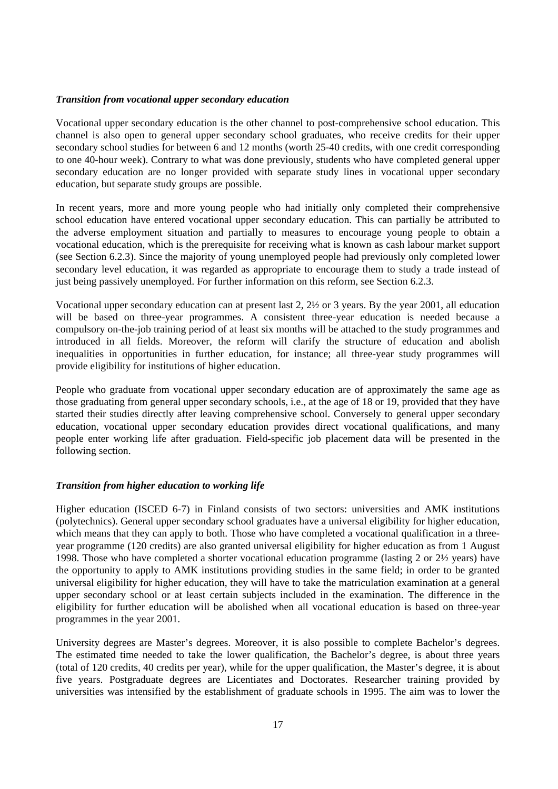#### *Transition from vocational upper secondary education*

Vocational upper secondary education is the other channel to post-comprehensive school education. This channel is also open to general upper secondary school graduates, who receive credits for their upper secondary school studies for between 6 and 12 months (worth 25-40 credits, with one credit corresponding to one 40-hour week). Contrary to what was done previously, students who have completed general upper secondary education are no longer provided with separate study lines in vocational upper secondary education, but separate study groups are possible.

In recent years, more and more young people who had initially only completed their comprehensive school education have entered vocational upper secondary education. This can partially be attributed to the adverse employment situation and partially to measures to encourage young people to obtain a vocational education, which is the prerequisite for receiving what is known as cash labour market support (see Section 6.2.3). Since the majority of young unemployed people had previously only completed lower secondary level education, it was regarded as appropriate to encourage them to study a trade instead of just being passively unemployed. For further information on this reform, see Section 6.2.3.

Vocational upper secondary education can at present last 2, 2½ or 3 years. By the year 2001, all education will be based on three-year programmes. A consistent three-year education is needed because a compulsory on-the-job training period of at least six months will be attached to the study programmes and introduced in all fields. Moreover, the reform will clarify the structure of education and abolish inequalities in opportunities in further education, for instance; all three-year study programmes will provide eligibility for institutions of higher education.

People who graduate from vocational upper secondary education are of approximately the same age as those graduating from general upper secondary schools, i.e., at the age of 18 or 19, provided that they have started their studies directly after leaving comprehensive school. Conversely to general upper secondary education, vocational upper secondary education provides direct vocational qualifications, and many people enter working life after graduation. Field-specific job placement data will be presented in the following section.

## *Transition from higher education to working life*

Higher education (ISCED 6-7) in Finland consists of two sectors: universities and AMK institutions (polytechnics). General upper secondary school graduates have a universal eligibility for higher education, which means that they can apply to both. Those who have completed a vocational qualification in a threeyear programme (120 credits) are also granted universal eligibility for higher education as from 1 August 1998. Those who have completed a shorter vocational education programme (lasting 2 or 2½ years) have the opportunity to apply to AMK institutions providing studies in the same field; in order to be granted universal eligibility for higher education, they will have to take the matriculation examination at a general upper secondary school or at least certain subjects included in the examination. The difference in the eligibility for further education will be abolished when all vocational education is based on three-year programmes in the year 2001.

University degrees are Master's degrees. Moreover, it is also possible to complete Bachelor's degrees. The estimated time needed to take the lower qualification, the Bachelor's degree, is about three years (total of 120 credits, 40 credits per year), while for the upper qualification, the Master's degree, it is about five years. Postgraduate degrees are Licentiates and Doctorates. Researcher training provided by universities was intensified by the establishment of graduate schools in 1995. The aim was to lower the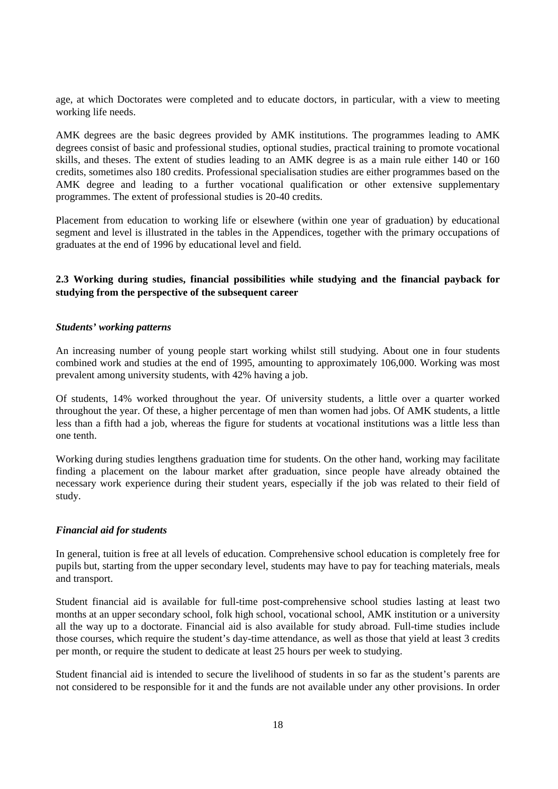age, at which Doctorates were completed and to educate doctors, in particular, with a view to meeting working life needs.

AMK degrees are the basic degrees provided by AMK institutions. The programmes leading to AMK degrees consist of basic and professional studies, optional studies, practical training to promote vocational skills, and theses. The extent of studies leading to an AMK degree is as a main rule either 140 or 160 credits, sometimes also 180 credits. Professional specialisation studies are either programmes based on the AMK degree and leading to a further vocational qualification or other extensive supplementary programmes. The extent of professional studies is 20-40 credits.

Placement from education to working life or elsewhere (within one year of graduation) by educational segment and level is illustrated in the tables in the Appendices, together with the primary occupations of graduates at the end of 1996 by educational level and field.

## **2.3 Working during studies, financial possibilities while studying and the financial payback for studying from the perspective of the subsequent career**

### *Students' working patterns*

An increasing number of young people start working whilst still studying. About one in four students combined work and studies at the end of 1995, amounting to approximately 106,000. Working was most prevalent among university students, with 42% having a job.

Of students, 14% worked throughout the year. Of university students, a little over a quarter worked throughout the year. Of these, a higher percentage of men than women had jobs. Of AMK students, a little less than a fifth had a job, whereas the figure for students at vocational institutions was a little less than one tenth.

Working during studies lengthens graduation time for students. On the other hand, working may facilitate finding a placement on the labour market after graduation, since people have already obtained the necessary work experience during their student years, especially if the job was related to their field of study.

## *Financial aid for students*

In general, tuition is free at all levels of education. Comprehensive school education is completely free for pupils but, starting from the upper secondary level, students may have to pay for teaching materials, meals and transport.

Student financial aid is available for full-time post-comprehensive school studies lasting at least two months at an upper secondary school, folk high school, vocational school, AMK institution or a university all the way up to a doctorate. Financial aid is also available for study abroad. Full-time studies include those courses, which require the student's day-time attendance, as well as those that yield at least 3 credits per month, or require the student to dedicate at least 25 hours per week to studying.

Student financial aid is intended to secure the livelihood of students in so far as the student's parents are not considered to be responsible for it and the funds are not available under any other provisions. In order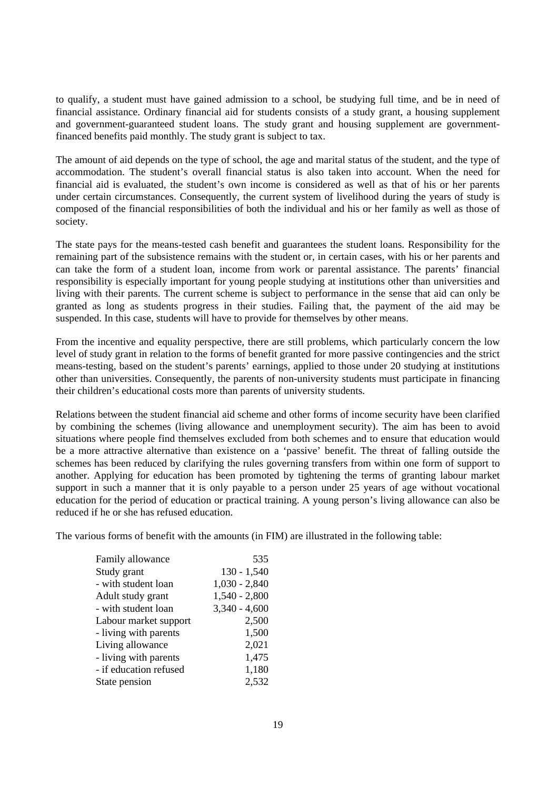to qualify, a student must have gained admission to a school, be studying full time, and be in need of financial assistance. Ordinary financial aid for students consists of a study grant, a housing supplement and government-guaranteed student loans. The study grant and housing supplement are governmentfinanced benefits paid monthly. The study grant is subject to tax.

The amount of aid depends on the type of school, the age and marital status of the student, and the type of accommodation. The student's overall financial status is also taken into account. When the need for financial aid is evaluated, the student's own income is considered as well as that of his or her parents under certain circumstances. Consequently, the current system of livelihood during the years of study is composed of the financial responsibilities of both the individual and his or her family as well as those of society.

The state pays for the means-tested cash benefit and guarantees the student loans. Responsibility for the remaining part of the subsistence remains with the student or, in certain cases, with his or her parents and can take the form of a student loan, income from work or parental assistance. The parents' financial responsibility is especially important for young people studying at institutions other than universities and living with their parents. The current scheme is subject to performance in the sense that aid can only be granted as long as students progress in their studies. Failing that, the payment of the aid may be suspended. In this case, students will have to provide for themselves by other means.

From the incentive and equality perspective, there are still problems, which particularly concern the low level of study grant in relation to the forms of benefit granted for more passive contingencies and the strict means-testing, based on the student's parents' earnings, applied to those under 20 studying at institutions other than universities. Consequently, the parents of non-university students must participate in financing their children's educational costs more than parents of university students.

Relations between the student financial aid scheme and other forms of income security have been clarified by combining the schemes (living allowance and unemployment security). The aim has been to avoid situations where people find themselves excluded from both schemes and to ensure that education would be a more attractive alternative than existence on a 'passive' benefit. The threat of falling outside the schemes has been reduced by clarifying the rules governing transfers from within one form of support to another. Applying for education has been promoted by tightening the terms of granting labour market support in such a manner that it is only payable to a person under 25 years of age without vocational education for the period of education or practical training. A young person's living allowance can also be reduced if he or she has refused education.

The various forms of benefit with the amounts (in FIM) are illustrated in the following table:

| Family allowance       | 535             |
|------------------------|-----------------|
| Study grant            | $130 - 1,540$   |
| - with student loan    | $1,030 - 2,840$ |
| Adult study grant      | $1,540 - 2,800$ |
| - with student loan    | $3,340 - 4,600$ |
| Labour market support  | 2,500           |
| - living with parents  | 1,500           |
| Living allowance       | 2,021           |
| - living with parents  | 1,475           |
| - if education refused | 1,180           |
| State pension          | 2,532           |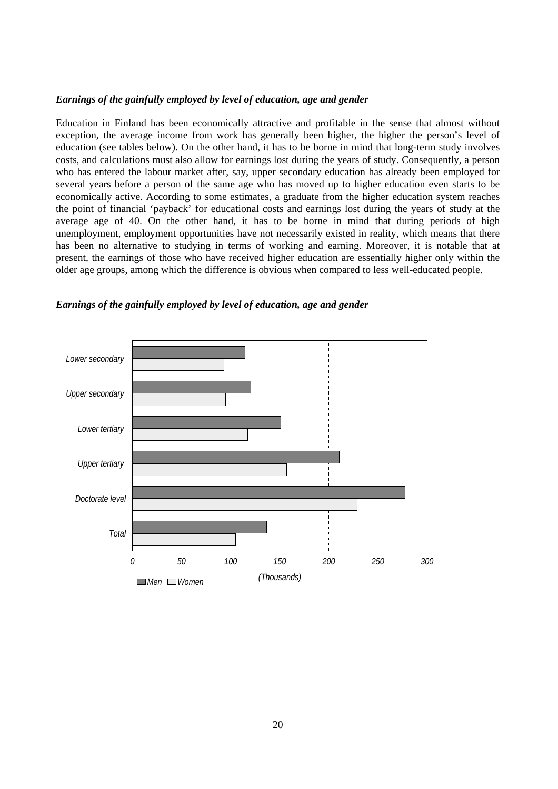#### *Earnings of the gainfully employed by level of education, age and gender*

Education in Finland has been economically attractive and profitable in the sense that almost without exception, the average income from work has generally been higher, the higher the person's level of education (see tables below). On the other hand, it has to be borne in mind that long-term study involves costs, and calculations must also allow for earnings lost during the years of study. Consequently, a person who has entered the labour market after, say, upper secondary education has already been employed for several years before a person of the same age who has moved up to higher education even starts to be economically active. According to some estimates, a graduate from the higher education system reaches the point of financial 'payback' for educational costs and earnings lost during the years of study at the average age of 40. On the other hand, it has to be borne in mind that during periods of high unemployment, employment opportunities have not necessarily existed in reality, which means that there has been no alternative to studying in terms of working and earning. Moreover, it is notable that at present, the earnings of those who have received higher education are essentially higher only within the older age groups, among which the difference is obvious when compared to less well-educated people.



*Earnings of the gainfully employed by level of education, age and gender*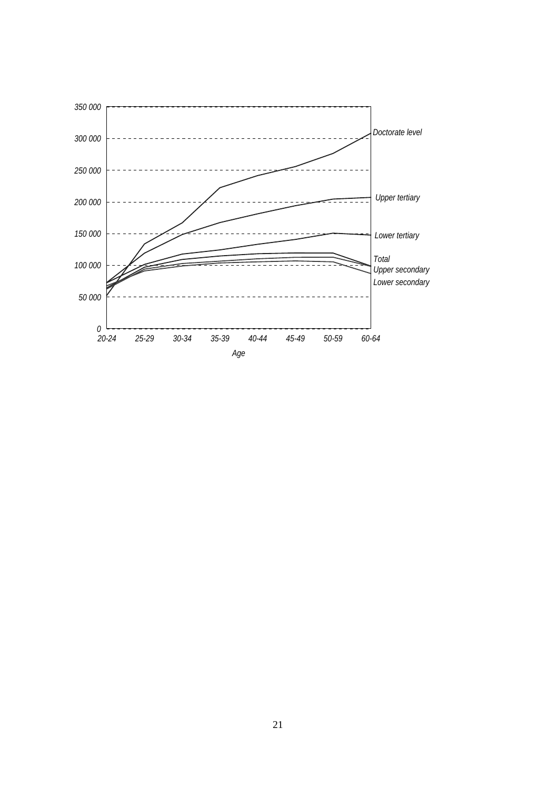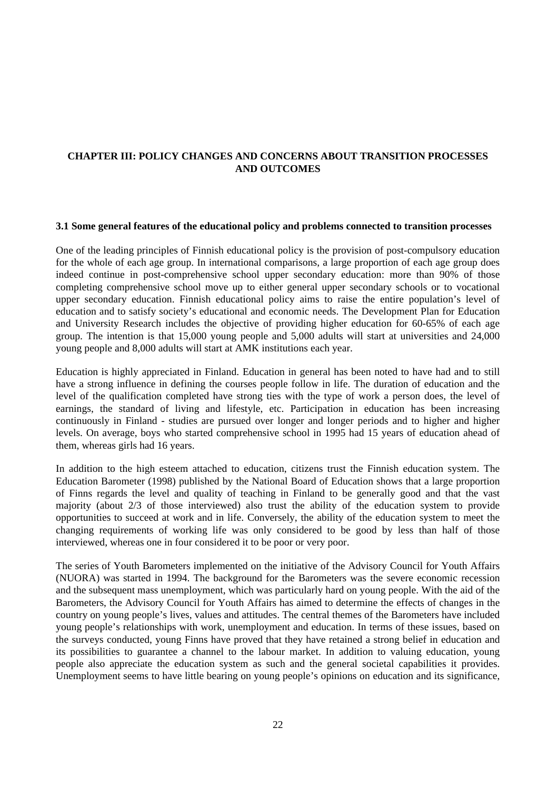# **CHAPTER III: POLICY CHANGES AND CONCERNS ABOUT TRANSITION PROCESSES AND OUTCOMES**

#### **3.1 Some general features of the educational policy and problems connected to transition processes**

One of the leading principles of Finnish educational policy is the provision of post-compulsory education for the whole of each age group. In international comparisons, a large proportion of each age group does indeed continue in post-comprehensive school upper secondary education: more than 90% of those completing comprehensive school move up to either general upper secondary schools or to vocational upper secondary education. Finnish educational policy aims to raise the entire population's level of education and to satisfy society's educational and economic needs. The Development Plan for Education and University Research includes the objective of providing higher education for 60-65% of each age group. The intention is that 15,000 young people and 5,000 adults will start at universities and 24,000 young people and 8,000 adults will start at AMK institutions each year.

Education is highly appreciated in Finland. Education in general has been noted to have had and to still have a strong influence in defining the courses people follow in life. The duration of education and the level of the qualification completed have strong ties with the type of work a person does, the level of earnings, the standard of living and lifestyle, etc. Participation in education has been increasing continuously in Finland - studies are pursued over longer and longer periods and to higher and higher levels. On average, boys who started comprehensive school in 1995 had 15 years of education ahead of them, whereas girls had 16 years.

In addition to the high esteem attached to education, citizens trust the Finnish education system. The Education Barometer (1998) published by the National Board of Education shows that a large proportion of Finns regards the level and quality of teaching in Finland to be generally good and that the vast majority (about 2/3 of those interviewed) also trust the ability of the education system to provide opportunities to succeed at work and in life. Conversely, the ability of the education system to meet the changing requirements of working life was only considered to be good by less than half of those interviewed, whereas one in four considered it to be poor or very poor.

The series of Youth Barometers implemented on the initiative of the Advisory Council for Youth Affairs (NUORA) was started in 1994. The background for the Barometers was the severe economic recession and the subsequent mass unemployment, which was particularly hard on young people. With the aid of the Barometers, the Advisory Council for Youth Affairs has aimed to determine the effects of changes in the country on young people's lives, values and attitudes. The central themes of the Barometers have included young people's relationships with work, unemployment and education. In terms of these issues, based on the surveys conducted, young Finns have proved that they have retained a strong belief in education and its possibilities to guarantee a channel to the labour market. In addition to valuing education, young people also appreciate the education system as such and the general societal capabilities it provides. Unemployment seems to have little bearing on young people's opinions on education and its significance,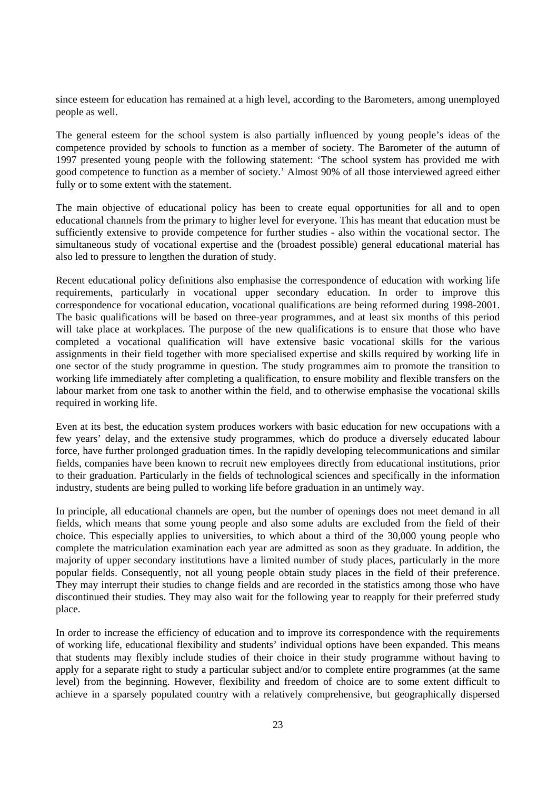since esteem for education has remained at a high level, according to the Barometers, among unemployed people as well.

The general esteem for the school system is also partially influenced by young people's ideas of the competence provided by schools to function as a member of society. The Barometer of the autumn of 1997 presented young people with the following statement: 'The school system has provided me with good competence to function as a member of society.' Almost 90% of all those interviewed agreed either fully or to some extent with the statement.

The main objective of educational policy has been to create equal opportunities for all and to open educational channels from the primary to higher level for everyone. This has meant that education must be sufficiently extensive to provide competence for further studies - also within the vocational sector. The simultaneous study of vocational expertise and the (broadest possible) general educational material has also led to pressure to lengthen the duration of study.

Recent educational policy definitions also emphasise the correspondence of education with working life requirements, particularly in vocational upper secondary education. In order to improve this correspondence for vocational education, vocational qualifications are being reformed during 1998-2001. The basic qualifications will be based on three-year programmes, and at least six months of this period will take place at workplaces. The purpose of the new qualifications is to ensure that those who have completed a vocational qualification will have extensive basic vocational skills for the various assignments in their field together with more specialised expertise and skills required by working life in one sector of the study programme in question. The study programmes aim to promote the transition to working life immediately after completing a qualification, to ensure mobility and flexible transfers on the labour market from one task to another within the field, and to otherwise emphasise the vocational skills required in working life.

Even at its best, the education system produces workers with basic education for new occupations with a few years' delay, and the extensive study programmes, which do produce a diversely educated labour force, have further prolonged graduation times. In the rapidly developing telecommunications and similar fields, companies have been known to recruit new employees directly from educational institutions, prior to their graduation. Particularly in the fields of technological sciences and specifically in the information industry, students are being pulled to working life before graduation in an untimely way.

In principle, all educational channels are open, but the number of openings does not meet demand in all fields, which means that some young people and also some adults are excluded from the field of their choice. This especially applies to universities, to which about a third of the 30,000 young people who complete the matriculation examination each year are admitted as soon as they graduate. In addition, the majority of upper secondary institutions have a limited number of study places, particularly in the more popular fields. Consequently, not all young people obtain study places in the field of their preference. They may interrupt their studies to change fields and are recorded in the statistics among those who have discontinued their studies. They may also wait for the following year to reapply for their preferred study place.

In order to increase the efficiency of education and to improve its correspondence with the requirements of working life, educational flexibility and students' individual options have been expanded. This means that students may flexibly include studies of their choice in their study programme without having to apply for a separate right to study a particular subject and/or to complete entire programmes (at the same level) from the beginning. However, flexibility and freedom of choice are to some extent difficult to achieve in a sparsely populated country with a relatively comprehensive, but geographically dispersed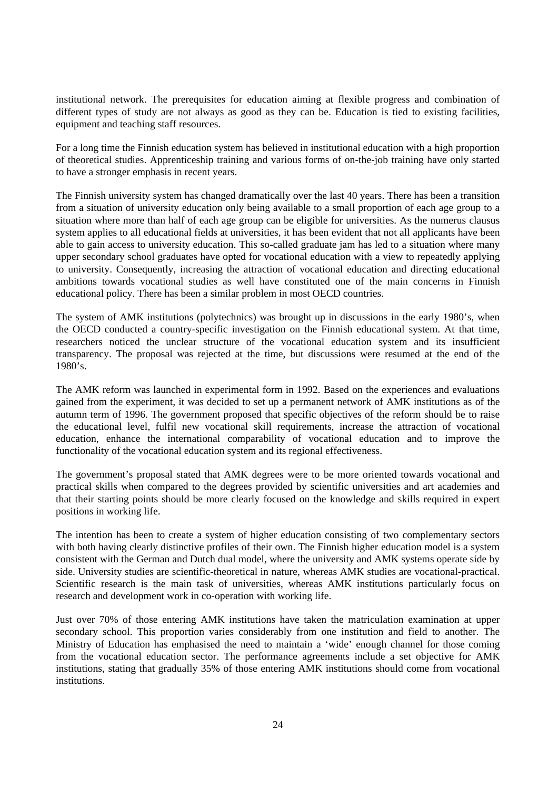institutional network. The prerequisites for education aiming at flexible progress and combination of different types of study are not always as good as they can be. Education is tied to existing facilities, equipment and teaching staff resources.

For a long time the Finnish education system has believed in institutional education with a high proportion of theoretical studies. Apprenticeship training and various forms of on-the-job training have only started to have a stronger emphasis in recent years.

The Finnish university system has changed dramatically over the last 40 years. There has been a transition from a situation of university education only being available to a small proportion of each age group to a situation where more than half of each age group can be eligible for universities. As the numerus clausus system applies to all educational fields at universities, it has been evident that not all applicants have been able to gain access to university education. This so-called graduate jam has led to a situation where many upper secondary school graduates have opted for vocational education with a view to repeatedly applying to university. Consequently, increasing the attraction of vocational education and directing educational ambitions towards vocational studies as well have constituted one of the main concerns in Finnish educational policy. There has been a similar problem in most OECD countries.

The system of AMK institutions (polytechnics) was brought up in discussions in the early 1980's, when the OECD conducted a country-specific investigation on the Finnish educational system. At that time, researchers noticed the unclear structure of the vocational education system and its insufficient transparency. The proposal was rejected at the time, but discussions were resumed at the end of the 1980's.

The AMK reform was launched in experimental form in 1992. Based on the experiences and evaluations gained from the experiment, it was decided to set up a permanent network of AMK institutions as of the autumn term of 1996. The government proposed that specific objectives of the reform should be to raise the educational level, fulfil new vocational skill requirements, increase the attraction of vocational education, enhance the international comparability of vocational education and to improve the functionality of the vocational education system and its regional effectiveness.

The government's proposal stated that AMK degrees were to be more oriented towards vocational and practical skills when compared to the degrees provided by scientific universities and art academies and that their starting points should be more clearly focused on the knowledge and skills required in expert positions in working life.

The intention has been to create a system of higher education consisting of two complementary sectors with both having clearly distinctive profiles of their own. The Finnish higher education model is a system consistent with the German and Dutch dual model, where the university and AMK systems operate side by side. University studies are scientific-theoretical in nature, whereas AMK studies are vocational-practical. Scientific research is the main task of universities, whereas AMK institutions particularly focus on research and development work in co-operation with working life.

Just over 70% of those entering AMK institutions have taken the matriculation examination at upper secondary school. This proportion varies considerably from one institution and field to another. The Ministry of Education has emphasised the need to maintain a 'wide' enough channel for those coming from the vocational education sector. The performance agreements include a set objective for AMK institutions, stating that gradually 35% of those entering AMK institutions should come from vocational institutions.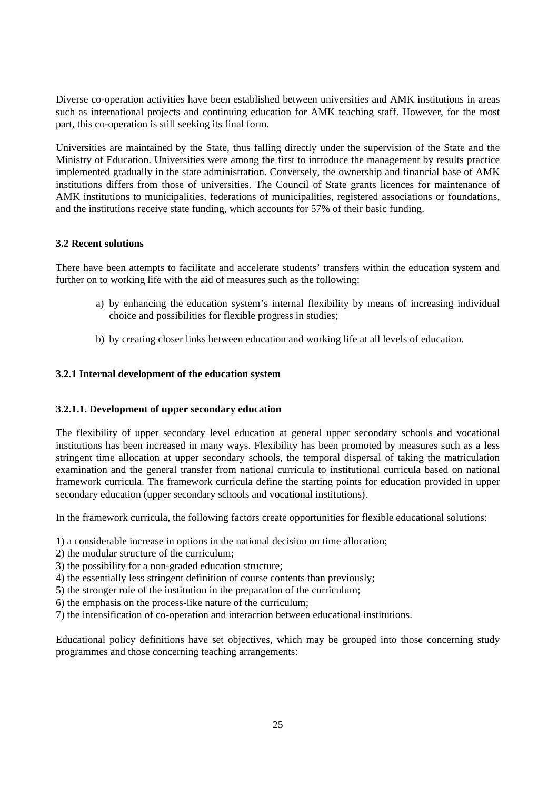Diverse co-operation activities have been established between universities and AMK institutions in areas such as international projects and continuing education for AMK teaching staff. However, for the most part, this co-operation is still seeking its final form.

Universities are maintained by the State, thus falling directly under the supervision of the State and the Ministry of Education. Universities were among the first to introduce the management by results practice implemented gradually in the state administration. Conversely, the ownership and financial base of AMK institutions differs from those of universities. The Council of State grants licences for maintenance of AMK institutions to municipalities, federations of municipalities, registered associations or foundations, and the institutions receive state funding, which accounts for 57% of their basic funding.

## **3.2 Recent solutions**

There have been attempts to facilitate and accelerate students' transfers within the education system and further on to working life with the aid of measures such as the following:

- a) by enhancing the education system's internal flexibility by means of increasing individual choice and possibilities for flexible progress in studies;
- b) by creating closer links between education and working life at all levels of education.

### **3.2.1 Internal development of the education system**

#### **3.2.1.1. Development of upper secondary education**

The flexibility of upper secondary level education at general upper secondary schools and vocational institutions has been increased in many ways. Flexibility has been promoted by measures such as a less stringent time allocation at upper secondary schools, the temporal dispersal of taking the matriculation examination and the general transfer from national curricula to institutional curricula based on national framework curricula. The framework curricula define the starting points for education provided in upper secondary education (upper secondary schools and vocational institutions).

In the framework curricula, the following factors create opportunities for flexible educational solutions:

- 1) a considerable increase in options in the national decision on time allocation;
- 2) the modular structure of the curriculum;
- 3) the possibility for a non-graded education structure;
- 4) the essentially less stringent definition of course contents than previously;
- 5) the stronger role of the institution in the preparation of the curriculum;
- 6) the emphasis on the process-like nature of the curriculum;
- 7) the intensification of co-operation and interaction between educational institutions.

Educational policy definitions have set objectives, which may be grouped into those concerning study programmes and those concerning teaching arrangements: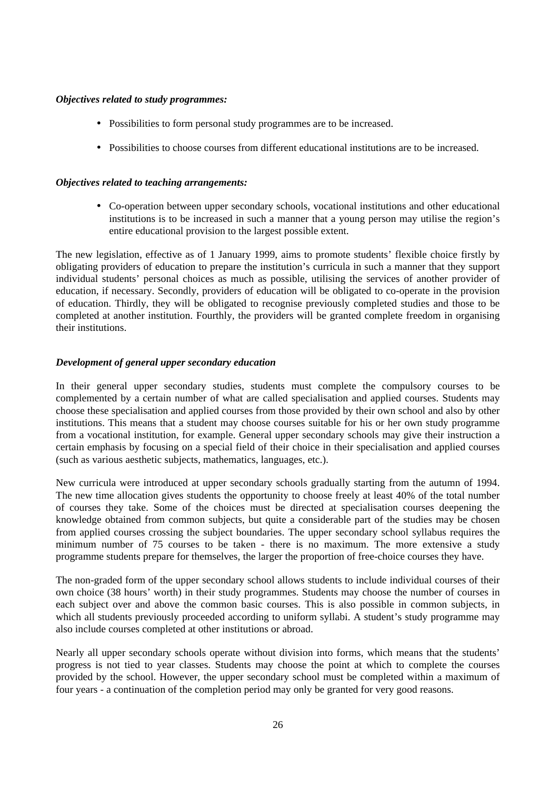## *Objectives related to study programmes:*

- Possibilities to form personal study programmes are to be increased.
- Possibilities to choose courses from different educational institutions are to be increased.

## *Objectives related to teaching arrangements:*

• Co-operation between upper secondary schools, vocational institutions and other educational institutions is to be increased in such a manner that a young person may utilise the region's entire educational provision to the largest possible extent.

The new legislation, effective as of 1 January 1999, aims to promote students' flexible choice firstly by obligating providers of education to prepare the institution's curricula in such a manner that they support individual students' personal choices as much as possible, utilising the services of another provider of education, if necessary. Secondly, providers of education will be obligated to co-operate in the provision of education. Thirdly, they will be obligated to recognise previously completed studies and those to be completed at another institution. Fourthly, the providers will be granted complete freedom in organising their institutions.

## *Development of general upper secondary education*

In their general upper secondary studies, students must complete the compulsory courses to be complemented by a certain number of what are called specialisation and applied courses. Students may choose these specialisation and applied courses from those provided by their own school and also by other institutions. This means that a student may choose courses suitable for his or her own study programme from a vocational institution, for example. General upper secondary schools may give their instruction a certain emphasis by focusing on a special field of their choice in their specialisation and applied courses (such as various aesthetic subjects, mathematics, languages, etc.).

New curricula were introduced at upper secondary schools gradually starting from the autumn of 1994. The new time allocation gives students the opportunity to choose freely at least 40% of the total number of courses they take. Some of the choices must be directed at specialisation courses deepening the knowledge obtained from common subjects, but quite a considerable part of the studies may be chosen from applied courses crossing the subject boundaries. The upper secondary school syllabus requires the minimum number of 75 courses to be taken - there is no maximum. The more extensive a study programme students prepare for themselves, the larger the proportion of free-choice courses they have.

The non-graded form of the upper secondary school allows students to include individual courses of their own choice (38 hours' worth) in their study programmes. Students may choose the number of courses in each subject over and above the common basic courses. This is also possible in common subjects, in which all students previously proceeded according to uniform syllabi. A student's study programme may also include courses completed at other institutions or abroad.

Nearly all upper secondary schools operate without division into forms, which means that the students' progress is not tied to year classes. Students may choose the point at which to complete the courses provided by the school. However, the upper secondary school must be completed within a maximum of four years - a continuation of the completion period may only be granted for very good reasons.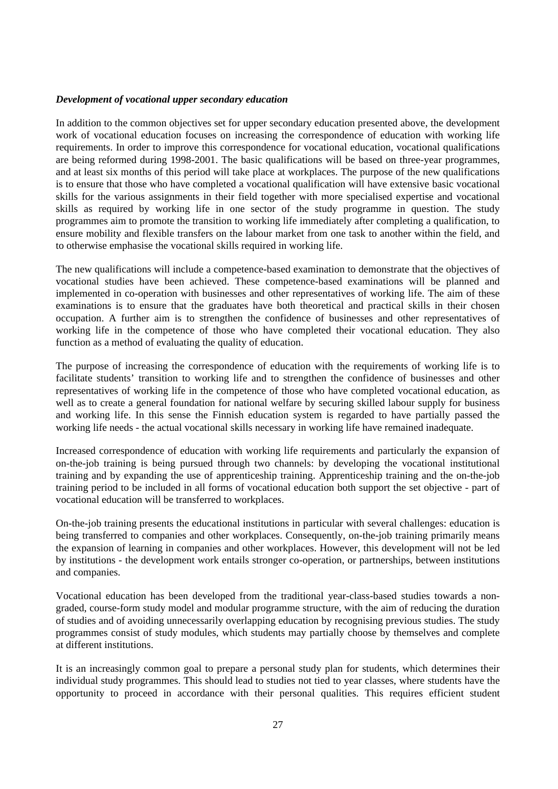## *Development of vocational upper secondary education*

In addition to the common objectives set for upper secondary education presented above, the development work of vocational education focuses on increasing the correspondence of education with working life requirements. In order to improve this correspondence for vocational education, vocational qualifications are being reformed during 1998-2001. The basic qualifications will be based on three-year programmes, and at least six months of this period will take place at workplaces. The purpose of the new qualifications is to ensure that those who have completed a vocational qualification will have extensive basic vocational skills for the various assignments in their field together with more specialised expertise and vocational skills as required by working life in one sector of the study programme in question. The study programmes aim to promote the transition to working life immediately after completing a qualification, to ensure mobility and flexible transfers on the labour market from one task to another within the field, and to otherwise emphasise the vocational skills required in working life.

The new qualifications will include a competence-based examination to demonstrate that the objectives of vocational studies have been achieved. These competence-based examinations will be planned and implemented in co-operation with businesses and other representatives of working life. The aim of these examinations is to ensure that the graduates have both theoretical and practical skills in their chosen occupation. A further aim is to strengthen the confidence of businesses and other representatives of working life in the competence of those who have completed their vocational education. They also function as a method of evaluating the quality of education.

The purpose of increasing the correspondence of education with the requirements of working life is to facilitate students' transition to working life and to strengthen the confidence of businesses and other representatives of working life in the competence of those who have completed vocational education, as well as to create a general foundation for national welfare by securing skilled labour supply for business and working life. In this sense the Finnish education system is regarded to have partially passed the working life needs - the actual vocational skills necessary in working life have remained inadequate.

Increased correspondence of education with working life requirements and particularly the expansion of on-the-job training is being pursued through two channels: by developing the vocational institutional training and by expanding the use of apprenticeship training. Apprenticeship training and the on-the-job training period to be included in all forms of vocational education both support the set objective - part of vocational education will be transferred to workplaces.

On-the-job training presents the educational institutions in particular with several challenges: education is being transferred to companies and other workplaces. Consequently, on-the-job training primarily means the expansion of learning in companies and other workplaces. However, this development will not be led by institutions - the development work entails stronger co-operation, or partnerships, between institutions and companies.

Vocational education has been developed from the traditional year-class-based studies towards a nongraded, course-form study model and modular programme structure, with the aim of reducing the duration of studies and of avoiding unnecessarily overlapping education by recognising previous studies. The study programmes consist of study modules, which students may partially choose by themselves and complete at different institutions.

It is an increasingly common goal to prepare a personal study plan for students, which determines their individual study programmes. This should lead to studies not tied to year classes, where students have the opportunity to proceed in accordance with their personal qualities. This requires efficient student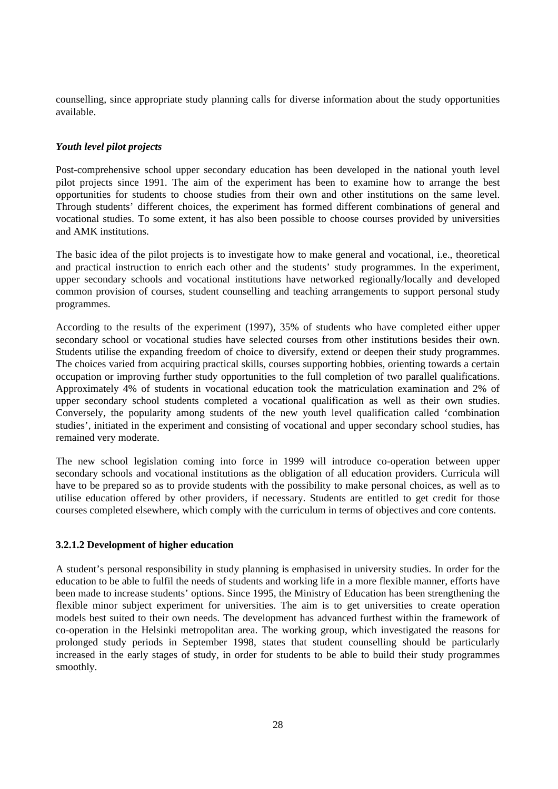counselling, since appropriate study planning calls for diverse information about the study opportunities available.

## *Youth level pilot projects*

Post-comprehensive school upper secondary education has been developed in the national youth level pilot projects since 1991. The aim of the experiment has been to examine how to arrange the best opportunities for students to choose studies from their own and other institutions on the same level. Through students' different choices, the experiment has formed different combinations of general and vocational studies. To some extent, it has also been possible to choose courses provided by universities and AMK institutions.

The basic idea of the pilot projects is to investigate how to make general and vocational, i.e., theoretical and practical instruction to enrich each other and the students' study programmes. In the experiment, upper secondary schools and vocational institutions have networked regionally/locally and developed common provision of courses, student counselling and teaching arrangements to support personal study programmes.

According to the results of the experiment (1997), 35% of students who have completed either upper secondary school or vocational studies have selected courses from other institutions besides their own. Students utilise the expanding freedom of choice to diversify, extend or deepen their study programmes. The choices varied from acquiring practical skills, courses supporting hobbies, orienting towards a certain occupation or improving further study opportunities to the full completion of two parallel qualifications. Approximately 4% of students in vocational education took the matriculation examination and 2% of upper secondary school students completed a vocational qualification as well as their own studies. Conversely, the popularity among students of the new youth level qualification called 'combination studies', initiated in the experiment and consisting of vocational and upper secondary school studies, has remained very moderate.

The new school legislation coming into force in 1999 will introduce co-operation between upper secondary schools and vocational institutions as the obligation of all education providers. Curricula will have to be prepared so as to provide students with the possibility to make personal choices, as well as to utilise education offered by other providers, if necessary. Students are entitled to get credit for those courses completed elsewhere, which comply with the curriculum in terms of objectives and core contents.

## **3.2.1.2 Development of higher education**

A student's personal responsibility in study planning is emphasised in university studies. In order for the education to be able to fulfil the needs of students and working life in a more flexible manner, efforts have been made to increase students' options. Since 1995, the Ministry of Education has been strengthening the flexible minor subject experiment for universities. The aim is to get universities to create operation models best suited to their own needs. The development has advanced furthest within the framework of co-operation in the Helsinki metropolitan area. The working group, which investigated the reasons for prolonged study periods in September 1998, states that student counselling should be particularly increased in the early stages of study, in order for students to be able to build their study programmes smoothly.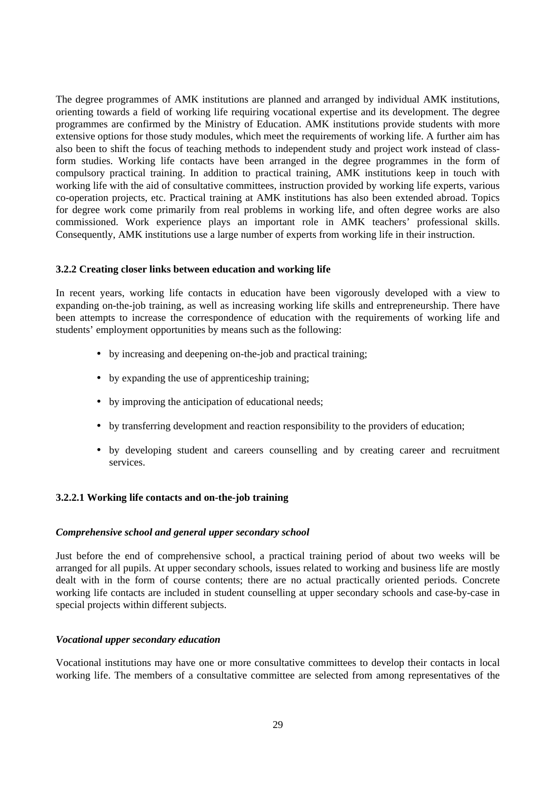The degree programmes of AMK institutions are planned and arranged by individual AMK institutions, orienting towards a field of working life requiring vocational expertise and its development. The degree programmes are confirmed by the Ministry of Education. AMK institutions provide students with more extensive options for those study modules, which meet the requirements of working life. A further aim has also been to shift the focus of teaching methods to independent study and project work instead of classform studies. Working life contacts have been arranged in the degree programmes in the form of compulsory practical training. In addition to practical training, AMK institutions keep in touch with working life with the aid of consultative committees, instruction provided by working life experts, various co-operation projects, etc. Practical training at AMK institutions has also been extended abroad. Topics for degree work come primarily from real problems in working life, and often degree works are also commissioned. Work experience plays an important role in AMK teachers' professional skills. Consequently, AMK institutions use a large number of experts from working life in their instruction.

#### **3.2.2 Creating closer links between education and working life**

In recent years, working life contacts in education have been vigorously developed with a view to expanding on-the-job training, as well as increasing working life skills and entrepreneurship. There have been attempts to increase the correspondence of education with the requirements of working life and students' employment opportunities by means such as the following:

- by increasing and deepening on-the-job and practical training;
- by expanding the use of apprenticeship training;
- by improving the anticipation of educational needs;
- by transferring development and reaction responsibility to the providers of education;
- by developing student and careers counselling and by creating career and recruitment services.

## **3.2.2.1 Working life contacts and on-the-job training**

#### *Comprehensive school and general upper secondary school*

Just before the end of comprehensive school, a practical training period of about two weeks will be arranged for all pupils. At upper secondary schools, issues related to working and business life are mostly dealt with in the form of course contents; there are no actual practically oriented periods. Concrete working life contacts are included in student counselling at upper secondary schools and case-by-case in special projects within different subjects.

#### *Vocational upper secondary education*

Vocational institutions may have one or more consultative committees to develop their contacts in local working life. The members of a consultative committee are selected from among representatives of the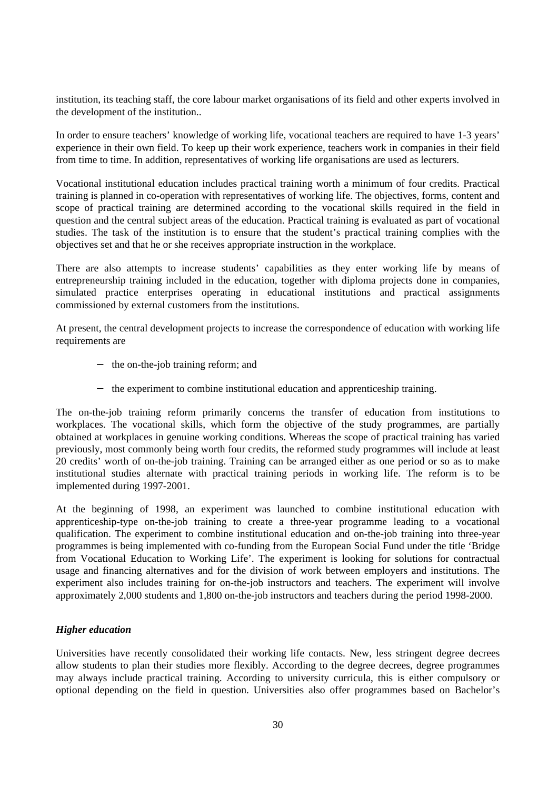institution, its teaching staff, the core labour market organisations of its field and other experts involved in the development of the institution..

In order to ensure teachers' knowledge of working life, vocational teachers are required to have 1-3 years' experience in their own field. To keep up their work experience, teachers work in companies in their field from time to time. In addition, representatives of working life organisations are used as lecturers.

Vocational institutional education includes practical training worth a minimum of four credits. Practical training is planned in co-operation with representatives of working life. The objectives, forms, content and scope of practical training are determined according to the vocational skills required in the field in question and the central subject areas of the education. Practical training is evaluated as part of vocational studies. The task of the institution is to ensure that the student's practical training complies with the objectives set and that he or she receives appropriate instruction in the workplace.

There are also attempts to increase students' capabilities as they enter working life by means of entrepreneurship training included in the education, together with diploma projects done in companies, simulated practice enterprises operating in educational institutions and practical assignments commissioned by external customers from the institutions.

At present, the central development projects to increase the correspondence of education with working life requirements are

- − the on-the-job training reform; and
- − the experiment to combine institutional education and apprenticeship training.

The on-the-job training reform primarily concerns the transfer of education from institutions to workplaces. The vocational skills, which form the objective of the study programmes, are partially obtained at workplaces in genuine working conditions. Whereas the scope of practical training has varied previously, most commonly being worth four credits, the reformed study programmes will include at least 20 credits' worth of on-the-job training. Training can be arranged either as one period or so as to make institutional studies alternate with practical training periods in working life. The reform is to be implemented during 1997-2001.

At the beginning of 1998, an experiment was launched to combine institutional education with apprenticeship-type on-the-job training to create a three-year programme leading to a vocational qualification. The experiment to combine institutional education and on-the-job training into three-year programmes is being implemented with co-funding from the European Social Fund under the title 'Bridge from Vocational Education to Working Life'. The experiment is looking for solutions for contractual usage and financing alternatives and for the division of work between employers and institutions. The experiment also includes training for on-the-job instructors and teachers. The experiment will involve approximately 2,000 students and 1,800 on-the-job instructors and teachers during the period 1998-2000.

## *Higher education*

Universities have recently consolidated their working life contacts. New, less stringent degree decrees allow students to plan their studies more flexibly. According to the degree decrees, degree programmes may always include practical training. According to university curricula, this is either compulsory or optional depending on the field in question. Universities also offer programmes based on Bachelor's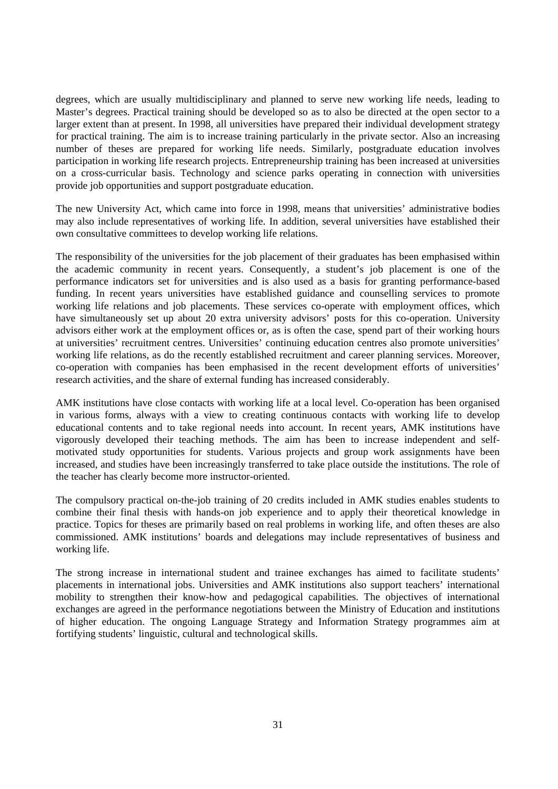degrees, which are usually multidisciplinary and planned to serve new working life needs, leading to Master's degrees. Practical training should be developed so as to also be directed at the open sector to a larger extent than at present. In 1998, all universities have prepared their individual development strategy for practical training. The aim is to increase training particularly in the private sector. Also an increasing number of theses are prepared for working life needs. Similarly, postgraduate education involves participation in working life research projects. Entrepreneurship training has been increased at universities on a cross-curricular basis. Technology and science parks operating in connection with universities provide job opportunities and support postgraduate education.

The new University Act, which came into force in 1998, means that universities' administrative bodies may also include representatives of working life. In addition, several universities have established their own consultative committees to develop working life relations.

The responsibility of the universities for the job placement of their graduates has been emphasised within the academic community in recent years. Consequently, a student's job placement is one of the performance indicators set for universities and is also used as a basis for granting performance-based funding. In recent years universities have established guidance and counselling services to promote working life relations and job placements. These services co-operate with employment offices, which have simultaneously set up about 20 extra university advisors' posts for this co-operation. University advisors either work at the employment offices or, as is often the case, spend part of their working hours at universities' recruitment centres. Universities' continuing education centres also promote universities' working life relations, as do the recently established recruitment and career planning services. Moreover, co-operation with companies has been emphasised in the recent development efforts of universities' research activities, and the share of external funding has increased considerably.

AMK institutions have close contacts with working life at a local level. Co-operation has been organised in various forms, always with a view to creating continuous contacts with working life to develop educational contents and to take regional needs into account. In recent years, AMK institutions have vigorously developed their teaching methods. The aim has been to increase independent and selfmotivated study opportunities for students. Various projects and group work assignments have been increased, and studies have been increasingly transferred to take place outside the institutions. The role of the teacher has clearly become more instructor-oriented.

The compulsory practical on-the-job training of 20 credits included in AMK studies enables students to combine their final thesis with hands-on job experience and to apply their theoretical knowledge in practice. Topics for theses are primarily based on real problems in working life, and often theses are also commissioned. AMK institutions' boards and delegations may include representatives of business and working life.

The strong increase in international student and trainee exchanges has aimed to facilitate students' placements in international jobs. Universities and AMK institutions also support teachers' international mobility to strengthen their know-how and pedagogical capabilities. The objectives of international exchanges are agreed in the performance negotiations between the Ministry of Education and institutions of higher education. The ongoing Language Strategy and Information Strategy programmes aim at fortifying students' linguistic, cultural and technological skills.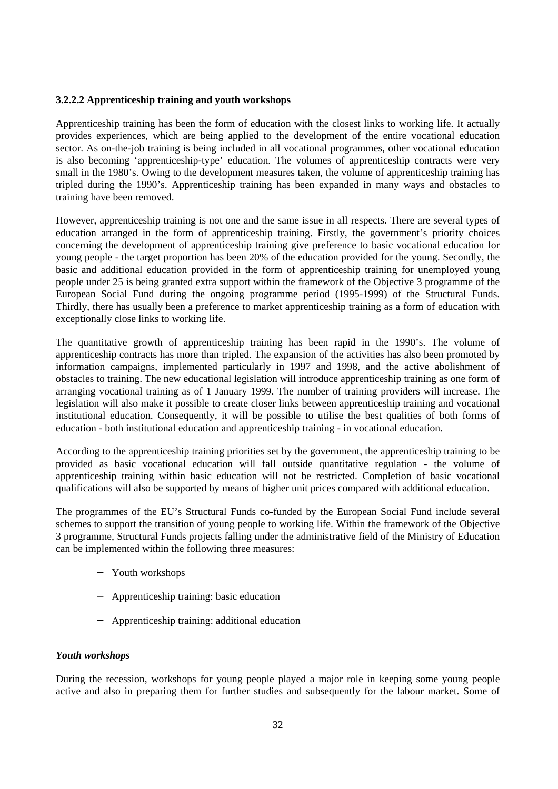## **3.2.2.2 Apprenticeship training and youth workshops**

Apprenticeship training has been the form of education with the closest links to working life. It actually provides experiences, which are being applied to the development of the entire vocational education sector. As on-the-job training is being included in all vocational programmes, other vocational education is also becoming 'apprenticeship-type' education. The volumes of apprenticeship contracts were very small in the 1980's. Owing to the development measures taken, the volume of apprenticeship training has tripled during the 1990's. Apprenticeship training has been expanded in many ways and obstacles to training have been removed.

However, apprenticeship training is not one and the same issue in all respects. There are several types of education arranged in the form of apprenticeship training. Firstly, the government's priority choices concerning the development of apprenticeship training give preference to basic vocational education for young people - the target proportion has been 20% of the education provided for the young. Secondly, the basic and additional education provided in the form of apprenticeship training for unemployed young people under 25 is being granted extra support within the framework of the Objective 3 programme of the European Social Fund during the ongoing programme period (1995-1999) of the Structural Funds. Thirdly, there has usually been a preference to market apprenticeship training as a form of education with exceptionally close links to working life.

The quantitative growth of apprenticeship training has been rapid in the 1990's. The volume of apprenticeship contracts has more than tripled. The expansion of the activities has also been promoted by information campaigns, implemented particularly in 1997 and 1998, and the active abolishment of obstacles to training. The new educational legislation will introduce apprenticeship training as one form of arranging vocational training as of 1 January 1999. The number of training providers will increase. The legislation will also make it possible to create closer links between apprenticeship training and vocational institutional education. Consequently, it will be possible to utilise the best qualities of both forms of education - both institutional education and apprenticeship training - in vocational education.

According to the apprenticeship training priorities set by the government, the apprenticeship training to be provided as basic vocational education will fall outside quantitative regulation - the volume of apprenticeship training within basic education will not be restricted. Completion of basic vocational qualifications will also be supported by means of higher unit prices compared with additional education.

The programmes of the EU's Structural Funds co-funded by the European Social Fund include several schemes to support the transition of young people to working life. Within the framework of the Objective 3 programme, Structural Funds projects falling under the administrative field of the Ministry of Education can be implemented within the following three measures:

- − Youth workshops
- − Apprenticeship training: basic education
- − Apprenticeship training: additional education

## *Youth workshops*

During the recession, workshops for young people played a major role in keeping some young people active and also in preparing them for further studies and subsequently for the labour market. Some of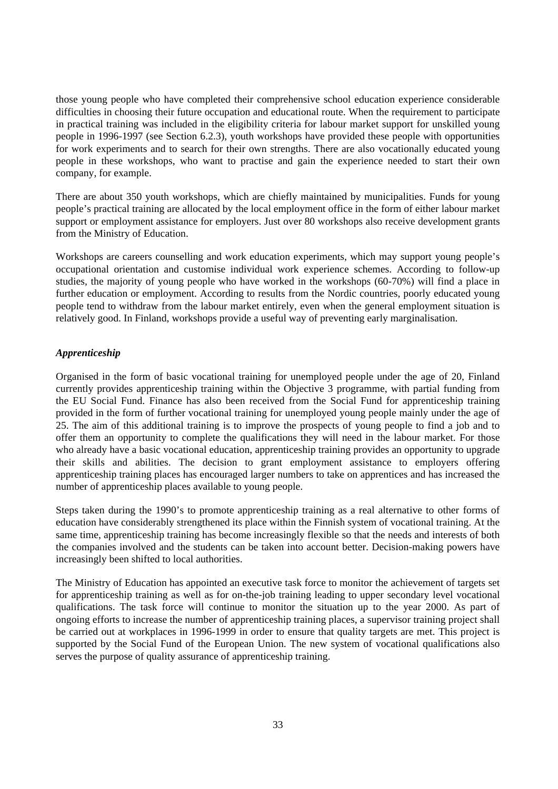those young people who have completed their comprehensive school education experience considerable difficulties in choosing their future occupation and educational route. When the requirement to participate in practical training was included in the eligibility criteria for labour market support for unskilled young people in 1996-1997 (see Section 6.2.3), youth workshops have provided these people with opportunities for work experiments and to search for their own strengths. There are also vocationally educated young people in these workshops, who want to practise and gain the experience needed to start their own company, for example.

There are about 350 youth workshops, which are chiefly maintained by municipalities. Funds for young people's practical training are allocated by the local employment office in the form of either labour market support or employment assistance for employers. Just over 80 workshops also receive development grants from the Ministry of Education.

Workshops are careers counselling and work education experiments, which may support young people's occupational orientation and customise individual work experience schemes. According to follow-up studies, the majority of young people who have worked in the workshops (60-70%) will find a place in further education or employment. According to results from the Nordic countries, poorly educated young people tend to withdraw from the labour market entirely, even when the general employment situation is relatively good. In Finland, workshops provide a useful way of preventing early marginalisation.

## *Apprenticeship*

Organised in the form of basic vocational training for unemployed people under the age of 20, Finland currently provides apprenticeship training within the Objective 3 programme, with partial funding from the EU Social Fund. Finance has also been received from the Social Fund for apprenticeship training provided in the form of further vocational training for unemployed young people mainly under the age of 25. The aim of this additional training is to improve the prospects of young people to find a job and to offer them an opportunity to complete the qualifications they will need in the labour market. For those who already have a basic vocational education, apprenticeship training provides an opportunity to upgrade their skills and abilities. The decision to grant employment assistance to employers offering apprenticeship training places has encouraged larger numbers to take on apprentices and has increased the number of apprenticeship places available to young people.

Steps taken during the 1990's to promote apprenticeship training as a real alternative to other forms of education have considerably strengthened its place within the Finnish system of vocational training. At the same time, apprenticeship training has become increasingly flexible so that the needs and interests of both the companies involved and the students can be taken into account better. Decision-making powers have increasingly been shifted to local authorities.

The Ministry of Education has appointed an executive task force to monitor the achievement of targets set for apprenticeship training as well as for on-the-job training leading to upper secondary level vocational qualifications. The task force will continue to monitor the situation up to the year 2000. As part of ongoing efforts to increase the number of apprenticeship training places, a supervisor training project shall be carried out at workplaces in 1996-1999 in order to ensure that quality targets are met. This project is supported by the Social Fund of the European Union. The new system of vocational qualifications also serves the purpose of quality assurance of apprenticeship training.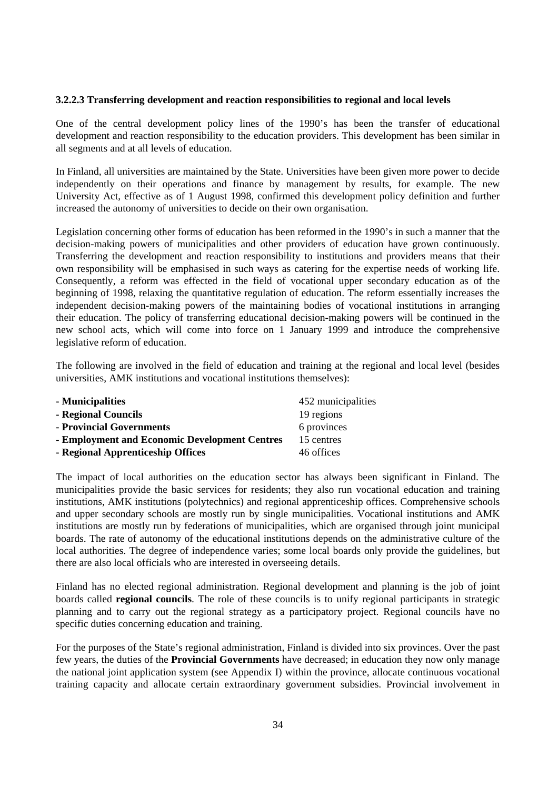## **3.2.2.3 Transferring development and reaction responsibilities to regional and local levels**

One of the central development policy lines of the 1990's has been the transfer of educational development and reaction responsibility to the education providers. This development has been similar in all segments and at all levels of education.

In Finland, all universities are maintained by the State. Universities have been given more power to decide independently on their operations and finance by management by results, for example. The new University Act, effective as of 1 August 1998, confirmed this development policy definition and further increased the autonomy of universities to decide on their own organisation.

Legislation concerning other forms of education has been reformed in the 1990's in such a manner that the decision-making powers of municipalities and other providers of education have grown continuously. Transferring the development and reaction responsibility to institutions and providers means that their own responsibility will be emphasised in such ways as catering for the expertise needs of working life. Consequently, a reform was effected in the field of vocational upper secondary education as of the beginning of 1998, relaxing the quantitative regulation of education. The reform essentially increases the independent decision-making powers of the maintaining bodies of vocational institutions in arranging their education. The policy of transferring educational decision-making powers will be continued in the new school acts, which will come into force on 1 January 1999 and introduce the comprehensive legislative reform of education.

The following are involved in the field of education and training at the regional and local level (besides universities, AMK institutions and vocational institutions themselves):

| - Municipalities                              | 452 municipalities |
|-----------------------------------------------|--------------------|
| - Regional Councils                           | 19 regions         |
| - Provincial Governments                      | 6 provinces        |
| - Employment and Economic Development Centres | 15 centres         |
| - Regional Apprenticeship Offices             | 46 offices         |

The impact of local authorities on the education sector has always been significant in Finland. The municipalities provide the basic services for residents; they also run vocational education and training institutions, AMK institutions (polytechnics) and regional apprenticeship offices. Comprehensive schools and upper secondary schools are mostly run by single municipalities. Vocational institutions and AMK institutions are mostly run by federations of municipalities, which are organised through joint municipal boards. The rate of autonomy of the educational institutions depends on the administrative culture of the local authorities. The degree of independence varies; some local boards only provide the guidelines, but there are also local officials who are interested in overseeing details.

Finland has no elected regional administration. Regional development and planning is the job of joint boards called **regional councils**. The role of these councils is to unify regional participants in strategic planning and to carry out the regional strategy as a participatory project. Regional councils have no specific duties concerning education and training.

For the purposes of the State's regional administration, Finland is divided into six provinces. Over the past few years, the duties of the **Provincial Governments** have decreased; in education they now only manage the national joint application system (see Appendix I) within the province, allocate continuous vocational training capacity and allocate certain extraordinary government subsidies. Provincial involvement in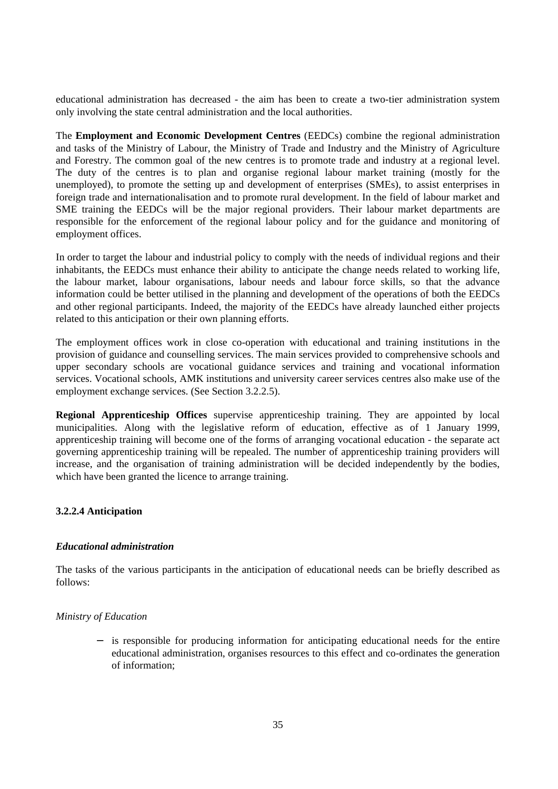educational administration has decreased - the aim has been to create a two-tier administration system only involving the state central administration and the local authorities.

The **Employment and Economic Development Centres** (EEDCs) combine the regional administration and tasks of the Ministry of Labour, the Ministry of Trade and Industry and the Ministry of Agriculture and Forestry. The common goal of the new centres is to promote trade and industry at a regional level. The duty of the centres is to plan and organise regional labour market training (mostly for the unemployed), to promote the setting up and development of enterprises (SMEs), to assist enterprises in foreign trade and internationalisation and to promote rural development. In the field of labour market and SME training the EEDCs will be the major regional providers. Their labour market departments are responsible for the enforcement of the regional labour policy and for the guidance and monitoring of employment offices.

In order to target the labour and industrial policy to comply with the needs of individual regions and their inhabitants, the EEDCs must enhance their ability to anticipate the change needs related to working life, the labour market, labour organisations, labour needs and labour force skills, so that the advance information could be better utilised in the planning and development of the operations of both the EEDCs and other regional participants. Indeed, the majority of the EEDCs have already launched either projects related to this anticipation or their own planning efforts.

The employment offices work in close co-operation with educational and training institutions in the provision of guidance and counselling services. The main services provided to comprehensive schools and upper secondary schools are vocational guidance services and training and vocational information services. Vocational schools, AMK institutions and university career services centres also make use of the employment exchange services. (See Section 3.2.2.5).

**Regional Apprenticeship Offices** supervise apprenticeship training. They are appointed by local municipalities. Along with the legislative reform of education, effective as of 1 January 1999, apprenticeship training will become one of the forms of arranging vocational education - the separate act governing apprenticeship training will be repealed. The number of apprenticeship training providers will increase, and the organisation of training administration will be decided independently by the bodies, which have been granted the licence to arrange training.

## **3.2.2.4 Anticipation**

## *Educational administration*

The tasks of the various participants in the anticipation of educational needs can be briefly described as follows:

#### *Ministry of Education*

is responsible for producing information for anticipating educational needs for the entire educational administration, organises resources to this effect and co-ordinates the generation of information;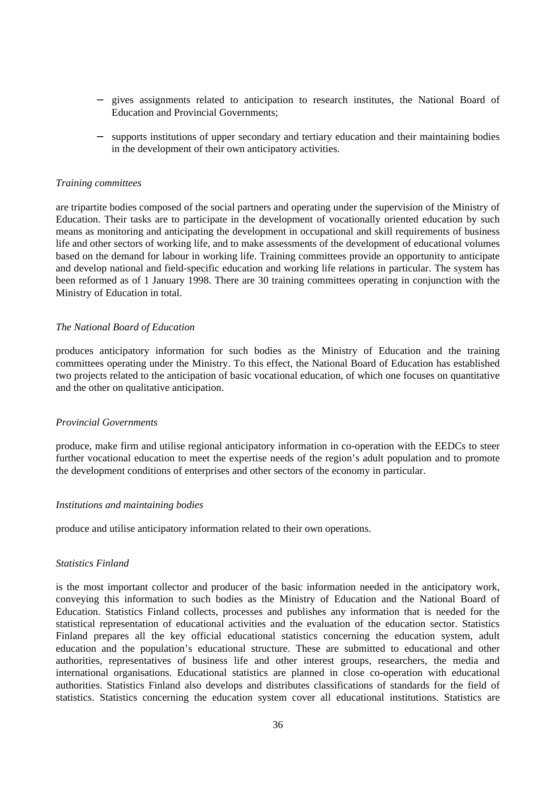- − gives assignments related to anticipation to research institutes, the National Board of Education and Provincial Governments;
- − supports institutions of upper secondary and tertiary education and their maintaining bodies in the development of their own anticipatory activities.

#### *Training committees*

are tripartite bodies composed of the social partners and operating under the supervision of the Ministry of Education. Their tasks are to participate in the development of vocationally oriented education by such means as monitoring and anticipating the development in occupational and skill requirements of business life and other sectors of working life, and to make assessments of the development of educational volumes based on the demand for labour in working life. Training committees provide an opportunity to anticipate and develop national and field-specific education and working life relations in particular. The system has been reformed as of 1 January 1998. There are 30 training committees operating in conjunction with the Ministry of Education in total.

#### *The National Board of Education*

produces anticipatory information for such bodies as the Ministry of Education and the training committees operating under the Ministry. To this effect, the National Board of Education has established two projects related to the anticipation of basic vocational education, of which one focuses on quantitative and the other on qualitative anticipation.

#### *Provincial Governments*

produce, make firm and utilise regional anticipatory information in co-operation with the EEDCs to steer further vocational education to meet the expertise needs of the region's adult population and to promote the development conditions of enterprises and other sectors of the economy in particular.

#### *Institutions and maintaining bodies*

produce and utilise anticipatory information related to their own operations.

### *Statistics Finland*

is the most important collector and producer of the basic information needed in the anticipatory work, conveying this information to such bodies as the Ministry of Education and the National Board of Education. Statistics Finland collects, processes and publishes any information that is needed for the statistical representation of educational activities and the evaluation of the education sector. Statistics Finland prepares all the key official educational statistics concerning the education system, adult education and the population's educational structure. These are submitted to educational and other authorities, representatives of business life and other interest groups, researchers, the media and international organisations. Educational statistics are planned in close co-operation with educational authorities. Statistics Finland also develops and distributes classifications of standards for the field of statistics. Statistics concerning the education system cover all educational institutions. Statistics are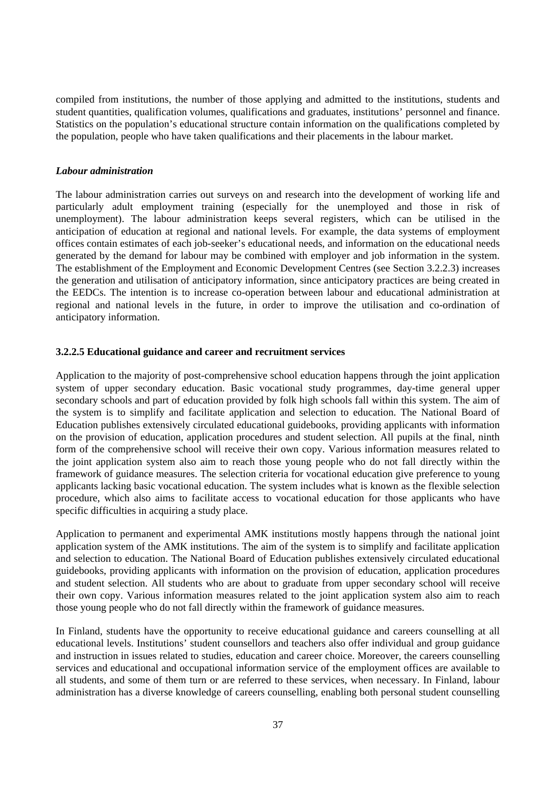compiled from institutions, the number of those applying and admitted to the institutions, students and student quantities, qualification volumes, qualifications and graduates, institutions' personnel and finance. Statistics on the population's educational structure contain information on the qualifications completed by the population, people who have taken qualifications and their placements in the labour market.

#### *Labour administration*

The labour administration carries out surveys on and research into the development of working life and particularly adult employment training (especially for the unemployed and those in risk of unemployment). The labour administration keeps several registers, which can be utilised in the anticipation of education at regional and national levels. For example, the data systems of employment offices contain estimates of each job-seeker's educational needs, and information on the educational needs generated by the demand for labour may be combined with employer and job information in the system. The establishment of the Employment and Economic Development Centres (see Section 3.2.2.3) increases the generation and utilisation of anticipatory information, since anticipatory practices are being created in the EEDCs. The intention is to increase co-operation between labour and educational administration at regional and national levels in the future, in order to improve the utilisation and co-ordination of anticipatory information.

#### **3.2.2.5 Educational guidance and career and recruitment services**

Application to the majority of post-comprehensive school education happens through the joint application system of upper secondary education. Basic vocational study programmes, day-time general upper secondary schools and part of education provided by folk high schools fall within this system. The aim of the system is to simplify and facilitate application and selection to education. The National Board of Education publishes extensively circulated educational guidebooks, providing applicants with information on the provision of education, application procedures and student selection. All pupils at the final, ninth form of the comprehensive school will receive their own copy. Various information measures related to the joint application system also aim to reach those young people who do not fall directly within the framework of guidance measures. The selection criteria for vocational education give preference to young applicants lacking basic vocational education. The system includes what is known as the flexible selection procedure, which also aims to facilitate access to vocational education for those applicants who have specific difficulties in acquiring a study place.

Application to permanent and experimental AMK institutions mostly happens through the national joint application system of the AMK institutions. The aim of the system is to simplify and facilitate application and selection to education. The National Board of Education publishes extensively circulated educational guidebooks, providing applicants with information on the provision of education, application procedures and student selection. All students who are about to graduate from upper secondary school will receive their own copy. Various information measures related to the joint application system also aim to reach those young people who do not fall directly within the framework of guidance measures.

In Finland, students have the opportunity to receive educational guidance and careers counselling at all educational levels. Institutions' student counsellors and teachers also offer individual and group guidance and instruction in issues related to studies, education and career choice. Moreover, the careers counselling services and educational and occupational information service of the employment offices are available to all students, and some of them turn or are referred to these services, when necessary. In Finland, labour administration has a diverse knowledge of careers counselling, enabling both personal student counselling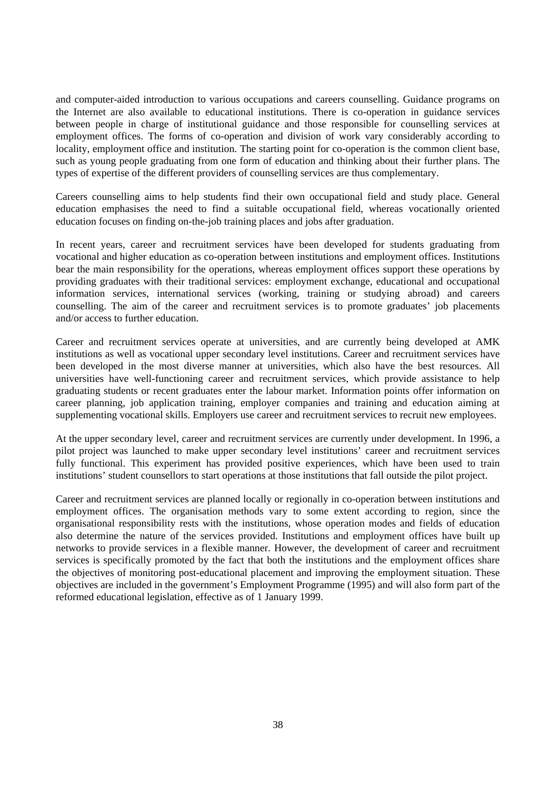and computer-aided introduction to various occupations and careers counselling. Guidance programs on the Internet are also available to educational institutions. There is co-operation in guidance services between people in charge of institutional guidance and those responsible for counselling services at employment offices. The forms of co-operation and division of work vary considerably according to locality, employment office and institution. The starting point for co-operation is the common client base, such as young people graduating from one form of education and thinking about their further plans. The types of expertise of the different providers of counselling services are thus complementary.

Careers counselling aims to help students find their own occupational field and study place. General education emphasises the need to find a suitable occupational field, whereas vocationally oriented education focuses on finding on-the-job training places and jobs after graduation.

In recent years, career and recruitment services have been developed for students graduating from vocational and higher education as co-operation between institutions and employment offices. Institutions bear the main responsibility for the operations, whereas employment offices support these operations by providing graduates with their traditional services: employment exchange, educational and occupational information services, international services (working, training or studying abroad) and careers counselling. The aim of the career and recruitment services is to promote graduates' job placements and/or access to further education.

Career and recruitment services operate at universities, and are currently being developed at AMK institutions as well as vocational upper secondary level institutions. Career and recruitment services have been developed in the most diverse manner at universities, which also have the best resources. All universities have well-functioning career and recruitment services, which provide assistance to help graduating students or recent graduates enter the labour market. Information points offer information on career planning, job application training, employer companies and training and education aiming at supplementing vocational skills. Employers use career and recruitment services to recruit new employees.

At the upper secondary level, career and recruitment services are currently under development. In 1996, a pilot project was launched to make upper secondary level institutions' career and recruitment services fully functional. This experiment has provided positive experiences, which have been used to train institutions' student counsellors to start operations at those institutions that fall outside the pilot project.

Career and recruitment services are planned locally or regionally in co-operation between institutions and employment offices. The organisation methods vary to some extent according to region, since the organisational responsibility rests with the institutions, whose operation modes and fields of education also determine the nature of the services provided. Institutions and employment offices have built up networks to provide services in a flexible manner. However, the development of career and recruitment services is specifically promoted by the fact that both the institutions and the employment offices share the objectives of monitoring post-educational placement and improving the employment situation. These objectives are included in the government's Employment Programme (1995) and will also form part of the reformed educational legislation, effective as of 1 January 1999.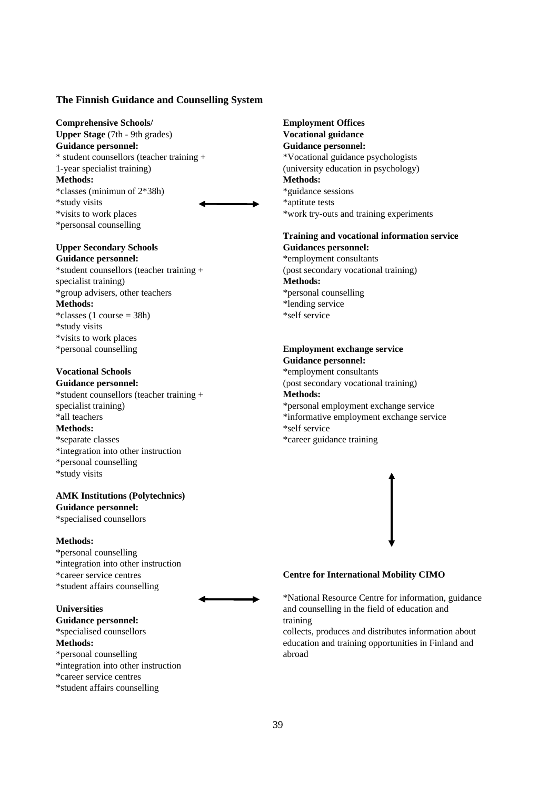#### **The Finnish Guidance and Counselling System**

**Comprehensive Schools/ Employment Offices Upper Stage** (7th - 9th grades) **Vocational guidance Guidance personnel: Guidance personnel:** \* student counsellors (teacher training + \*Vocational guidance psychologists 1-year specialist training) (university education in psychology) **Methods: Methods:** \*classes (minimun of 2\*38h) \*guidance sessions \*study visits \*aptitute tests \*personsal counselling



#### **Upper Secondary Schools Guidances personnel:**

Guidance personnel:  $*$ employment consultants \*student counsellors (teacher training + (post secondary vocational training) specialist training) **Methods:** \*group advisers, other teachers \*personal counselling **Methods:** \*lending service  $\text{*classes}$  (1 course = 38h)  $\text{*self service}$ \*study visits \*visits to work places \*personal counselling **Employment exchange service**

\*student counsellors (teacher training + **Methods: Methods:**  $\bullet$  \*self service \*separate classes \*career guidance training \*integration into other instruction \*personal counselling \*study visits

#### **AMK Institutions (Polytechnics) Guidance personnel:**

\*specialised counsellors

#### **Methods:**

\*personal counselling \*integration into other instruction \*student affairs counselling

Guidance personnel: training \*personal counselling abroad \*integration into other instruction \*career service centres

\*student affairs counselling

\*visits to work places \*work try-outs and training experiments

# **Training and vocational information service**

## **Guidance personnel:**

**Vocational Schools** \*employment consultants Guidance personnel:<br>
(post secondary vocational training) specialist training)  $*$ personal employment exchange service \*all teachers \*informative employment exchange service



#### \*career service centres **Centre for International Mobility CIMO**

\*National Resource Centre for information, guidance **Universities** and counselling in the field of education and

\*specialised counsellors collects, produces and distributes information about **Methods:** education and training opportunities in Finland and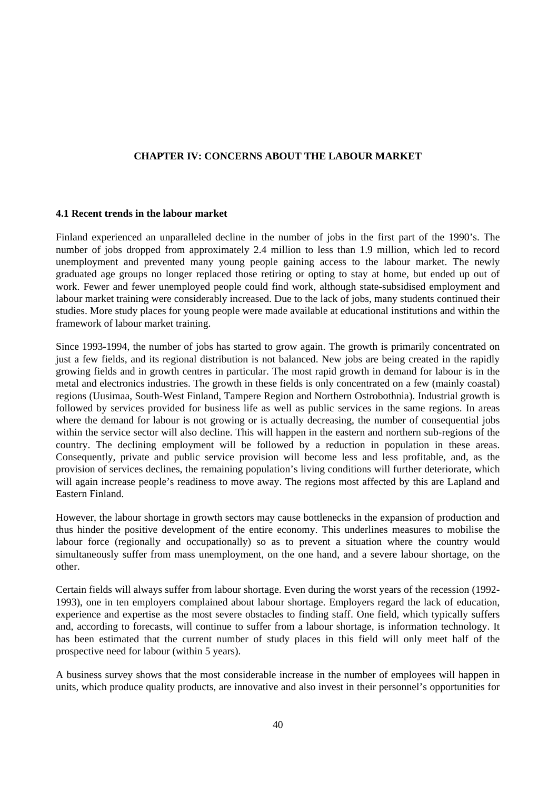#### **CHAPTER IV: CONCERNS ABOUT THE LABOUR MARKET**

#### **4.1 Recent trends in the labour market**

Finland experienced an unparalleled decline in the number of jobs in the first part of the 1990's. The number of jobs dropped from approximately 2.4 million to less than 1.9 million, which led to record unemployment and prevented many young people gaining access to the labour market. The newly graduated age groups no longer replaced those retiring or opting to stay at home, but ended up out of work. Fewer and fewer unemployed people could find work, although state-subsidised employment and labour market training were considerably increased. Due to the lack of jobs, many students continued their studies. More study places for young people were made available at educational institutions and within the framework of labour market training.

Since 1993-1994, the number of jobs has started to grow again. The growth is primarily concentrated on just a few fields, and its regional distribution is not balanced. New jobs are being created in the rapidly growing fields and in growth centres in particular. The most rapid growth in demand for labour is in the metal and electronics industries. The growth in these fields is only concentrated on a few (mainly coastal) regions (Uusimaa, South-West Finland, Tampere Region and Northern Ostrobothnia). Industrial growth is followed by services provided for business life as well as public services in the same regions. In areas where the demand for labour is not growing or is actually decreasing, the number of consequential jobs within the service sector will also decline. This will happen in the eastern and northern sub-regions of the country. The declining employment will be followed by a reduction in population in these areas. Consequently, private and public service provision will become less and less profitable, and, as the provision of services declines, the remaining population's living conditions will further deteriorate, which will again increase people's readiness to move away. The regions most affected by this are Lapland and Eastern Finland.

However, the labour shortage in growth sectors may cause bottlenecks in the expansion of production and thus hinder the positive development of the entire economy. This underlines measures to mobilise the labour force (regionally and occupationally) so as to prevent a situation where the country would simultaneously suffer from mass unemployment, on the one hand, and a severe labour shortage, on the other.

Certain fields will always suffer from labour shortage. Even during the worst years of the recession (1992- 1993), one in ten employers complained about labour shortage. Employers regard the lack of education, experience and expertise as the most severe obstacles to finding staff. One field, which typically suffers and, according to forecasts, will continue to suffer from a labour shortage, is information technology. It has been estimated that the current number of study places in this field will only meet half of the prospective need for labour (within 5 years).

A business survey shows that the most considerable increase in the number of employees will happen in units, which produce quality products, are innovative and also invest in their personnel's opportunities for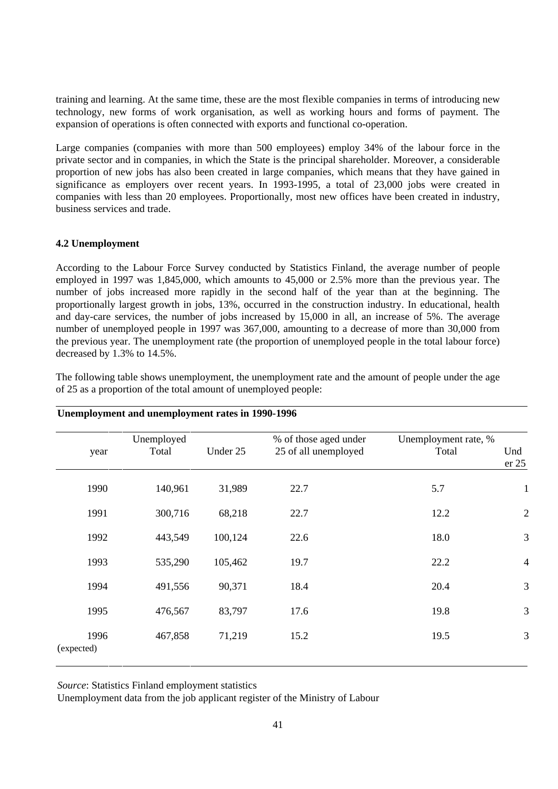training and learning. At the same time, these are the most flexible companies in terms of introducing new technology, new forms of work organisation, as well as working hours and forms of payment. The expansion of operations is often connected with exports and functional co-operation.

Large companies (companies with more than 500 employees) employ 34% of the labour force in the private sector and in companies, in which the State is the principal shareholder. Moreover, a considerable proportion of new jobs has also been created in large companies, which means that they have gained in significance as employers over recent years. In 1993-1995, a total of 23,000 jobs were created in companies with less than 20 employees. Proportionally, most new offices have been created in industry, business services and trade.

#### **4.2 Unemployment**

According to the Labour Force Survey conducted by Statistics Finland, the average number of people employed in 1997 was 1,845,000, which amounts to 45,000 or 2.5% more than the previous year. The number of jobs increased more rapidly in the second half of the year than at the beginning. The proportionally largest growth in jobs, 13%, occurred in the construction industry. In educational, health and day-care services, the number of jobs increased by 15,000 in all, an increase of 5%. The average number of unemployed people in 1997 was 367,000, amounting to a decrease of more than 30,000 from the previous year. The unemployment rate (the proportion of unemployed people in the total labour force) decreased by 1.3% to 14.5%.

|                    | Unemployed |          | % of those aged under | Unemployment rate, % |                |
|--------------------|------------|----------|-----------------------|----------------------|----------------|
| year               | Total      | Under 25 | 25 of all unemployed  | Total                | Und<br>er 25   |
| 1990               | 140,961    | 31,989   | 22.7                  | 5.7                  | $\mathbf{1}$   |
| 1991               | 300,716    | 68,218   | 22.7                  | 12.2                 | $\overline{c}$ |
| 1992               | 443,549    | 100,124  | 22.6                  | 18.0                 | 3              |
| 1993               | 535,290    | 105,462  | 19.7                  | 22.2                 | $\overline{4}$ |
| 1994               | 491,556    | 90,371   | 18.4                  | 20.4                 | 3              |
| 1995               | 476,567    | 83,797   | 17.6                  | 19.8                 | 3              |
| 1996<br>(expected) | 467,858    | 71,219   | 15.2                  | 19.5                 | 3              |

The following table shows unemployment, the unemployment rate and the amount of people under the age of 25 as a proportion of the total amount of unemployed people:

**Unemployment and unemployment rates in 1990-1996**

*Source*: Statistics Finland employment statistics

Unemployment data from the job applicant register of the Ministry of Labour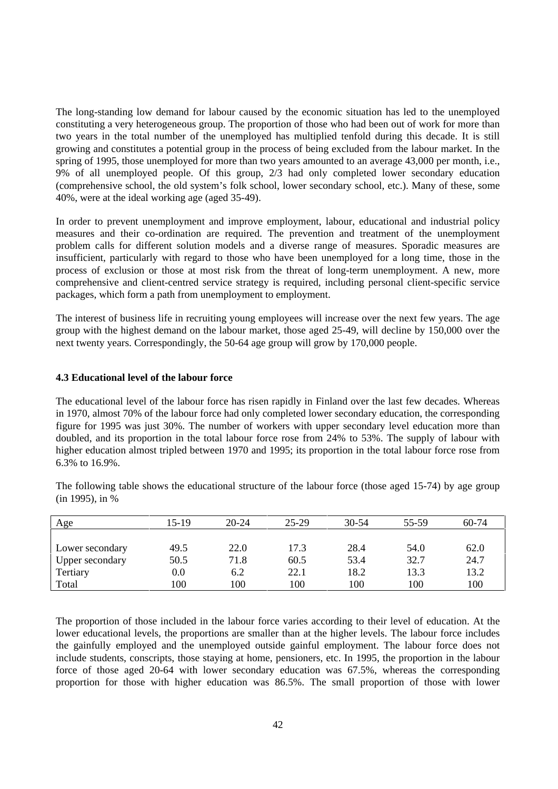The long-standing low demand for labour caused by the economic situation has led to the unemployed constituting a very heterogeneous group. The proportion of those who had been out of work for more than two years in the total number of the unemployed has multiplied tenfold during this decade. It is still growing and constitutes a potential group in the process of being excluded from the labour market. In the spring of 1995, those unemployed for more than two years amounted to an average 43,000 per month, i.e., 9% of all unemployed people. Of this group, 2/3 had only completed lower secondary education (comprehensive school, the old system's folk school, lower secondary school, etc.). Many of these, some 40%, were at the ideal working age (aged 35-49).

In order to prevent unemployment and improve employment, labour, educational and industrial policy measures and their co-ordination are required. The prevention and treatment of the unemployment problem calls for different solution models and a diverse range of measures. Sporadic measures are insufficient, particularly with regard to those who have been unemployed for a long time, those in the process of exclusion or those at most risk from the threat of long-term unemployment. A new, more comprehensive and client-centred service strategy is required, including personal client-specific service packages, which form a path from unemployment to employment.

The interest of business life in recruiting young employees will increase over the next few years. The age group with the highest demand on the labour market, those aged 25-49, will decline by 150,000 over the next twenty years. Correspondingly, the 50-64 age group will grow by 170,000 people.

#### **4.3 Educational level of the labour force**

The educational level of the labour force has risen rapidly in Finland over the last few decades. Whereas in 1970, almost 70% of the labour force had only completed lower secondary education, the corresponding figure for 1995 was just 30%. The number of workers with upper secondary level education more than doubled, and its proportion in the total labour force rose from 24% to 53%. The supply of labour with higher education almost tripled between 1970 and 1995; its proportion in the total labour force rose from 6.3% to 16.9%.

| Age             | 15-19 | $20 - 24$ | $25 - 29$ | $30 - 54$ | 55-59 | 60-74 |
|-----------------|-------|-----------|-----------|-----------|-------|-------|
|                 |       |           |           |           |       |       |
| Lower secondary | 49.5  | 22.0      | 17.3      | 28.4      | 54.0  | 62.0  |
| Upper secondary | 50.5  | 71.8      | 60.5      | 53.4      | 32.7  | 24.7  |
| Tertiary        | 0.0   | 6.2       | 22.1      | 18.2      | 13.3  | 13.2  |
| Total           | 100   | 100       | 100       | 100       | 100   | 100   |

The following table shows the educational structure of the labour force (those aged 15-74) by age group (in 1995), in %

The proportion of those included in the labour force varies according to their level of education. At the lower educational levels, the proportions are smaller than at the higher levels. The labour force includes the gainfully employed and the unemployed outside gainful employment. The labour force does not include students, conscripts, those staying at home, pensioners, etc. In 1995, the proportion in the labour force of those aged 20-64 with lower secondary education was 67.5%, whereas the corresponding proportion for those with higher education was 86.5%. The small proportion of those with lower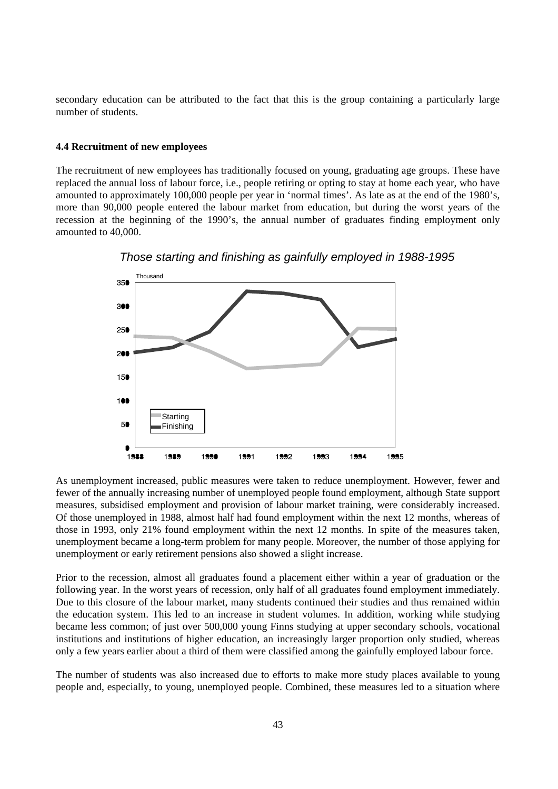secondary education can be attributed to the fact that this is the group containing a particularly large number of students.

#### **4.4 Recruitment of new employees**

The recruitment of new employees has traditionally focused on young, graduating age groups. These have replaced the annual loss of labour force, i.e., people retiring or opting to stay at home each year, who have amounted to approximately 100,000 people per year in 'normal times'. As late as at the end of the 1980's, more than 90,000 people entered the labour market from education, but during the worst years of the recession at the beginning of the 1990's, the annual number of graduates finding employment only amounted to 40,000.



Those starting and finishing as gainfully employed in 1988-1995

As unemployment increased, public measures were taken to reduce unemployment. However, fewer and fewer of the annually increasing number of unemployed people found employment, although State support measures, subsidised employment and provision of labour market training, were considerably increased. Of those unemployed in 1988, almost half had found employment within the next 12 months, whereas of those in 1993, only 21% found employment within the next 12 months. In spite of the measures taken, unemployment became a long-term problem for many people. Moreover, the number of those applying for unemployment or early retirement pensions also showed a slight increase.

Prior to the recession, almost all graduates found a placement either within a year of graduation or the following year. In the worst years of recession, only half of all graduates found employment immediately. Due to this closure of the labour market, many students continued their studies and thus remained within the education system. This led to an increase in student volumes. In addition, working while studying became less common; of just over 500,000 young Finns studying at upper secondary schools, vocational institutions and institutions of higher education, an increasingly larger proportion only studied, whereas only a few years earlier about a third of them were classified among the gainfully employed labour force.

The number of students was also increased due to efforts to make more study places available to young people and, especially, to young, unemployed people. Combined, these measures led to a situation where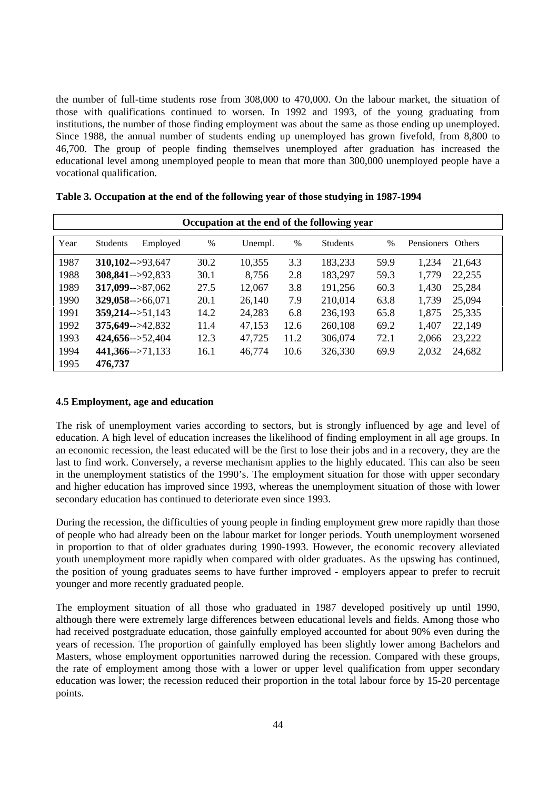the number of full-time students rose from 308,000 to 470,000. On the labour market, the situation of those with qualifications continued to worsen. In 1992 and 1993, of the young graduating from institutions, the number of those finding employment was about the same as those ending up unemployed. Since 1988, the annual number of students ending up unemployed has grown fivefold, from 8,800 to 46,700. The group of people finding themselves unemployed after graduation has increased the educational level among unemployed people to mean that more than 300,000 unemployed people have a vocational qualification.

| Occupation at the end of the following year |                              |      |         |      |                 |      |                   |               |  |
|---------------------------------------------|------------------------------|------|---------|------|-----------------|------|-------------------|---------------|--|
| Year                                        | Employed<br><b>Students</b>  | %    | Unempl. | $\%$ | <b>Students</b> | $\%$ | <b>Pensioners</b> | <b>Others</b> |  |
| 1987                                        | $310,102--93,647$            | 30.2 | 10,355  | 3.3  | 183,233         | 59.9 | 1,234             | 21,643        |  |
| 1988                                        | $308,841--92,833$            | 30.1 | 8,756   | 2.8  | 183,297         | 59.3 | 1,779             | 22,255        |  |
| 1989                                        | $317,099 \rightarrow 87,062$ | 27.5 | 12,067  | 3.8  | 191,256         | 60.3 | 1,430             | 25,284        |  |
| 1990                                        | $329,058 \rightarrow 66,071$ | 20.1 | 26,140  | 7.9  | 210,014         | 63.8 | 1,739             | 25,094        |  |
| 1991                                        | $359,214 \rightarrow 51,143$ | 14.2 | 24,283  | 6.8  | 236,193         | 65.8 | 1,875             | 25,335        |  |
| 1992                                        | $375,649 - > 42,832$         | 11.4 | 47,153  | 12.6 | 260,108         | 69.2 | 1,407             | 22,149        |  |
| 1993                                        | $424,656 \rightarrow 52,404$ | 12.3 | 47,725  | 11.2 | 306,074         | 72.1 | 2,066             | 23,222        |  |
| 1994                                        | $441,366 \rightarrow 71,133$ | 16.1 | 46,774  | 10.6 | 326,330         | 69.9 | 2,032             | 24,682        |  |
| 1995                                        | 476,737                      |      |         |      |                 |      |                   |               |  |

|  |  | Table 3. Occupation at the end of the following year of those studying in 1987-1994 |  |  |
|--|--|-------------------------------------------------------------------------------------|--|--|
|  |  |                                                                                     |  |  |

#### **4.5 Employment, age and education**

The risk of unemployment varies according to sectors, but is strongly influenced by age and level of education. A high level of education increases the likelihood of finding employment in all age groups. In an economic recession, the least educated will be the first to lose their jobs and in a recovery, they are the last to find work. Conversely, a reverse mechanism applies to the highly educated. This can also be seen in the unemployment statistics of the 1990's. The employment situation for those with upper secondary and higher education has improved since 1993, whereas the unemployment situation of those with lower secondary education has continued to deteriorate even since 1993.

During the recession, the difficulties of young people in finding employment grew more rapidly than those of people who had already been on the labour market for longer periods. Youth unemployment worsened in proportion to that of older graduates during 1990-1993. However, the economic recovery alleviated youth unemployment more rapidly when compared with older graduates. As the upswing has continued, the position of young graduates seems to have further improved - employers appear to prefer to recruit younger and more recently graduated people.

The employment situation of all those who graduated in 1987 developed positively up until 1990, although there were extremely large differences between educational levels and fields. Among those who had received postgraduate education, those gainfully employed accounted for about 90% even during the years of recession. The proportion of gainfully employed has been slightly lower among Bachelors and Masters, whose employment opportunities narrowed during the recession. Compared with these groups, the rate of employment among those with a lower or upper level qualification from upper secondary education was lower; the recession reduced their proportion in the total labour force by 15-20 percentage points.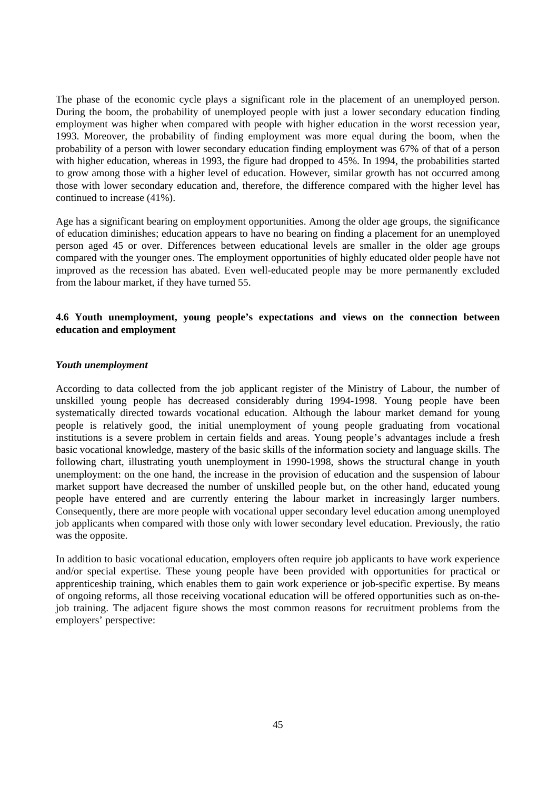The phase of the economic cycle plays a significant role in the placement of an unemployed person. During the boom, the probability of unemployed people with just a lower secondary education finding employment was higher when compared with people with higher education in the worst recession year, 1993. Moreover, the probability of finding employment was more equal during the boom, when the probability of a person with lower secondary education finding employment was 67% of that of a person with higher education, whereas in 1993, the figure had dropped to 45%. In 1994, the probabilities started to grow among those with a higher level of education. However, similar growth has not occurred among those with lower secondary education and, therefore, the difference compared with the higher level has continued to increase (41%).

Age has a significant bearing on employment opportunities. Among the older age groups, the significance of education diminishes; education appears to have no bearing on finding a placement for an unemployed person aged 45 or over. Differences between educational levels are smaller in the older age groups compared with the younger ones. The employment opportunities of highly educated older people have not improved as the recession has abated. Even well-educated people may be more permanently excluded from the labour market, if they have turned 55.

#### **4.6 Youth unemployment, young people's expectations and views on the connection between education and employment**

#### *Youth unemployment*

According to data collected from the job applicant register of the Ministry of Labour, the number of unskilled young people has decreased considerably during 1994-1998. Young people have been systematically directed towards vocational education. Although the labour market demand for young people is relatively good, the initial unemployment of young people graduating from vocational institutions is a severe problem in certain fields and areas. Young people's advantages include a fresh basic vocational knowledge, mastery of the basic skills of the information society and language skills. The following chart, illustrating youth unemployment in 1990-1998, shows the structural change in youth unemployment: on the one hand, the increase in the provision of education and the suspension of labour market support have decreased the number of unskilled people but, on the other hand, educated young people have entered and are currently entering the labour market in increasingly larger numbers. Consequently, there are more people with vocational upper secondary level education among unemployed job applicants when compared with those only with lower secondary level education. Previously, the ratio was the opposite.

In addition to basic vocational education, employers often require job applicants to have work experience and/or special expertise. These young people have been provided with opportunities for practical or apprenticeship training, which enables them to gain work experience or job-specific expertise. By means of ongoing reforms, all those receiving vocational education will be offered opportunities such as on-thejob training. The adjacent figure shows the most common reasons for recruitment problems from the employers' perspective: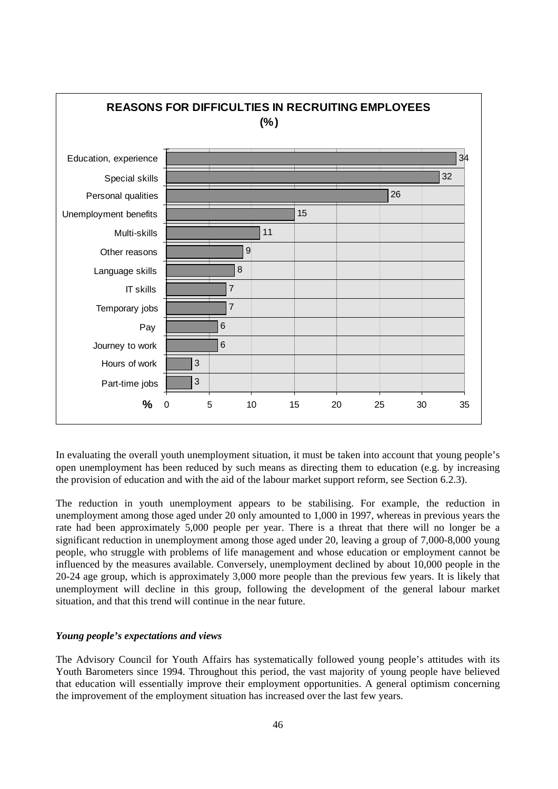

In evaluating the overall youth unemployment situation, it must be taken into account that young people's open unemployment has been reduced by such means as directing them to education (e.g. by increasing the provision of education and with the aid of the labour market support reform, see Section 6.2.3).

The reduction in youth unemployment appears to be stabilising. For example, the reduction in unemployment among those aged under 20 only amounted to 1,000 in 1997, whereas in previous years the rate had been approximately 5,000 people per year. There is a threat that there will no longer be a significant reduction in unemployment among those aged under 20, leaving a group of 7,000-8,000 young people, who struggle with problems of life management and whose education or employment cannot be influenced by the measures available. Conversely, unemployment declined by about 10,000 people in the 20-24 age group, which is approximately 3,000 more people than the previous few years. It is likely that unemployment will decline in this group, following the development of the general labour market situation, and that this trend will continue in the near future.

#### *Young people's expectations and views*

The Advisory Council for Youth Affairs has systematically followed young people's attitudes with its Youth Barometers since 1994. Throughout this period, the vast majority of young people have believed that education will essentially improve their employment opportunities. A general optimism concerning the improvement of the employment situation has increased over the last few years.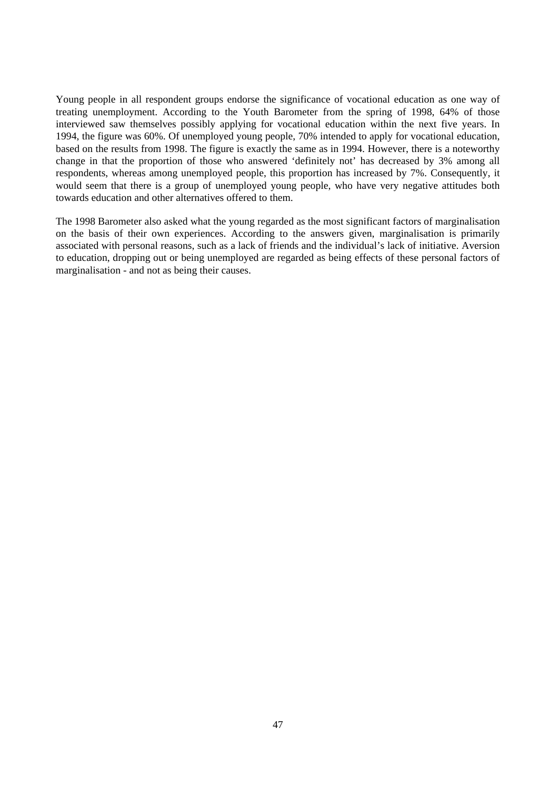Young people in all respondent groups endorse the significance of vocational education as one way of treating unemployment. According to the Youth Barometer from the spring of 1998, 64% of those interviewed saw themselves possibly applying for vocational education within the next five years. In 1994, the figure was 60%. Of unemployed young people, 70% intended to apply for vocational education, based on the results from 1998. The figure is exactly the same as in 1994. However, there is a noteworthy change in that the proportion of those who answered 'definitely not' has decreased by 3% among all respondents, whereas among unemployed people, this proportion has increased by 7%. Consequently, it would seem that there is a group of unemployed young people, who have very negative attitudes both towards education and other alternatives offered to them.

The 1998 Barometer also asked what the young regarded as the most significant factors of marginalisation on the basis of their own experiences. According to the answers given, marginalisation is primarily associated with personal reasons, such as a lack of friends and the individual's lack of initiative. Aversion to education, dropping out or being unemployed are regarded as being effects of these personal factors of marginalisation - and not as being their causes.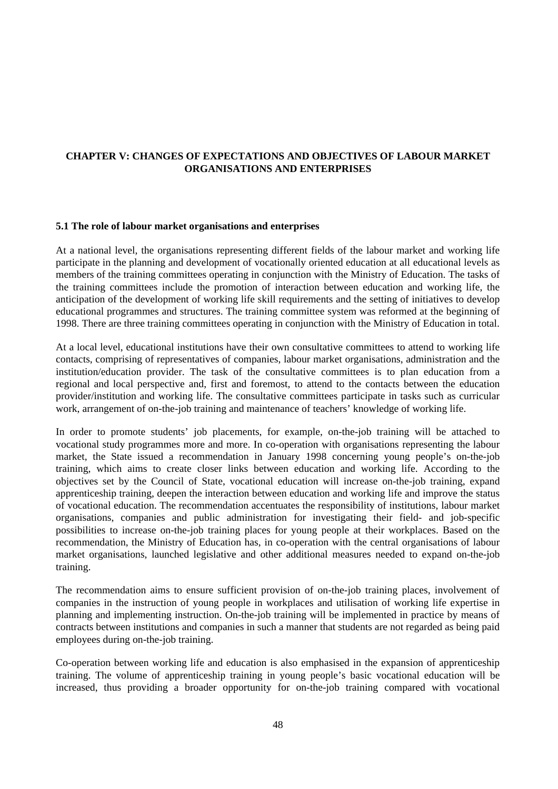### **CHAPTER V: CHANGES OF EXPECTATIONS AND OBJECTIVES OF LABOUR MARKET ORGANISATIONS AND ENTERPRISES**

#### **5.1 The role of labour market organisations and enterprises**

At a national level, the organisations representing different fields of the labour market and working life participate in the planning and development of vocationally oriented education at all educational levels as members of the training committees operating in conjunction with the Ministry of Education. The tasks of the training committees include the promotion of interaction between education and working life, the anticipation of the development of working life skill requirements and the setting of initiatives to develop educational programmes and structures. The training committee system was reformed at the beginning of 1998. There are three training committees operating in conjunction with the Ministry of Education in total.

At a local level, educational institutions have their own consultative committees to attend to working life contacts, comprising of representatives of companies, labour market organisations, administration and the institution/education provider. The task of the consultative committees is to plan education from a regional and local perspective and, first and foremost, to attend to the contacts between the education provider/institution and working life. The consultative committees participate in tasks such as curricular work, arrangement of on-the-job training and maintenance of teachers' knowledge of working life.

In order to promote students' job placements, for example, on-the-job training will be attached to vocational study programmes more and more. In co-operation with organisations representing the labour market, the State issued a recommendation in January 1998 concerning young people's on-the-job training, which aims to create closer links between education and working life. According to the objectives set by the Council of State, vocational education will increase on-the-job training, expand apprenticeship training, deepen the interaction between education and working life and improve the status of vocational education. The recommendation accentuates the responsibility of institutions, labour market organisations, companies and public administration for investigating their field- and job-specific possibilities to increase on-the-job training places for young people at their workplaces. Based on the recommendation, the Ministry of Education has, in co-operation with the central organisations of labour market organisations, launched legislative and other additional measures needed to expand on-the-job training.

The recommendation aims to ensure sufficient provision of on-the-job training places, involvement of companies in the instruction of young people in workplaces and utilisation of working life expertise in planning and implementing instruction. On-the-job training will be implemented in practice by means of contracts between institutions and companies in such a manner that students are not regarded as being paid employees during on-the-job training.

Co-operation between working life and education is also emphasised in the expansion of apprenticeship training. The volume of apprenticeship training in young people's basic vocational education will be increased, thus providing a broader opportunity for on-the-job training compared with vocational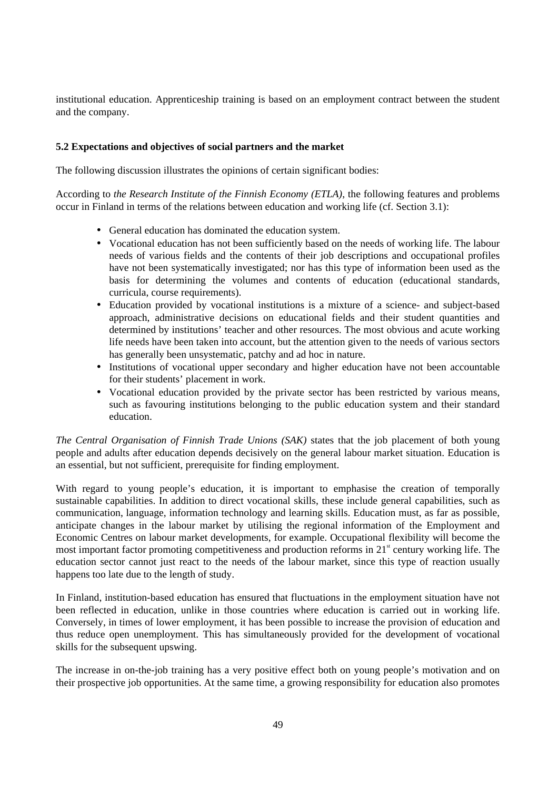institutional education. Apprenticeship training is based on an employment contract between the student and the company.

#### **5.2 Expectations and objectives of social partners and the market**

The following discussion illustrates the opinions of certain significant bodies:

According to *the Research Institute of the Finnish Economy (ETLA)*, the following features and problems occur in Finland in terms of the relations between education and working life (cf. Section 3.1):

- General education has dominated the education system.
- Vocational education has not been sufficiently based on the needs of working life. The labour needs of various fields and the contents of their job descriptions and occupational profiles have not been systematically investigated; nor has this type of information been used as the basis for determining the volumes and contents of education (educational standards, curricula, course requirements).
- Education provided by vocational institutions is a mixture of a science- and subject-based approach, administrative decisions on educational fields and their student quantities and determined by institutions' teacher and other resources. The most obvious and acute working life needs have been taken into account, but the attention given to the needs of various sectors has generally been unsystematic, patchy and ad hoc in nature.
- Institutions of vocational upper secondary and higher education have not been accountable for their students' placement in work.
- Vocational education provided by the private sector has been restricted by various means, such as favouring institutions belonging to the public education system and their standard education.

*The Central Organisation of Finnish Trade Unions (SAK)* states that the job placement of both young people and adults after education depends decisively on the general labour market situation. Education is an essential, but not sufficient, prerequisite for finding employment.

With regard to young people's education, it is important to emphasise the creation of temporally sustainable capabilities. In addition to direct vocational skills, these include general capabilities, such as communication, language, information technology and learning skills. Education must, as far as possible, anticipate changes in the labour market by utilising the regional information of the Employment and Economic Centres on labour market developments, for example. Occupational flexibility will become the most important factor promoting competitiveness and production reforms in 21<sup>st</sup> century working life. The education sector cannot just react to the needs of the labour market, since this type of reaction usually happens too late due to the length of study.

In Finland, institution-based education has ensured that fluctuations in the employment situation have not been reflected in education, unlike in those countries where education is carried out in working life. Conversely, in times of lower employment, it has been possible to increase the provision of education and thus reduce open unemployment. This has simultaneously provided for the development of vocational skills for the subsequent upswing.

The increase in on-the-job training has a very positive effect both on young people's motivation and on their prospective job opportunities. At the same time, a growing responsibility for education also promotes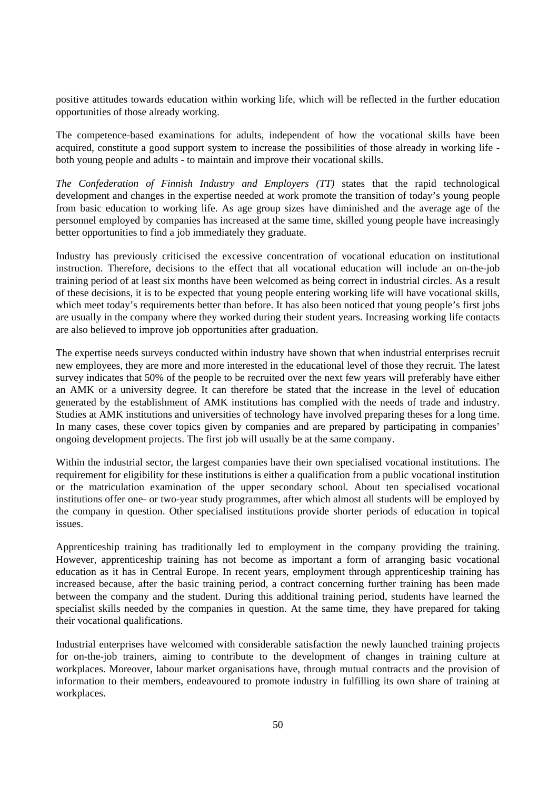positive attitudes towards education within working life, which will be reflected in the further education opportunities of those already working.

The competence-based examinations for adults, independent of how the vocational skills have been acquired, constitute a good support system to increase the possibilities of those already in working life both young people and adults - to maintain and improve their vocational skills.

*The Confederation of Finnish Industry and Employers (TT)* states that the rapid technological development and changes in the expertise needed at work promote the transition of today's young people from basic education to working life. As age group sizes have diminished and the average age of the personnel employed by companies has increased at the same time, skilled young people have increasingly better opportunities to find a job immediately they graduate.

Industry has previously criticised the excessive concentration of vocational education on institutional instruction. Therefore, decisions to the effect that all vocational education will include an on-the-job training period of at least six months have been welcomed as being correct in industrial circles. As a result of these decisions, it is to be expected that young people entering working life will have vocational skills, which meet today's requirements better than before. It has also been noticed that young people's first jobs are usually in the company where they worked during their student years. Increasing working life contacts are also believed to improve job opportunities after graduation.

The expertise needs surveys conducted within industry have shown that when industrial enterprises recruit new employees, they are more and more interested in the educational level of those they recruit. The latest survey indicates that 50% of the people to be recruited over the next few years will preferably have either an AMK or a university degree. It can therefore be stated that the increase in the level of education generated by the establishment of AMK institutions has complied with the needs of trade and industry. Studies at AMK institutions and universities of technology have involved preparing theses for a long time. In many cases, these cover topics given by companies and are prepared by participating in companies' ongoing development projects. The first job will usually be at the same company.

Within the industrial sector, the largest companies have their own specialised vocational institutions. The requirement for eligibility for these institutions is either a qualification from a public vocational institution or the matriculation examination of the upper secondary school. About ten specialised vocational institutions offer one- or two-year study programmes, after which almost all students will be employed by the company in question. Other specialised institutions provide shorter periods of education in topical issues.

Apprenticeship training has traditionally led to employment in the company providing the training. However, apprenticeship training has not become as important a form of arranging basic vocational education as it has in Central Europe. In recent years, employment through apprenticeship training has increased because, after the basic training period, a contract concerning further training has been made between the company and the student. During this additional training period, students have learned the specialist skills needed by the companies in question. At the same time, they have prepared for taking their vocational qualifications.

Industrial enterprises have welcomed with considerable satisfaction the newly launched training projects for on-the-job trainers, aiming to contribute to the development of changes in training culture at workplaces. Moreover, labour market organisations have, through mutual contracts and the provision of information to their members, endeavoured to promote industry in fulfilling its own share of training at workplaces.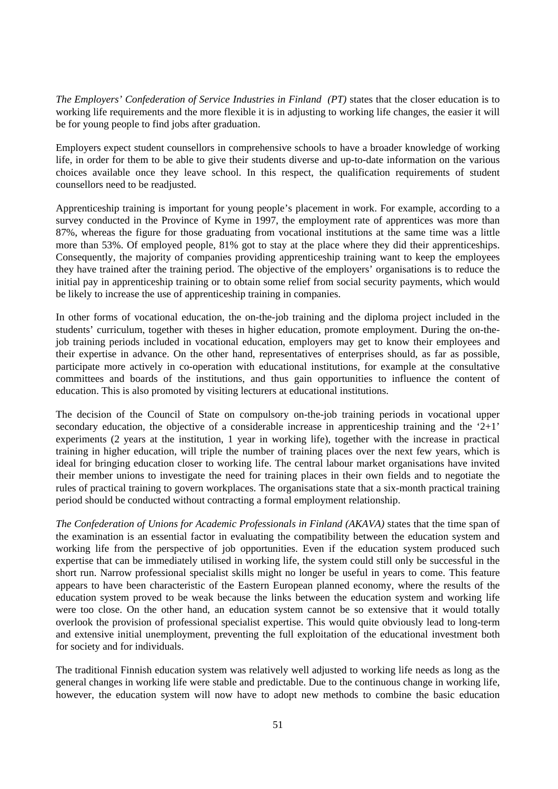*The Employers' Confederation of Service Industries in Finland (PT)* states that the closer education is to working life requirements and the more flexible it is in adjusting to working life changes, the easier it will be for young people to find jobs after graduation.

Employers expect student counsellors in comprehensive schools to have a broader knowledge of working life, in order for them to be able to give their students diverse and up-to-date information on the various choices available once they leave school. In this respect, the qualification requirements of student counsellors need to be readjusted.

Apprenticeship training is important for young people's placement in work. For example, according to a survey conducted in the Province of Kyme in 1997, the employment rate of apprentices was more than 87%, whereas the figure for those graduating from vocational institutions at the same time was a little more than 53%. Of employed people, 81% got to stay at the place where they did their apprenticeships. Consequently, the majority of companies providing apprenticeship training want to keep the employees they have trained after the training period. The objective of the employers' organisations is to reduce the initial pay in apprenticeship training or to obtain some relief from social security payments, which would be likely to increase the use of apprenticeship training in companies.

In other forms of vocational education, the on-the-job training and the diploma project included in the students' curriculum, together with theses in higher education, promote employment. During the on-thejob training periods included in vocational education, employers may get to know their employees and their expertise in advance. On the other hand, representatives of enterprises should, as far as possible, participate more actively in co-operation with educational institutions, for example at the consultative committees and boards of the institutions, and thus gain opportunities to influence the content of education. This is also promoted by visiting lecturers at educational institutions.

The decision of the Council of State on compulsory on-the-job training periods in vocational upper secondary education, the objective of a considerable increase in apprenticeship training and the '2+1' experiments (2 years at the institution, 1 year in working life), together with the increase in practical training in higher education, will triple the number of training places over the next few years, which is ideal for bringing education closer to working life. The central labour market organisations have invited their member unions to investigate the need for training places in their own fields and to negotiate the rules of practical training to govern workplaces. The organisations state that a six-month practical training period should be conducted without contracting a formal employment relationship.

*The Confederation of Unions for Academic Professionals in Finland (AKAVA)* states that the time span of the examination is an essential factor in evaluating the compatibility between the education system and working life from the perspective of job opportunities. Even if the education system produced such expertise that can be immediately utilised in working life, the system could still only be successful in the short run. Narrow professional specialist skills might no longer be useful in years to come. This feature appears to have been characteristic of the Eastern European planned economy, where the results of the education system proved to be weak because the links between the education system and working life were too close. On the other hand, an education system cannot be so extensive that it would totally overlook the provision of professional specialist expertise. This would quite obviously lead to long-term and extensive initial unemployment, preventing the full exploitation of the educational investment both for society and for individuals.

The traditional Finnish education system was relatively well adjusted to working life needs as long as the general changes in working life were stable and predictable. Due to the continuous change in working life, however, the education system will now have to adopt new methods to combine the basic education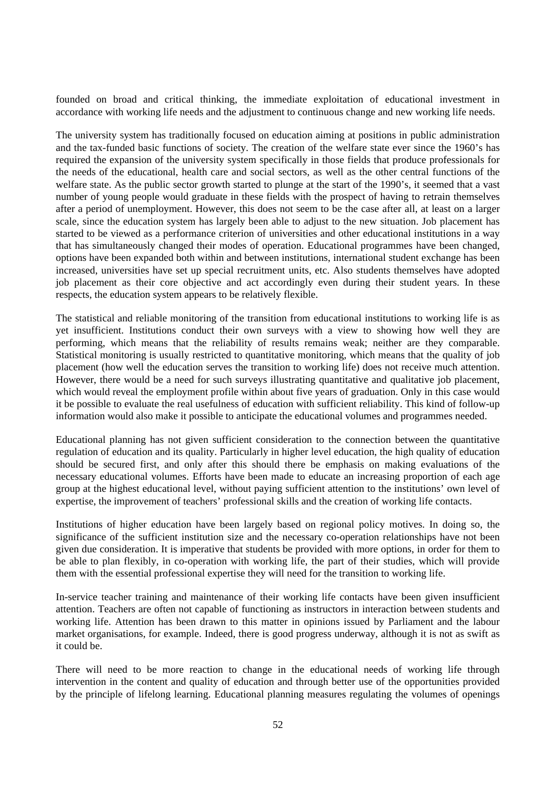founded on broad and critical thinking, the immediate exploitation of educational investment in accordance with working life needs and the adjustment to continuous change and new working life needs.

The university system has traditionally focused on education aiming at positions in public administration and the tax-funded basic functions of society. The creation of the welfare state ever since the 1960's has required the expansion of the university system specifically in those fields that produce professionals for the needs of the educational, health care and social sectors, as well as the other central functions of the welfare state. As the public sector growth started to plunge at the start of the 1990's, it seemed that a vast number of young people would graduate in these fields with the prospect of having to retrain themselves after a period of unemployment. However, this does not seem to be the case after all, at least on a larger scale, since the education system has largely been able to adjust to the new situation. Job placement has started to be viewed as a performance criterion of universities and other educational institutions in a way that has simultaneously changed their modes of operation. Educational programmes have been changed, options have been expanded both within and between institutions, international student exchange has been increased, universities have set up special recruitment units, etc. Also students themselves have adopted job placement as their core objective and act accordingly even during their student years. In these respects, the education system appears to be relatively flexible.

The statistical and reliable monitoring of the transition from educational institutions to working life is as yet insufficient. Institutions conduct their own surveys with a view to showing how well they are performing, which means that the reliability of results remains weak; neither are they comparable. Statistical monitoring is usually restricted to quantitative monitoring, which means that the quality of job placement (how well the education serves the transition to working life) does not receive much attention. However, there would be a need for such surveys illustrating quantitative and qualitative job placement, which would reveal the employment profile within about five years of graduation. Only in this case would it be possible to evaluate the real usefulness of education with sufficient reliability. This kind of follow-up information would also make it possible to anticipate the educational volumes and programmes needed.

Educational planning has not given sufficient consideration to the connection between the quantitative regulation of education and its quality. Particularly in higher level education, the high quality of education should be secured first, and only after this should there be emphasis on making evaluations of the necessary educational volumes. Efforts have been made to educate an increasing proportion of each age group at the highest educational level, without paying sufficient attention to the institutions' own level of expertise, the improvement of teachers' professional skills and the creation of working life contacts.

Institutions of higher education have been largely based on regional policy motives. In doing so, the significance of the sufficient institution size and the necessary co-operation relationships have not been given due consideration. It is imperative that students be provided with more options, in order for them to be able to plan flexibly, in co-operation with working life, the part of their studies, which will provide them with the essential professional expertise they will need for the transition to working life.

In-service teacher training and maintenance of their working life contacts have been given insufficient attention. Teachers are often not capable of functioning as instructors in interaction between students and working life. Attention has been drawn to this matter in opinions issued by Parliament and the labour market organisations, for example. Indeed, there is good progress underway, although it is not as swift as it could be.

There will need to be more reaction to change in the educational needs of working life through intervention in the content and quality of education and through better use of the opportunities provided by the principle of lifelong learning. Educational planning measures regulating the volumes of openings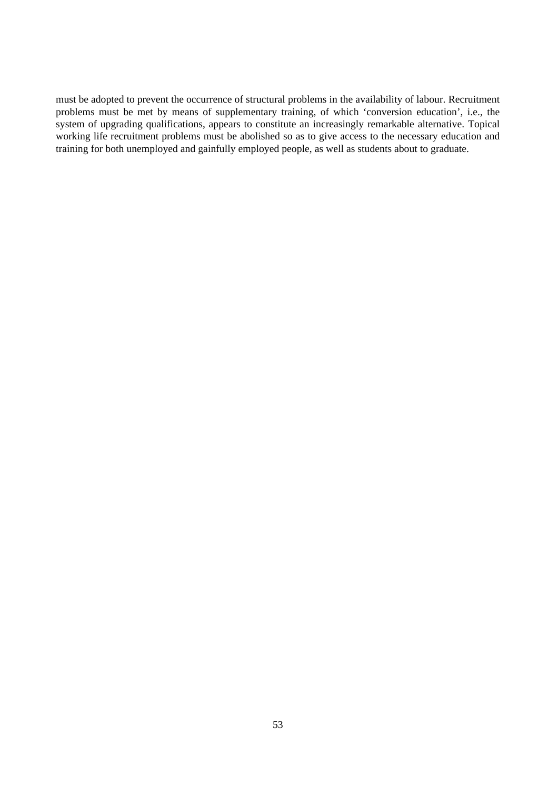must be adopted to prevent the occurrence of structural problems in the availability of labour. Recruitment problems must be met by means of supplementary training, of which 'conversion education', i.e., the system of upgrading qualifications, appears to constitute an increasingly remarkable alternative. Topical working life recruitment problems must be abolished so as to give access to the necessary education and training for both unemployed and gainfully employed people, as well as students about to graduate.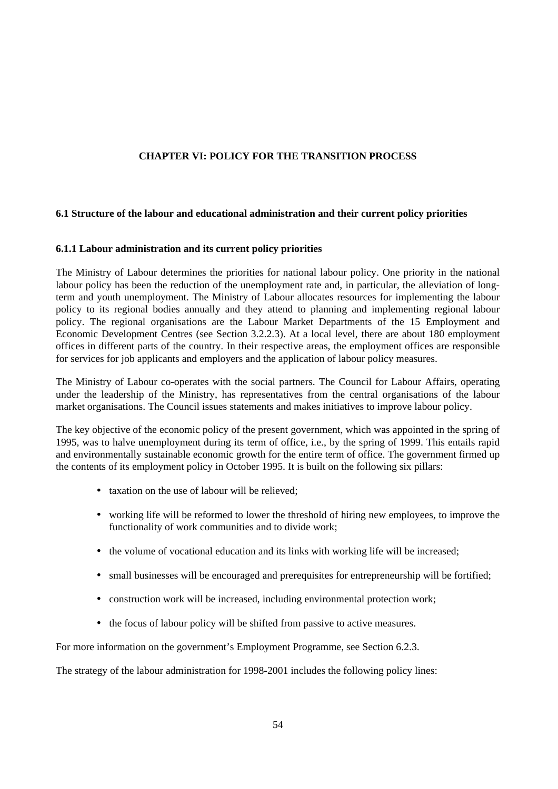#### **CHAPTER VI: POLICY FOR THE TRANSITION PROCESS**

#### **6.1 Structure of the labour and educational administration and their current policy priorities**

#### **6.1.1 Labour administration and its current policy priorities**

The Ministry of Labour determines the priorities for national labour policy. One priority in the national labour policy has been the reduction of the unemployment rate and, in particular, the alleviation of longterm and youth unemployment. The Ministry of Labour allocates resources for implementing the labour policy to its regional bodies annually and they attend to planning and implementing regional labour policy. The regional organisations are the Labour Market Departments of the 15 Employment and Economic Development Centres (see Section 3.2.2.3). At a local level, there are about 180 employment offices in different parts of the country. In their respective areas, the employment offices are responsible for services for job applicants and employers and the application of labour policy measures.

The Ministry of Labour co-operates with the social partners. The Council for Labour Affairs, operating under the leadership of the Ministry, has representatives from the central organisations of the labour market organisations. The Council issues statements and makes initiatives to improve labour policy.

The key objective of the economic policy of the present government, which was appointed in the spring of 1995, was to halve unemployment during its term of office, i.e., by the spring of 1999. This entails rapid and environmentally sustainable economic growth for the entire term of office. The government firmed up the contents of its employment policy in October 1995. It is built on the following six pillars:

- taxation on the use of labour will be relieved;
- working life will be reformed to lower the threshold of hiring new employees, to improve the functionality of work communities and to divide work;
- the volume of vocational education and its links with working life will be increased;
- small businesses will be encouraged and prerequisites for entrepreneurship will be fortified;
- construction work will be increased, including environmental protection work;
- the focus of labour policy will be shifted from passive to active measures.

For more information on the government's Employment Programme, see Section 6.2.3.

The strategy of the labour administration for 1998-2001 includes the following policy lines: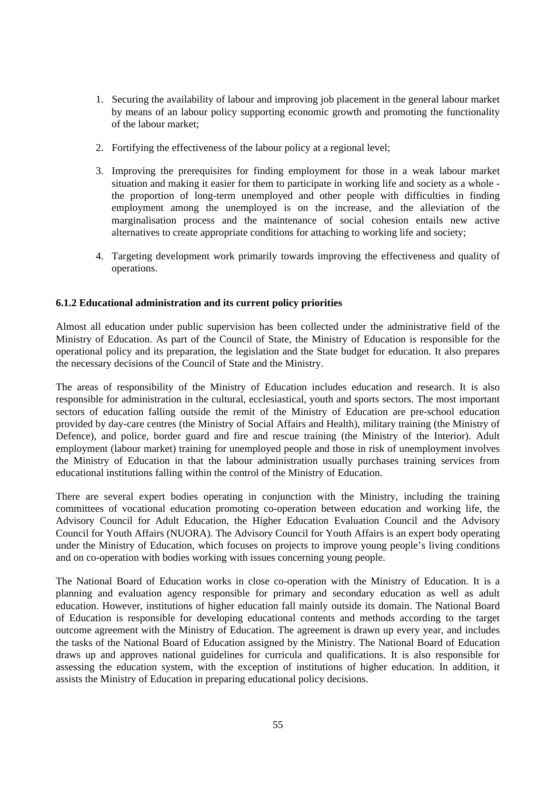- 1. Securing the availability of labour and improving job placement in the general labour market by means of an labour policy supporting economic growth and promoting the functionality of the labour market;
- 2. Fortifying the effectiveness of the labour policy at a regional level;
- 3. Improving the prerequisites for finding employment for those in a weak labour market situation and making it easier for them to participate in working life and society as a whole the proportion of long-term unemployed and other people with difficulties in finding employment among the unemployed is on the increase, and the alleviation of the marginalisation process and the maintenance of social cohesion entails new active alternatives to create appropriate conditions for attaching to working life and society;
- 4. Targeting development work primarily towards improving the effectiveness and quality of operations.

#### **6.1.2 Educational administration and its current policy priorities**

Almost all education under public supervision has been collected under the administrative field of the Ministry of Education. As part of the Council of State, the Ministry of Education is responsible for the operational policy and its preparation, the legislation and the State budget for education. It also prepares the necessary decisions of the Council of State and the Ministry.

The areas of responsibility of the Ministry of Education includes education and research. It is also responsible for administration in the cultural, ecclesiastical, youth and sports sectors. The most important sectors of education falling outside the remit of the Ministry of Education are pre-school education provided by day-care centres (the Ministry of Social Affairs and Health), military training (the Ministry of Defence), and police, border guard and fire and rescue training (the Ministry of the Interior). Adult employment (labour market) training for unemployed people and those in risk of unemployment involves the Ministry of Education in that the labour administration usually purchases training services from educational institutions falling within the control of the Ministry of Education.

There are several expert bodies operating in conjunction with the Ministry, including the training committees of vocational education promoting co-operation between education and working life, the Advisory Council for Adult Education, the Higher Education Evaluation Council and the Advisory Council for Youth Affairs (NUORA). The Advisory Council for Youth Affairs is an expert body operating under the Ministry of Education, which focuses on projects to improve young people's living conditions and on co-operation with bodies working with issues concerning young people.

The National Board of Education works in close co-operation with the Ministry of Education. It is a planning and evaluation agency responsible for primary and secondary education as well as adult education. However, institutions of higher education fall mainly outside its domain. The National Board of Education is responsible for developing educational contents and methods according to the target outcome agreement with the Ministry of Education. The agreement is drawn up every year, and includes the tasks of the National Board of Education assigned by the Ministry. The National Board of Education draws up and approves national guidelines for curricula and qualifications. It is also responsible for assessing the education system, with the exception of institutions of higher education. In addition, it assists the Ministry of Education in preparing educational policy decisions.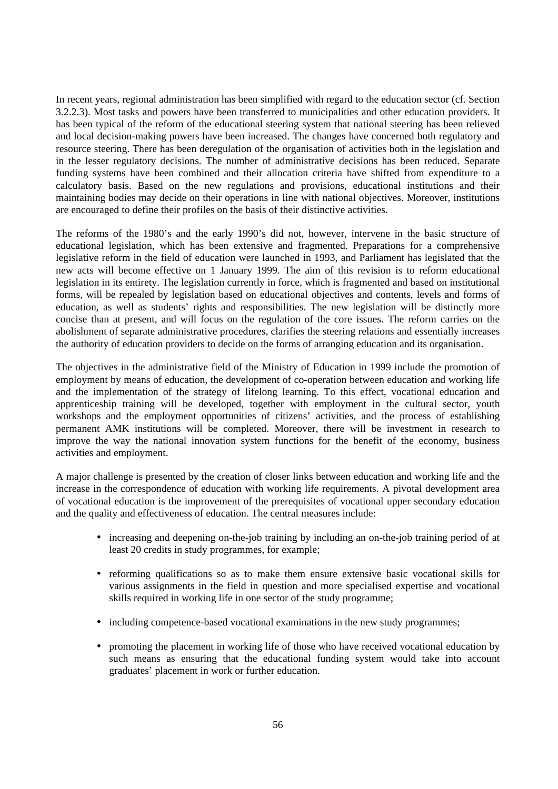In recent years, regional administration has been simplified with regard to the education sector (cf. Section 3.2.2.3). Most tasks and powers have been transferred to municipalities and other education providers. It has been typical of the reform of the educational steering system that national steering has been relieved and local decision-making powers have been increased. The changes have concerned both regulatory and resource steering. There has been deregulation of the organisation of activities both in the legislation and in the lesser regulatory decisions. The number of administrative decisions has been reduced. Separate funding systems have been combined and their allocation criteria have shifted from expenditure to a calculatory basis. Based on the new regulations and provisions, educational institutions and their maintaining bodies may decide on their operations in line with national objectives. Moreover, institutions are encouraged to define their profiles on the basis of their distinctive activities.

The reforms of the 1980's and the early 1990's did not, however, intervene in the basic structure of educational legislation, which has been extensive and fragmented. Preparations for a comprehensive legislative reform in the field of education were launched in 1993, and Parliament has legislated that the new acts will become effective on 1 January 1999. The aim of this revision is to reform educational legislation in its entirety. The legislation currently in force, which is fragmented and based on institutional forms, will be repealed by legislation based on educational objectives and contents, levels and forms of education, as well as students' rights and responsibilities. The new legislation will be distinctly more concise than at present, and will focus on the regulation of the core issues. The reform carries on the abolishment of separate administrative procedures, clarifies the steering relations and essentially increases the authority of education providers to decide on the forms of arranging education and its organisation.

The objectives in the administrative field of the Ministry of Education in 1999 include the promotion of employment by means of education, the development of co-operation between education and working life and the implementation of the strategy of lifelong learning. To this effect, vocational education and apprenticeship training will be developed, together with employment in the cultural sector, youth workshops and the employment opportunities of citizens' activities, and the process of establishing permanent AMK institutions will be completed. Moreover, there will be investment in research to improve the way the national innovation system functions for the benefit of the economy, business activities and employment.

A major challenge is presented by the creation of closer links between education and working life and the increase in the correspondence of education with working life requirements. A pivotal development area of vocational education is the improvement of the prerequisites of vocational upper secondary education and the quality and effectiveness of education. The central measures include:

- increasing and deepening on-the-job training by including an on-the-job training period of at least 20 credits in study programmes, for example;
- reforming qualifications so as to make them ensure extensive basic vocational skills for various assignments in the field in question and more specialised expertise and vocational skills required in working life in one sector of the study programme;
- including competence-based vocational examinations in the new study programmes;
- promoting the placement in working life of those who have received vocational education by such means as ensuring that the educational funding system would take into account graduates' placement in work or further education.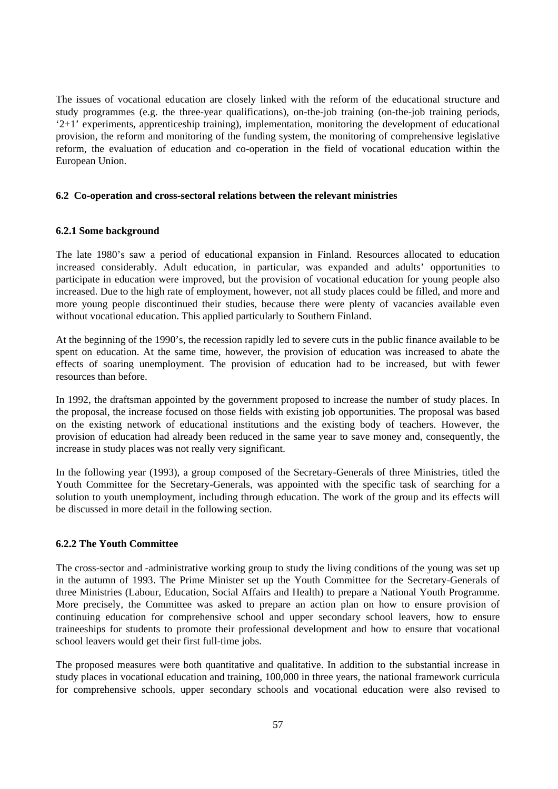The issues of vocational education are closely linked with the reform of the educational structure and study programmes (e.g. the three-year qualifications), on-the-job training (on-the-job training periods, '2+1' experiments, apprenticeship training), implementation, monitoring the development of educational provision, the reform and monitoring of the funding system, the monitoring of comprehensive legislative reform, the evaluation of education and co-operation in the field of vocational education within the European Union.

#### **6.2 Co-operation and cross-sectoral relations between the relevant ministries**

#### **6.2.1 Some background**

The late 1980's saw a period of educational expansion in Finland. Resources allocated to education increased considerably. Adult education, in particular, was expanded and adults' opportunities to participate in education were improved, but the provision of vocational education for young people also increased. Due to the high rate of employment, however, not all study places could be filled, and more and more young people discontinued their studies, because there were plenty of vacancies available even without vocational education. This applied particularly to Southern Finland.

At the beginning of the 1990's, the recession rapidly led to severe cuts in the public finance available to be spent on education. At the same time, however, the provision of education was increased to abate the effects of soaring unemployment. The provision of education had to be increased, but with fewer resources than before.

In 1992, the draftsman appointed by the government proposed to increase the number of study places. In the proposal, the increase focused on those fields with existing job opportunities. The proposal was based on the existing network of educational institutions and the existing body of teachers. However, the provision of education had already been reduced in the same year to save money and, consequently, the increase in study places was not really very significant.

In the following year (1993), a group composed of the Secretary-Generals of three Ministries, titled the Youth Committee for the Secretary-Generals, was appointed with the specific task of searching for a solution to youth unemployment, including through education. The work of the group and its effects will be discussed in more detail in the following section.

#### **6.2.2 The Youth Committee**

The cross-sector and -administrative working group to study the living conditions of the young was set up in the autumn of 1993. The Prime Minister set up the Youth Committee for the Secretary-Generals of three Ministries (Labour, Education, Social Affairs and Health) to prepare a National Youth Programme. More precisely, the Committee was asked to prepare an action plan on how to ensure provision of continuing education for comprehensive school and upper secondary school leavers, how to ensure traineeships for students to promote their professional development and how to ensure that vocational school leavers would get their first full-time jobs.

The proposed measures were both quantitative and qualitative. In addition to the substantial increase in study places in vocational education and training, 100,000 in three years, the national framework curricula for comprehensive schools, upper secondary schools and vocational education were also revised to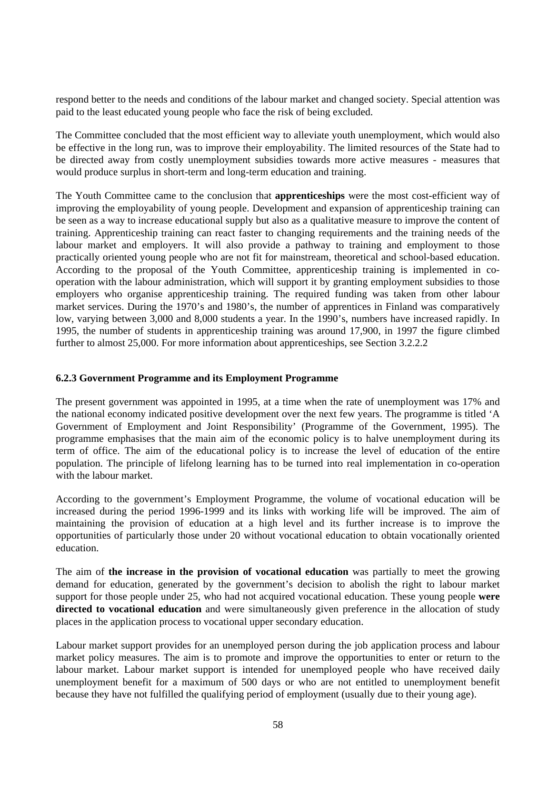respond better to the needs and conditions of the labour market and changed society. Special attention was paid to the least educated young people who face the risk of being excluded.

The Committee concluded that the most efficient way to alleviate youth unemployment, which would also be effective in the long run, was to improve their employability. The limited resources of the State had to be directed away from costly unemployment subsidies towards more active measures - measures that would produce surplus in short-term and long-term education and training.

The Youth Committee came to the conclusion that **apprenticeships** were the most cost-efficient way of improving the employability of young people. Development and expansion of apprenticeship training can be seen as a way to increase educational supply but also as a qualitative measure to improve the content of training. Apprenticeship training can react faster to changing requirements and the training needs of the labour market and employers. It will also provide a pathway to training and employment to those practically oriented young people who are not fit for mainstream, theoretical and school-based education. According to the proposal of the Youth Committee, apprenticeship training is implemented in cooperation with the labour administration, which will support it by granting employment subsidies to those employers who organise apprenticeship training. The required funding was taken from other labour market services. During the 1970's and 1980's, the number of apprentices in Finland was comparatively low, varying between 3,000 and 8,000 students a year. In the 1990's, numbers have increased rapidly. In 1995, the number of students in apprenticeship training was around 17,900, in 1997 the figure climbed further to almost 25,000. For more information about apprenticeships, see Section 3.2.2.2

#### **6.2.3 Government Programme and its Employment Programme**

The present government was appointed in 1995, at a time when the rate of unemployment was 17% and the national economy indicated positive development over the next few years. The programme is titled 'A Government of Employment and Joint Responsibility' (Programme of the Government, 1995). The programme emphasises that the main aim of the economic policy is to halve unemployment during its term of office. The aim of the educational policy is to increase the level of education of the entire population. The principle of lifelong learning has to be turned into real implementation in co-operation with the labour market.

According to the government's Employment Programme, the volume of vocational education will be increased during the period 1996-1999 and its links with working life will be improved. The aim of maintaining the provision of education at a high level and its further increase is to improve the opportunities of particularly those under 20 without vocational education to obtain vocationally oriented education.

The aim of **the increase in the provision of vocational education** was partially to meet the growing demand for education, generated by the government's decision to abolish the right to labour market support for those people under 25, who had not acquired vocational education. These young people **were directed to vocational education** and were simultaneously given preference in the allocation of study places in the application process to vocational upper secondary education.

Labour market support provides for an unemployed person during the job application process and labour market policy measures. The aim is to promote and improve the opportunities to enter or return to the labour market. Labour market support is intended for unemployed people who have received daily unemployment benefit for a maximum of 500 days or who are not entitled to unemployment benefit because they have not fulfilled the qualifying period of employment (usually due to their young age).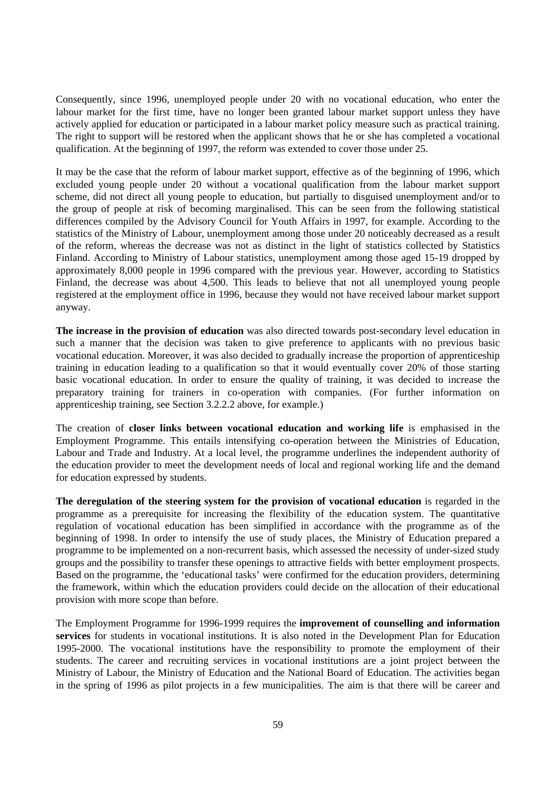Consequently, since 1996, unemployed people under 20 with no vocational education, who enter the labour market for the first time, have no longer been granted labour market support unless they have actively applied for education or participated in a labour market policy measure such as practical training. The right to support will be restored when the applicant shows that he or she has completed a vocational qualification. At the beginning of 1997, the reform was extended to cover those under 25.

It may be the case that the reform of labour market support, effective as of the beginning of 1996, which excluded young people under 20 without a vocational qualification from the labour market support scheme, did not direct all young people to education, but partially to disguised unemployment and/or to the group of people at risk of becoming marginalised. This can be seen from the following statistical differences compiled by the Advisory Council for Youth Affairs in 1997, for example. According to the statistics of the Ministry of Labour, unemployment among those under 20 noticeably decreased as a result of the reform, whereas the decrease was not as distinct in the light of statistics collected by Statistics Finland. According to Ministry of Labour statistics, unemployment among those aged 15-19 dropped by approximately 8,000 people in 1996 compared with the previous year. However, according to Statistics Finland, the decrease was about 4,500. This leads to believe that not all unemployed young people registered at the employment office in 1996, because they would not have received labour market support anyway.

**The increase in the provision of education** was also directed towards post-secondary level education in such a manner that the decision was taken to give preference to applicants with no previous basic vocational education. Moreover, it was also decided to gradually increase the proportion of apprenticeship training in education leading to a qualification so that it would eventually cover 20% of those starting basic vocational education. In order to ensure the quality of training, it was decided to increase the preparatory training for trainers in co-operation with companies. (For further information on apprenticeship training, see Section 3.2.2.2 above, for example.)

The creation of **closer links between vocational education and working life** is emphasised in the Employment Programme. This entails intensifying co-operation between the Ministries of Education, Labour and Trade and Industry. At a local level, the programme underlines the independent authority of the education provider to meet the development needs of local and regional working life and the demand for education expressed by students.

**The deregulation of the steering system for the provision of vocational education** is regarded in the programme as a prerequisite for increasing the flexibility of the education system. The quantitative regulation of vocational education has been simplified in accordance with the programme as of the beginning of 1998. In order to intensify the use of study places, the Ministry of Education prepared a programme to be implemented on a non-recurrent basis, which assessed the necessity of under-sized study groups and the possibility to transfer these openings to attractive fields with better employment prospects. Based on the programme, the 'educational tasks' were confirmed for the education providers, determining the framework, within which the education providers could decide on the allocation of their educational provision with more scope than before.

The Employment Programme for 1996-1999 requires the **improvement of counselling and information services** for students in vocational institutions. It is also noted in the Development Plan for Education 1995-2000. The vocational institutions have the responsibility to promote the employment of their students. The career and recruiting services in vocational institutions are a joint project between the Ministry of Labour, the Ministry of Education and the National Board of Education. The activities began in the spring of 1996 as pilot projects in a few municipalities. The aim is that there will be career and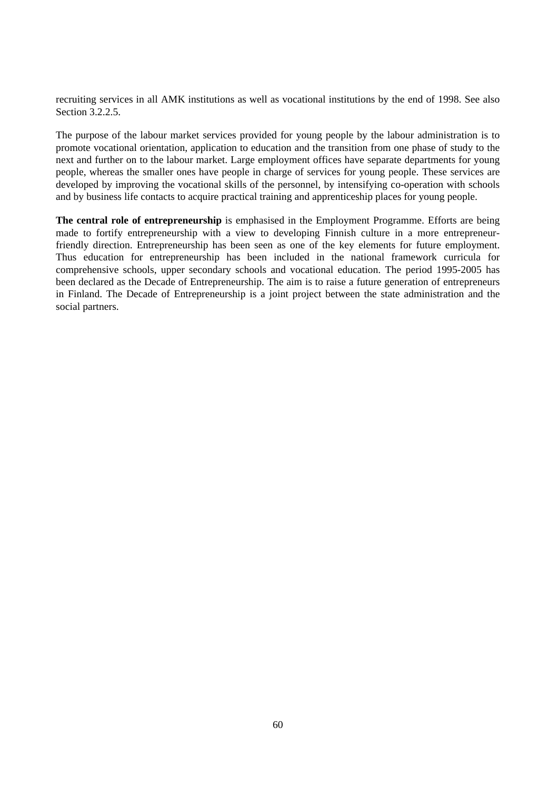recruiting services in all AMK institutions as well as vocational institutions by the end of 1998. See also Section 3.2.2.5.

The purpose of the labour market services provided for young people by the labour administration is to promote vocational orientation, application to education and the transition from one phase of study to the next and further on to the labour market. Large employment offices have separate departments for young people, whereas the smaller ones have people in charge of services for young people. These services are developed by improving the vocational skills of the personnel, by intensifying co-operation with schools and by business life contacts to acquire practical training and apprenticeship places for young people.

**The central role of entrepreneurship** is emphasised in the Employment Programme. Efforts are being made to fortify entrepreneurship with a view to developing Finnish culture in a more entrepreneurfriendly direction. Entrepreneurship has been seen as one of the key elements for future employment. Thus education for entrepreneurship has been included in the national framework curricula for comprehensive schools, upper secondary schools and vocational education. The period 1995-2005 has been declared as the Decade of Entrepreneurship. The aim is to raise a future generation of entrepreneurs in Finland. The Decade of Entrepreneurship is a joint project between the state administration and the social partners.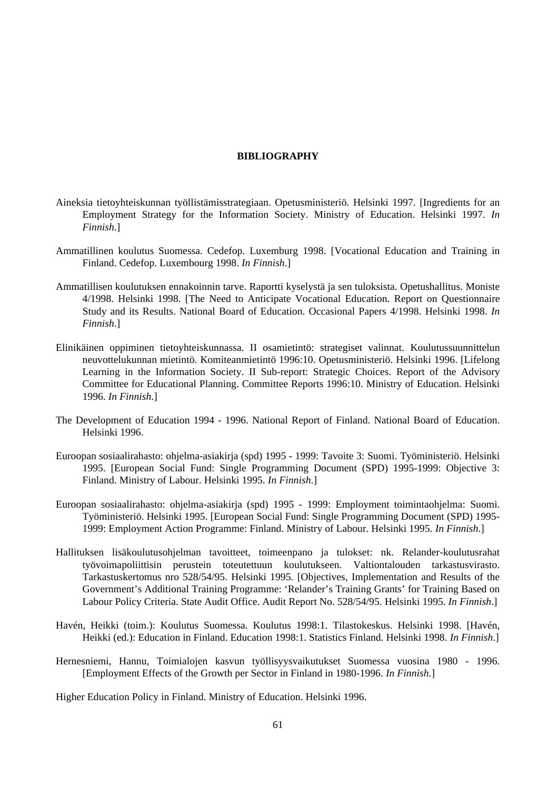#### **BIBLIOGRAPHY**

- Aineksia tietoyhteiskunnan työllistämisstrategiaan. Opetusministeriö. Helsinki 1997. [Ingredients for an Employment Strategy for the Information Society. Ministry of Education. Helsinki 1997. *In Finnish*.]
- Ammatillinen koulutus Suomessa. Cedefop. Luxemburg 1998. [Vocational Education and Training in Finland. Cedefop. Luxembourg 1998. *In Finnish*.]
- Ammatillisen koulutuksen ennakoinnin tarve. Raportti kyselystä ja sen tuloksista. Opetushallitus. Moniste 4/1998. Helsinki 1998. [The Need to Anticipate Vocational Education. Report on Questionnaire Study and its Results. National Board of Education. Occasional Papers 4/1998. Helsinki 1998. *In Finnish*.]
- Elinikäinen oppiminen tietoyhteiskunnassa. II osamietintö: strategiset valinnat. Koulutussuunnittelun neuvottelukunnan mietintö. Komiteanmietintö 1996:10. Opetusministeriö. Helsinki 1996. [Lifelong Learning in the Information Society. II Sub-report: Strategic Choices. Report of the Advisory Committee for Educational Planning. Committee Reports 1996:10. Ministry of Education. Helsinki 1996. *In Finnish*.]
- The Development of Education 1994 1996. National Report of Finland. National Board of Education. Helsinki 1996.
- Euroopan sosiaalirahasto: ohjelma-asiakirja (spd) 1995 1999: Tavoite 3: Suomi. Työministeriö. Helsinki 1995. [European Social Fund: Single Programming Document (SPD) 1995-1999: Objective 3: Finland. Ministry of Labour. Helsinki 1995. *In Finnish*.]
- Euroopan sosiaalirahasto: ohjelma-asiakirja (spd) 1995 1999: Employment toimintaohjelma: Suomi. Työministeriö. Helsinki 1995. [European Social Fund: Single Programming Document (SPD) 1995- 1999: Employment Action Programme: Finland. Ministry of Labour. Helsinki 1995. *In Finnish*.]
- Hallituksen lisäkoulutusohjelman tavoitteet, toimeenpano ja tulokset: nk. Relander-koulutusrahat työvoimapoliittisin perustein toteutettuun koulutukseen. Valtiontalouden tarkastusvirasto. Tarkastuskertomus nro 528/54/95. Helsinki 1995. [Objectives, Implementation and Results of the Government's Additional Training Programme: 'Relander's Training Grants' for Training Based on Labour Policy Criteria. State Audit Office. Audit Report No. 528/54/95. Helsinki 1995. *In Finnish*.]
- Havén, Heikki (toim.): Koulutus Suomessa. Koulutus 1998:1. Tilastokeskus. Helsinki 1998. [Havén, Heikki (ed.): Education in Finland. Education 1998:1. Statistics Finland. Helsinki 1998. *In Finnish*.]
- Hernesniemi, Hannu, Toimialojen kasvun työllisyysvaikutukset Suomessa vuosina 1980 1996. [Employment Effects of the Growth per Sector in Finland in 1980-1996. *In Finnish*.]

Higher Education Policy in Finland. Ministry of Education. Helsinki 1996.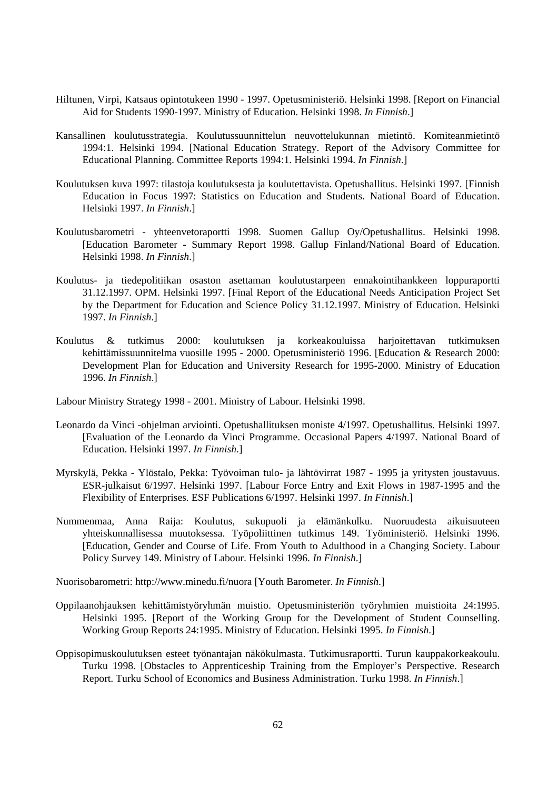- Hiltunen, Virpi, Katsaus opintotukeen 1990 1997. Opetusministeriö. Helsinki 1998. [Report on Financial Aid for Students 1990-1997. Ministry of Education. Helsinki 1998. *In Finnish*.]
- Kansallinen koulutusstrategia. Koulutussuunnittelun neuvottelukunnan mietintö. Komiteanmietintö 1994:1. Helsinki 1994. [National Education Strategy. Report of the Advisory Committee for Educational Planning. Committee Reports 1994:1. Helsinki 1994. *In Finnish*.]
- Koulutuksen kuva 1997: tilastoja koulutuksesta ja koulutettavista. Opetushallitus. Helsinki 1997. [Finnish Education in Focus 1997: Statistics on Education and Students. National Board of Education. Helsinki 1997. *In Finnish*.]
- Koulutusbarometri yhteenvetoraportti 1998. Suomen Gallup Oy/Opetushallitus. Helsinki 1998. [Education Barometer - Summary Report 1998. Gallup Finland/National Board of Education. Helsinki 1998. *In Finnish*.]
- Koulutus- ja tiedepolitiikan osaston asettaman koulutustarpeen ennakointihankkeen loppuraportti 31.12.1997. OPM. Helsinki 1997. [Final Report of the Educational Needs Anticipation Project Set by the Department for Education and Science Policy 31.12.1997. Ministry of Education. Helsinki 1997. *In Finnish*.]
- Koulutus & tutkimus 2000: koulutuksen ja korkeakouluissa harjoitettavan tutkimuksen kehittämissuunnitelma vuosille 1995 - 2000. Opetusministeriö 1996. [Education & Research 2000: Development Plan for Education and University Research for 1995-2000. Ministry of Education 1996. *In Finnish*.]

Labour Ministry Strategy 1998 - 2001. Ministry of Labour. Helsinki 1998.

- Leonardo da Vinci -ohjelman arviointi. Opetushallituksen moniste 4/1997. Opetushallitus. Helsinki 1997. [Evaluation of the Leonardo da Vinci Programme. Occasional Papers 4/1997. National Board of Education. Helsinki 1997. *In Finnish*.]
- Myrskylä, Pekka Ylöstalo, Pekka: Työvoiman tulo- ja lähtövirrat 1987 1995 ja yritysten joustavuus. ESR-julkaisut 6/1997. Helsinki 1997. [Labour Force Entry and Exit Flows in 1987-1995 and the Flexibility of Enterprises. ESF Publications 6/1997. Helsinki 1997. *In Finnish*.]
- Nummenmaa, Anna Raija: Koulutus, sukupuoli ja elämänkulku. Nuoruudesta aikuisuuteen yhteiskunnallisessa muutoksessa. Työpoliittinen tutkimus 149. Työministeriö. Helsinki 1996. [Education, Gender and Course of Life. From Youth to Adulthood in a Changing Society. Labour Policy Survey 149. Ministry of Labour. Helsinki 1996. *In Finnish*.]

Nuorisobarometri: http://www.minedu.fi/nuora [Youth Barometer. *In Finnish*.]

- Oppilaanohjauksen kehittämistyöryhmän muistio. Opetusministeriön työryhmien muistioita 24:1995. Helsinki 1995. [Report of the Working Group for the Development of Student Counselling. Working Group Reports 24:1995. Ministry of Education. Helsinki 1995. *In Finnish*.]
- Oppisopimuskoulutuksen esteet työnantajan näkökulmasta. Tutkimusraportti. Turun kauppakorkeakoulu. Turku 1998. [Obstacles to Apprenticeship Training from the Employer's Perspective. Research Report. Turku School of Economics and Business Administration. Turku 1998. *In Finnish*.]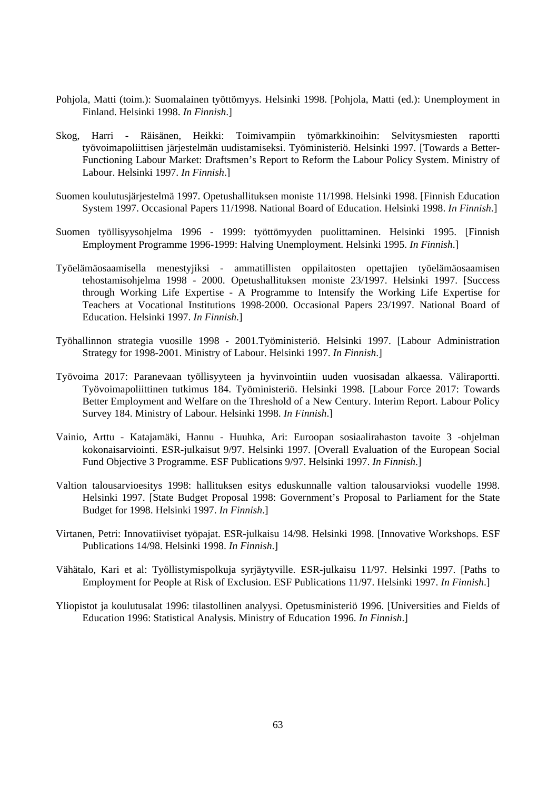- Pohjola, Matti (toim.): Suomalainen työttömyys. Helsinki 1998. [Pohjola, Matti (ed.): Unemployment in Finland. Helsinki 1998. *In Finnish*.]
- Skog, Harri Räisänen, Heikki: Toimivampiin työmarkkinoihin: Selvitysmiesten raportti työvoimapoliittisen järjestelmän uudistamiseksi. Työministeriö. Helsinki 1997. [Towards a Better-Functioning Labour Market: Draftsmen's Report to Reform the Labour Policy System. Ministry of Labour. Helsinki 1997. *In Finnish*.]
- Suomen koulutusjärjestelmä 1997. Opetushallituksen moniste 11/1998. Helsinki 1998. [Finnish Education System 1997. Occasional Papers 11/1998. National Board of Education. Helsinki 1998. *In Finnish*.]
- Suomen työllisyysohjelma 1996 1999: työttömyyden puolittaminen. Helsinki 1995. [Finnish Employment Programme 1996-1999: Halving Unemployment. Helsinki 1995. *In Finnish*.]
- Työelämäosaamisella menestyjiksi ammatillisten oppilaitosten opettajien työelämäosaamisen tehostamisohjelma 1998 - 2000. Opetushallituksen moniste 23/1997. Helsinki 1997. [Success through Working Life Expertise - A Programme to Intensify the Working Life Expertise for Teachers at Vocational Institutions 1998-2000. Occasional Papers 23/1997. National Board of Education. Helsinki 1997. *In Finnish*.]
- Työhallinnon strategia vuosille 1998 2001.Työministeriö. Helsinki 1997. [Labour Administration Strategy for 1998-2001. Ministry of Labour. Helsinki 1997. *In Finnish*.]
- Työvoima 2017: Paranevaan työllisyyteen ja hyvinvointiin uuden vuosisadan alkaessa. Väliraportti. Työvoimapoliittinen tutkimus 184. Työministeriö. Helsinki 1998. [Labour Force 2017: Towards Better Employment and Welfare on the Threshold of a New Century. Interim Report. Labour Policy Survey 184. Ministry of Labour. Helsinki 1998. *In Finnish*.]
- Vainio, Arttu Katajamäki, Hannu Huuhka, Ari: Euroopan sosiaalirahaston tavoite 3 -ohjelman kokonaisarviointi. ESR-julkaisut 9/97. Helsinki 1997. [Overall Evaluation of the European Social Fund Objective 3 Programme. ESF Publications 9/97. Helsinki 1997. *In Finnish*.]
- Valtion talousarvioesitys 1998: hallituksen esitys eduskunnalle valtion talousarvioksi vuodelle 1998. Helsinki 1997. [State Budget Proposal 1998: Government's Proposal to Parliament for the State Budget for 1998. Helsinki 1997. *In Finnish*.]
- Virtanen, Petri: Innovatiiviset työpajat. ESR-julkaisu 14/98. Helsinki 1998. [Innovative Workshops. ESF Publications 14/98. Helsinki 1998. *In Finnish*.]
- Vähätalo, Kari et al: Työllistymispolkuja syrjäytyville. ESR-julkaisu 11/97. Helsinki 1997. [Paths to Employment for People at Risk of Exclusion. ESF Publications 11/97. Helsinki 1997. *In Finnish*.]
- Yliopistot ja koulutusalat 1996: tilastollinen analyysi. Opetusministeriö 1996. [Universities and Fields of Education 1996: Statistical Analysis. Ministry of Education 1996. *In Finnish*.]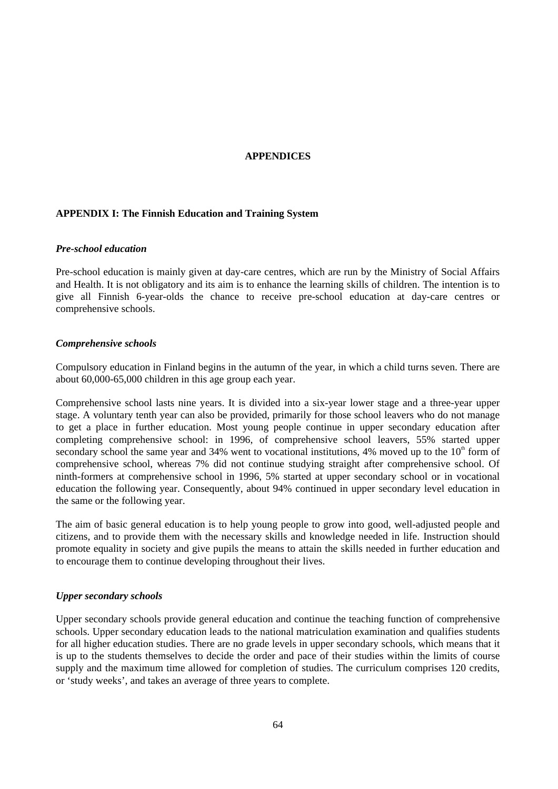#### **APPENDICES**

#### **APPENDIX I: The Finnish Education and Training System**

#### *Pre-school education*

Pre-school education is mainly given at day-care centres, which are run by the Ministry of Social Affairs and Health. It is not obligatory and its aim is to enhance the learning skills of children. The intention is to give all Finnish 6-year-olds the chance to receive pre-school education at day-care centres or comprehensive schools.

#### *Comprehensive schools*

Compulsory education in Finland begins in the autumn of the year, in which a child turns seven. There are about 60,000-65,000 children in this age group each year.

Comprehensive school lasts nine years. It is divided into a six-year lower stage and a three-year upper stage. A voluntary tenth year can also be provided, primarily for those school leavers who do not manage to get a place in further education. Most young people continue in upper secondary education after completing comprehensive school: in 1996, of comprehensive school leavers, 55% started upper secondary school the same year and 34% went to vocational institutions, 4% moved up to the  $10<sup>th</sup>$  form of comprehensive school, whereas 7% did not continue studying straight after comprehensive school. Of ninth-formers at comprehensive school in 1996, 5% started at upper secondary school or in vocational education the following year. Consequently, about 94% continued in upper secondary level education in the same or the following year.

The aim of basic general education is to help young people to grow into good, well-adjusted people and citizens, and to provide them with the necessary skills and knowledge needed in life. Instruction should promote equality in society and give pupils the means to attain the skills needed in further education and to encourage them to continue developing throughout their lives.

#### *Upper secondary schools*

Upper secondary schools provide general education and continue the teaching function of comprehensive schools. Upper secondary education leads to the national matriculation examination and qualifies students for all higher education studies. There are no grade levels in upper secondary schools, which means that it is up to the students themselves to decide the order and pace of their studies within the limits of course supply and the maximum time allowed for completion of studies. The curriculum comprises 120 credits, or 'study weeks', and takes an average of three years to complete.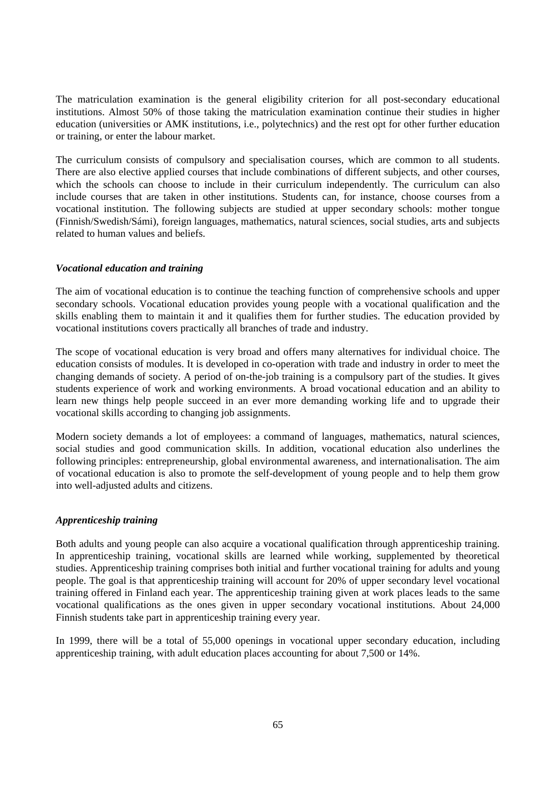The matriculation examination is the general eligibility criterion for all post-secondary educational institutions. Almost 50% of those taking the matriculation examination continue their studies in higher education (universities or AMK institutions, i.e., polytechnics) and the rest opt for other further education or training, or enter the labour market.

The curriculum consists of compulsory and specialisation courses, which are common to all students. There are also elective applied courses that include combinations of different subjects, and other courses, which the schools can choose to include in their curriculum independently. The curriculum can also include courses that are taken in other institutions. Students can, for instance, choose courses from a vocational institution. The following subjects are studied at upper secondary schools: mother tongue (Finnish/Swedish/Sámi), foreign languages, mathematics, natural sciences, social studies, arts and subjects related to human values and beliefs.

#### *Vocational education and training*

The aim of vocational education is to continue the teaching function of comprehensive schools and upper secondary schools. Vocational education provides young people with a vocational qualification and the skills enabling them to maintain it and it qualifies them for further studies. The education provided by vocational institutions covers practically all branches of trade and industry.

The scope of vocational education is very broad and offers many alternatives for individual choice. The education consists of modules. It is developed in co-operation with trade and industry in order to meet the changing demands of society. A period of on-the-job training is a compulsory part of the studies. It gives students experience of work and working environments. A broad vocational education and an ability to learn new things help people succeed in an ever more demanding working life and to upgrade their vocational skills according to changing job assignments.

Modern society demands a lot of employees: a command of languages, mathematics, natural sciences, social studies and good communication skills. In addition, vocational education also underlines the following principles: entrepreneurship, global environmental awareness, and internationalisation. The aim of vocational education is also to promote the self-development of young people and to help them grow into well-adjusted adults and citizens.

#### *Apprenticeship training*

Both adults and young people can also acquire a vocational qualification through apprenticeship training. In apprenticeship training, vocational skills are learned while working, supplemented by theoretical studies. Apprenticeship training comprises both initial and further vocational training for adults and young people. The goal is that apprenticeship training will account for 20% of upper secondary level vocational training offered in Finland each year. The apprenticeship training given at work places leads to the same vocational qualifications as the ones given in upper secondary vocational institutions. About 24,000 Finnish students take part in apprenticeship training every year.

In 1999, there will be a total of 55,000 openings in vocational upper secondary education, including apprenticeship training, with adult education places accounting for about 7,500 or 14%.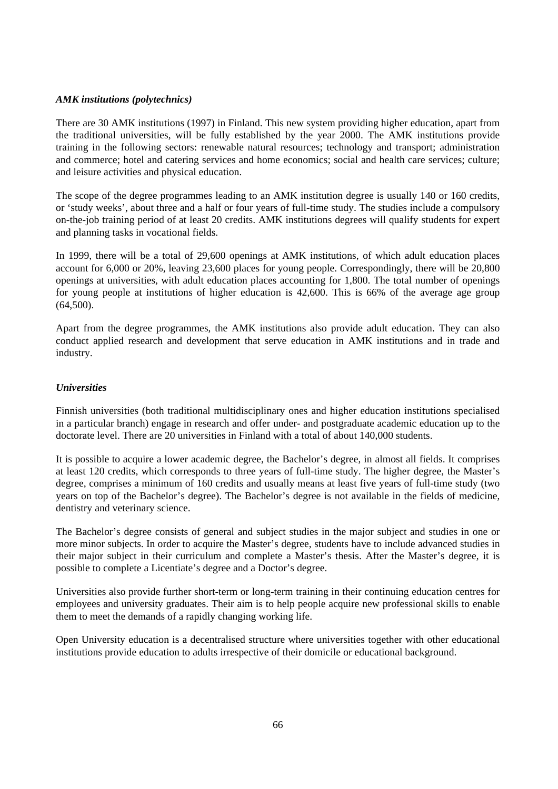#### *AMK institutions (polytechnics)*

There are 30 AMK institutions (1997) in Finland. This new system providing higher education, apart from the traditional universities, will be fully established by the year 2000. The AMK institutions provide training in the following sectors: renewable natural resources; technology and transport; administration and commerce; hotel and catering services and home economics; social and health care services; culture; and leisure activities and physical education.

The scope of the degree programmes leading to an AMK institution degree is usually 140 or 160 credits, or 'study weeks', about three and a half or four years of full-time study. The studies include a compulsory on-the-job training period of at least 20 credits. AMK institutions degrees will qualify students for expert and planning tasks in vocational fields.

In 1999, there will be a total of 29,600 openings at AMK institutions, of which adult education places account for 6,000 or 20%, leaving 23,600 places for young people. Correspondingly, there will be 20,800 openings at universities, with adult education places accounting for 1,800. The total number of openings for young people at institutions of higher education is 42,600. This is 66% of the average age group (64,500).

Apart from the degree programmes, the AMK institutions also provide adult education. They can also conduct applied research and development that serve education in AMK institutions and in trade and industry.

#### *Universities*

Finnish universities (both traditional multidisciplinary ones and higher education institutions specialised in a particular branch) engage in research and offer under- and postgraduate academic education up to the doctorate level. There are 20 universities in Finland with a total of about 140,000 students.

It is possible to acquire a lower academic degree, the Bachelor's degree, in almost all fields. It comprises at least 120 credits, which corresponds to three years of full-time study. The higher degree, the Master's degree, comprises a minimum of 160 credits and usually means at least five years of full-time study (two years on top of the Bachelor's degree). The Bachelor's degree is not available in the fields of medicine, dentistry and veterinary science.

The Bachelor's degree consists of general and subject studies in the major subject and studies in one or more minor subjects. In order to acquire the Master's degree, students have to include advanced studies in their major subject in their curriculum and complete a Master's thesis. After the Master's degree, it is possible to complete a Licentiate's degree and a Doctor's degree.

Universities also provide further short-term or long-term training in their continuing education centres for employees and university graduates. Their aim is to help people acquire new professional skills to enable them to meet the demands of a rapidly changing working life.

Open University education is a decentralised structure where universities together with other educational institutions provide education to adults irrespective of their domicile or educational background.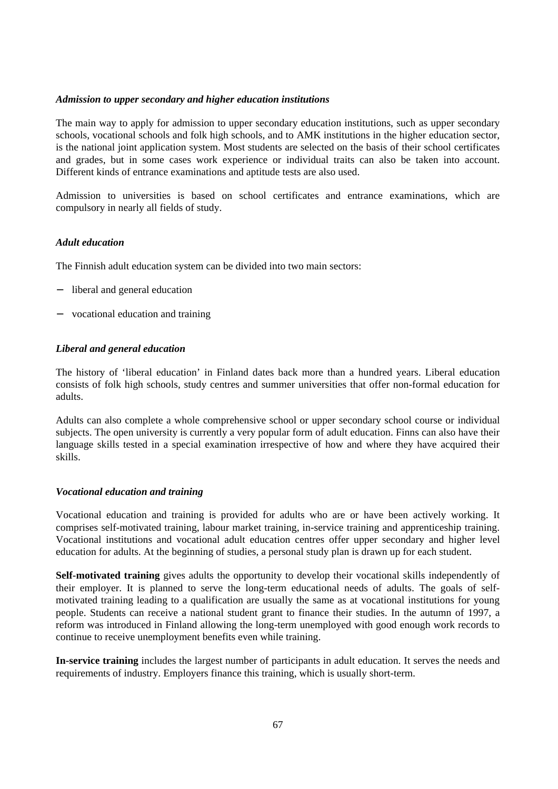#### *Admission to upper secondary and higher education institutions*

The main way to apply for admission to upper secondary education institutions, such as upper secondary schools, vocational schools and folk high schools, and to AMK institutions in the higher education sector, is the national joint application system. Most students are selected on the basis of their school certificates and grades, but in some cases work experience or individual traits can also be taken into account. Different kinds of entrance examinations and aptitude tests are also used.

Admission to universities is based on school certificates and entrance examinations, which are compulsory in nearly all fields of study.

#### *Adult education*

The Finnish adult education system can be divided into two main sectors:

- − liberal and general education
- − vocational education and training

#### *Liberal and general education*

The history of 'liberal education' in Finland dates back more than a hundred years. Liberal education consists of folk high schools, study centres and summer universities that offer non-formal education for adults.

Adults can also complete a whole comprehensive school or upper secondary school course or individual subjects. The open university is currently a very popular form of adult education. Finns can also have their language skills tested in a special examination irrespective of how and where they have acquired their skills.

#### *Vocational education and training*

Vocational education and training is provided for adults who are or have been actively working. It comprises self-motivated training, labour market training, in-service training and apprenticeship training. Vocational institutions and vocational adult education centres offer upper secondary and higher level education for adults. At the beginning of studies, a personal study plan is drawn up for each student.

**Self-motivated training** gives adults the opportunity to develop their vocational skills independently of their employer. It is planned to serve the long-term educational needs of adults. The goals of selfmotivated training leading to a qualification are usually the same as at vocational institutions for young people. Students can receive a national student grant to finance their studies. In the autumn of 1997, a reform was introduced in Finland allowing the long-term unemployed with good enough work records to continue to receive unemployment benefits even while training.

**In-service training** includes the largest number of participants in adult education. It serves the needs and requirements of industry. Employers finance this training, which is usually short-term.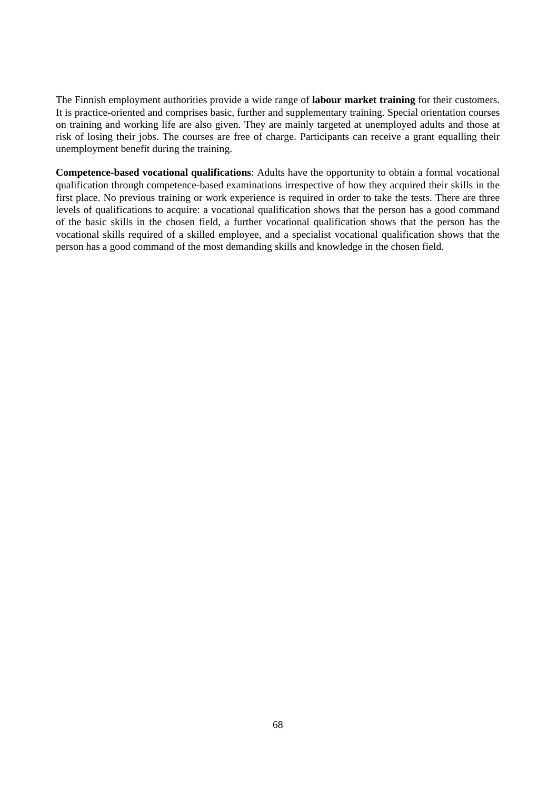The Finnish employment authorities provide a wide range of **labour market training** for their customers. It is practice-oriented and comprises basic, further and supplementary training. Special orientation courses on training and working life are also given. They are mainly targeted at unemployed adults and those at risk of losing their jobs. The courses are free of charge. Participants can receive a grant equalling their unemployment benefit during the training.

**Competence-based vocational qualifications**: Adults have the opportunity to obtain a formal vocational qualification through competence-based examinations irrespective of how they acquired their skills in the first place. No previous training or work experience is required in order to take the tests. There are three levels of qualifications to acquire: a vocational qualification shows that the person has a good command of the basic skills in the chosen field, a further vocational qualification shows that the person has the vocational skills required of a skilled employee, and a specialist vocational qualification shows that the person has a good command of the most demanding skills and knowledge in the chosen field.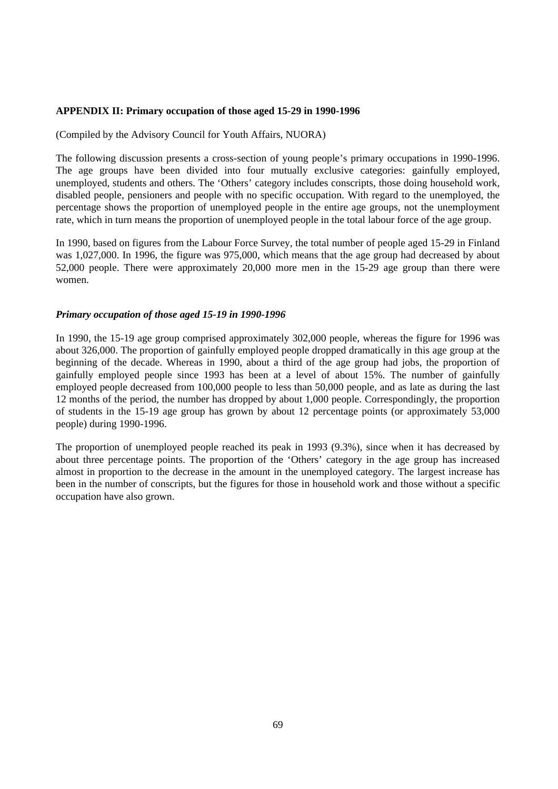#### **APPENDIX II: Primary occupation of those aged 15-29 in 1990-1996**

#### (Compiled by the Advisory Council for Youth Affairs, NUORA)

The following discussion presents a cross-section of young people's primary occupations in 1990-1996. The age groups have been divided into four mutually exclusive categories: gainfully employed, unemployed, students and others. The 'Others' category includes conscripts, those doing household work, disabled people, pensioners and people with no specific occupation. With regard to the unemployed, the percentage shows the proportion of unemployed people in the entire age groups, not the unemployment rate, which in turn means the proportion of unemployed people in the total labour force of the age group.

In 1990, based on figures from the Labour Force Survey, the total number of people aged 15-29 in Finland was 1,027,000. In 1996, the figure was 975,000, which means that the age group had decreased by about 52,000 people. There were approximately 20,000 more men in the 15-29 age group than there were women.

#### *Primary occupation of those aged 15-19 in 1990-1996*

In 1990, the 15-19 age group comprised approximately 302,000 people, whereas the figure for 1996 was about 326,000. The proportion of gainfully employed people dropped dramatically in this age group at the beginning of the decade. Whereas in 1990, about a third of the age group had jobs, the proportion of gainfully employed people since 1993 has been at a level of about 15%. The number of gainfully employed people decreased from 100,000 people to less than 50,000 people, and as late as during the last 12 months of the period, the number has dropped by about 1,000 people. Correspondingly, the proportion of students in the 15-19 age group has grown by about 12 percentage points (or approximately 53,000 people) during 1990-1996.

The proportion of unemployed people reached its peak in 1993 (9.3%), since when it has decreased by about three percentage points. The proportion of the 'Others' category in the age group has increased almost in proportion to the decrease in the amount in the unemployed category. The largest increase has been in the number of conscripts, but the figures for those in household work and those without a specific occupation have also grown.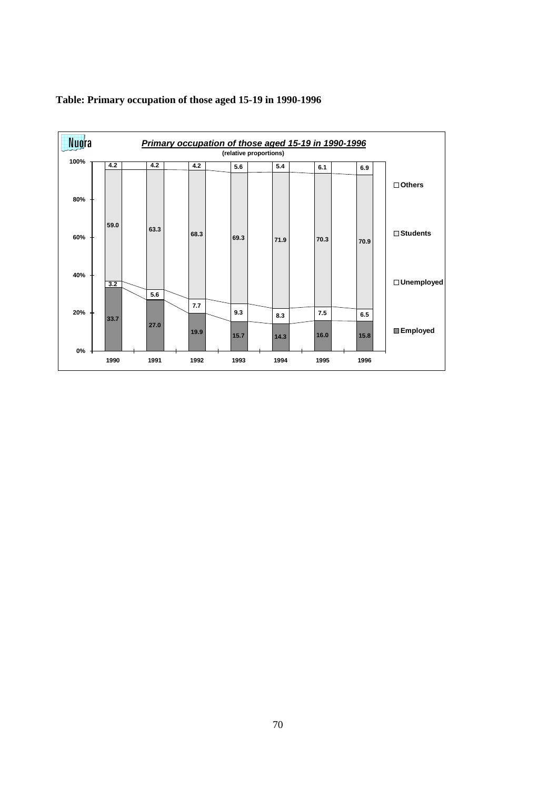

## **Table: Primary occupation of those aged 15-19 in 1990-1996**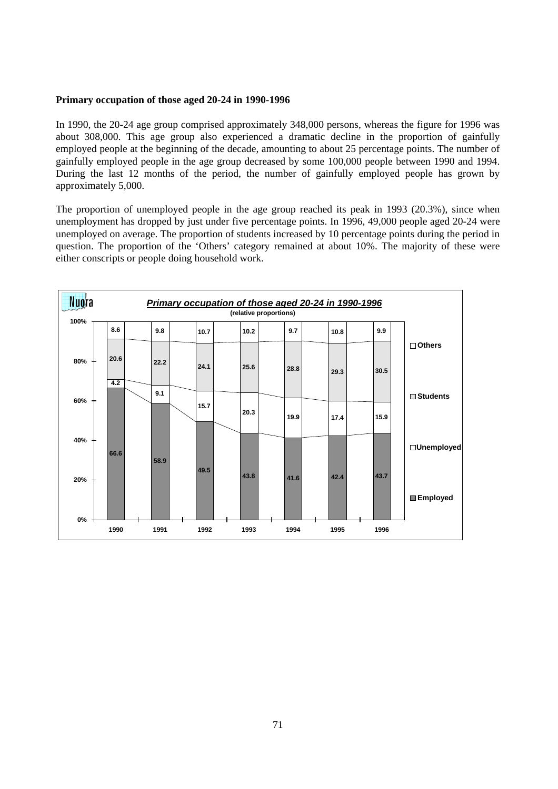#### **Primary occupation of those aged 20-24 in 1990-1996**

In 1990, the 20-24 age group comprised approximately 348,000 persons, whereas the figure for 1996 was about 308,000. This age group also experienced a dramatic decline in the proportion of gainfully employed people at the beginning of the decade, amounting to about 25 percentage points. The number of gainfully employed people in the age group decreased by some 100,000 people between 1990 and 1994. During the last 12 months of the period, the number of gainfully employed people has grown by approximately 5,000.

The proportion of unemployed people in the age group reached its peak in 1993 (20.3%), since when unemployment has dropped by just under five percentage points. In 1996, 49,000 people aged 20-24 were unemployed on average. The proportion of students increased by 10 percentage points during the period in question. The proportion of the 'Others' category remained at about 10%. The majority of these were either conscripts or people doing household work.

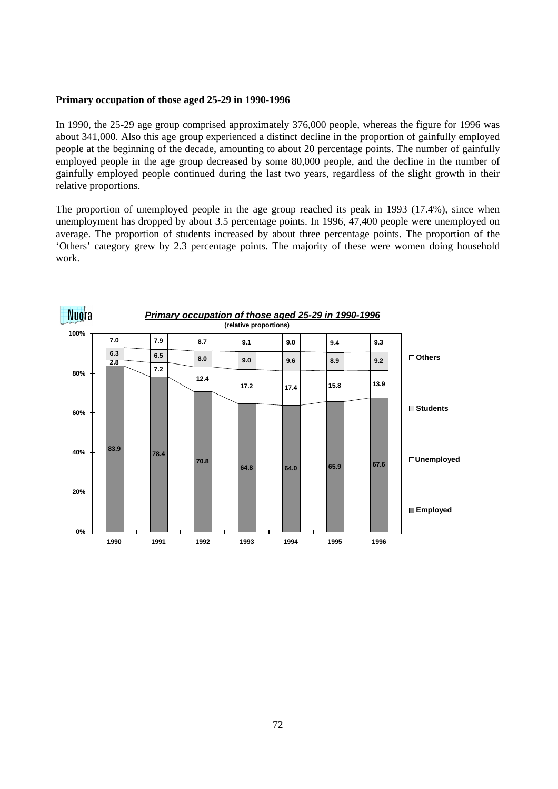#### **Primary occupation of those aged 25-29 in 1990-1996**

In 1990, the 25-29 age group comprised approximately 376,000 people, whereas the figure for 1996 was about 341,000. Also this age group experienced a distinct decline in the proportion of gainfully employed people at the beginning of the decade, amounting to about 20 percentage points. The number of gainfully employed people in the age group decreased by some 80,000 people, and the decline in the number of gainfully employed people continued during the last two years, regardless of the slight growth in their relative proportions.

The proportion of unemployed people in the age group reached its peak in 1993 (17.4%), since when unemployment has dropped by about 3.5 percentage points. In 1996, 47,400 people were unemployed on average. The proportion of students increased by about three percentage points. The proportion of the 'Others' category grew by 2.3 percentage points. The majority of these were women doing household work.

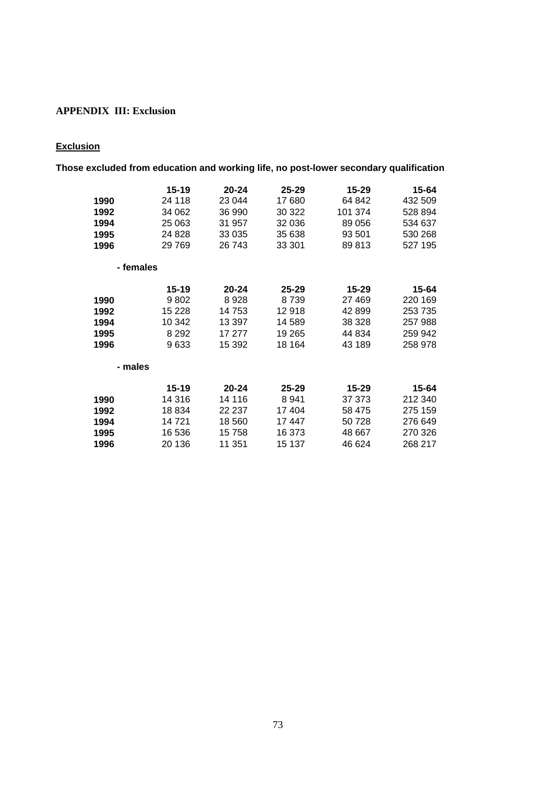## **APPENDIX III: Exclusion**

# **Exclusion**

| Those excluded from education and working life, no post-lower secondary qualification |           |           |           |           |         |
|---------------------------------------------------------------------------------------|-----------|-----------|-----------|-----------|---------|
|                                                                                       | $15 - 19$ | $20 - 24$ | $25 - 29$ | $15 - 29$ | 15-64   |
| 1990                                                                                  | 24 118    | 23 044    | 17 680    | 64 842    | 432 509 |
| 1992                                                                                  | 34 062    | 36 990    | 30 322    | 101 374   | 528 894 |
| 1994                                                                                  | 25 063    | 31 957    | 32 036    | 89 056    | 534 637 |
| 1995                                                                                  | 24 8 28   | 33 0 35   | 35 638    | 93 501    | 530 268 |
| 1996                                                                                  | 29 7 69   | 26 743    | 33 301    | 89813     | 527 195 |
| - females                                                                             |           |           |           |           |         |
|                                                                                       | $15 - 19$ | $20 - 24$ | 25-29     | $15 - 29$ | 15-64   |
| 1990                                                                                  | 9802      | 8928      | 8739      | 27 469    | 220 169 |
| 1992                                                                                  | 15 2 28   | 14 753    | 12918     | 42 899    | 253 735 |
| 1994                                                                                  | 10 342    | 13 397    | 14 589    | 38 328    | 257 988 |
| 1995                                                                                  | 8 2 9 2   | 17 277    | 19 265    | 44 834    | 259 942 |
| 1996                                                                                  | 9633      | 15 392    | 18 164    | 43 189    | 258 978 |
| - males                                                                               |           |           |           |           |         |
|                                                                                       | $15 - 19$ | $20 - 24$ | $25 - 29$ | $15 - 29$ | 15-64   |
| 1990                                                                                  | 14 316    | 14 116    | 8941      | 37 373    | 212 340 |
| 1992                                                                                  | 18834     | 22 237    | 17 404    | 58 475    | 275 159 |
| 1994                                                                                  | 14721     | 18 560    | 17447     | 50728     | 276 649 |
| 1995                                                                                  | 16 536    | 15758     | 16 373    | 48 667    | 270 326 |
| 1996                                                                                  | 20 136    | 11 351    | 15 137    | 46 624    | 268 217 |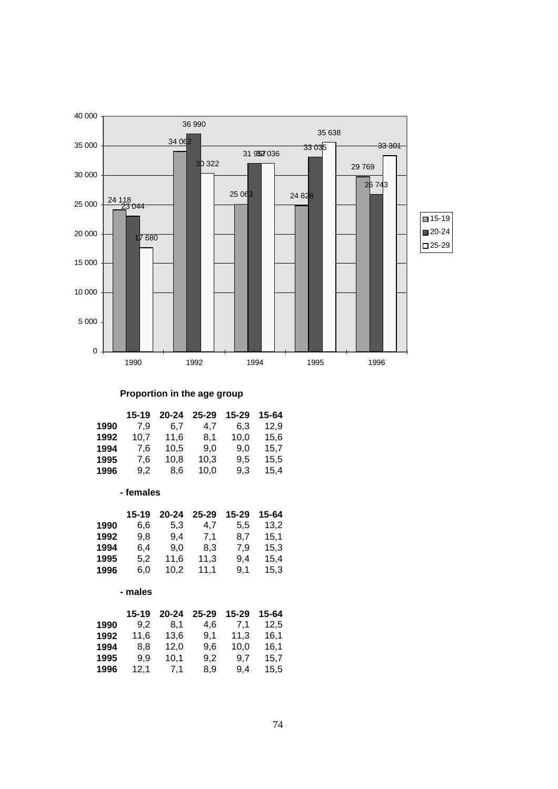

## **Proportion in the age group**

|      | $15 - 19$ | $20 - 24$ | $25 - 29$ | $15 - 29$ | 15-64 |
|------|-----------|-----------|-----------|-----------|-------|
| 1990 | 7.9       | 6.7       | 4.7       | 6.3       | 12.9  |
| 1992 | 10.7      | 11,6      | 8.1       | 10.0      | 15,6  |
| 1994 | 7.6       | 10,5      | 9.0       | 9.0       | 15,7  |
| 1995 | 7,6       | 10,8      | 10,3      | 9.5       | 15,5  |
| 1996 | 9.2       | 8.6       | 10.0      | 9.3       | 15,4  |

### **- females**

|      | 15-19 | 20-24 | 25-29 | 15-29 | 15-64 |
|------|-------|-------|-------|-------|-------|
| 1990 | 6.6   | 5,3   | 4.7   | 5,5   | 13,2  |
| 1992 | 9.8   | 9.4   | 7,1   | 8.7   | 15,1  |
| 1994 | 6,4   | 9.0   | 8,3   | 7.9   | 15,3  |
| 1995 | 5.2   | 11,6  | 11,3  | 9.4   | 15,4  |
| 1996 | 6.0   | 10,2  | 11,1  | 9.1   | 15,3  |
|      |       |       |       |       |       |

#### **- males**

|      | $15 - 19$ | $20 - 24$ | $25 - 29$ | 15-29 | 15-64 |
|------|-----------|-----------|-----------|-------|-------|
| 1990 | 9.2       | 8.1       | 4.6       | 7.1   | 12.5  |
| 1992 | 11.6      | 13,6      | 9.1       | 11.3  | 16,1  |
| 1994 | 8.8       | 12,0      | 9.6       | 10.0  | 16,1  |
| 1995 | 9.9       | 10,1      | 9.2       | 9.7   | 15,7  |
| 1996 | 12,1      | 7.1       | 8,9       | 9,4   | 15,5  |